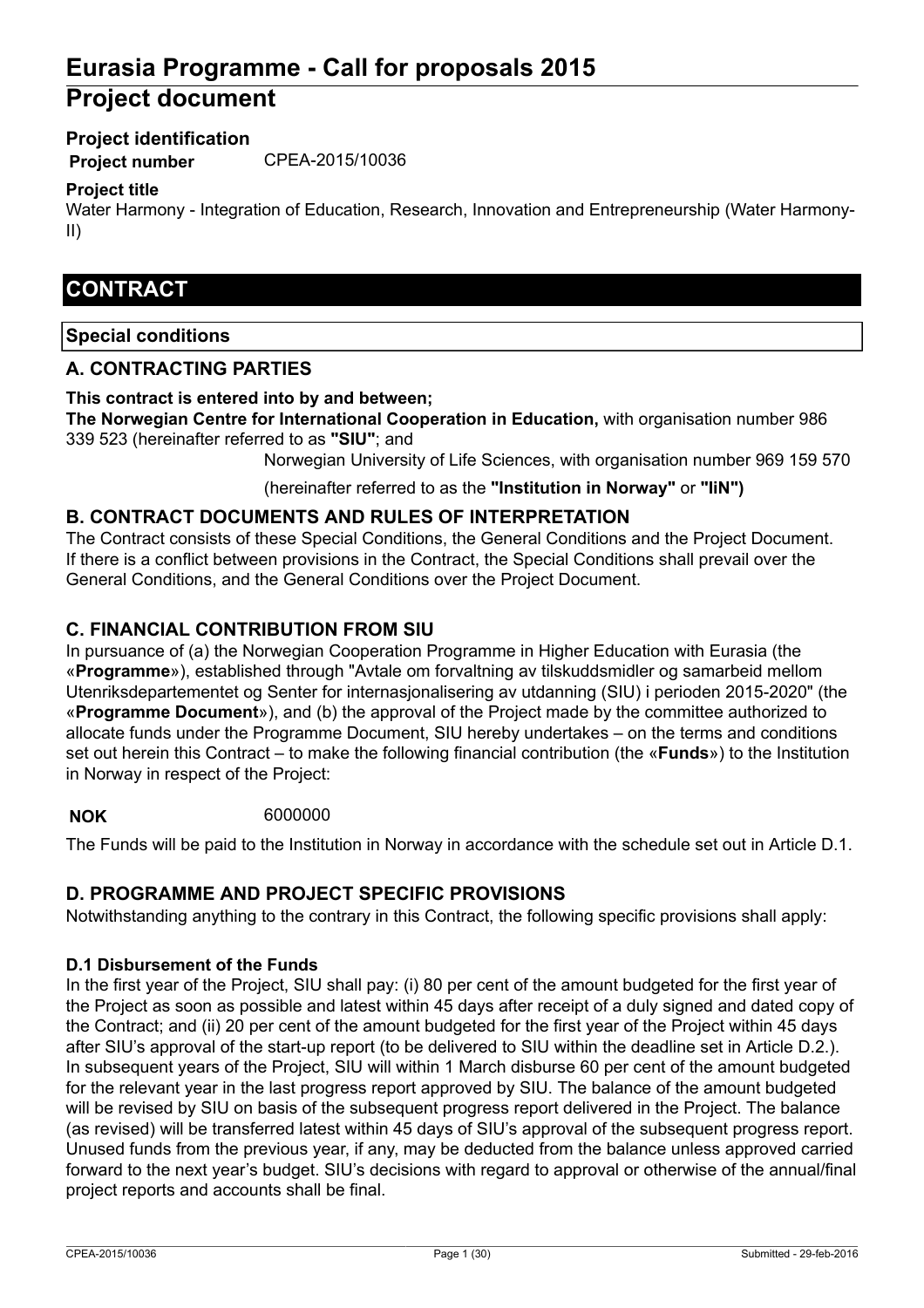# **Eurasia Programme - Call for proposals 2015 Project document**

### **Project identification**

**Project number** CPEA-2015/10036

### **Project title**

Water Harmony - Integration of Education, Research, Innovation and Entrepreneurship (Water Harmony-II)

## **CONTRACT**

### **Special conditions**

### **A. CONTRACTING PARTIES**

#### **This contract is entered into by and between;**

**The Norwegian Centre for International Cooperation in Education,** with organisation number 986 339 523 (hereinafter referred to as **"SIU"**; and

Norwegian University of Life Sciences, with organisation number 969 159 570

(hereinafter referred to as the **"Institution in Norway"** or **"IiN")**

### **B. CONTRACT DOCUMENTS AND RULES OF INTERPRETATION**

The Contract consists of these Special Conditions, the General Conditions and the Project Document. If there is a conflict between provisions in the Contract, the Special Conditions shall prevail over the General Conditions, and the General Conditions over the Project Document.

### **C. FINANCIAL CONTRIBUTION FROM SIU**

In pursuance of (a) the Norwegian Cooperation Programme in Higher Education with Eurasia (the «**Programme**»), established through "Avtale om forvaltning av tilskuddsmidler og samarbeid mellom Utenriksdepartementet og Senter for internasjonalisering av utdanning (SIU) i perioden 2015-2020" (the «**Programme Document**»), and (b) the approval of the Project made by the committee authorized to allocate funds under the Programme Document, SIU hereby undertakes – on the terms and conditions set out herein this Contract – to make the following financial contribution (the «**Funds**») to the Institution in Norway in respect of the Project:

### **NOK** 6000000

The Funds will be paid to the Institution in Norway in accordance with the schedule set out in Article D.1.

### **D. PROGRAMME AND PROJECT SPECIFIC PROVISIONS**

Notwithstanding anything to the contrary in this Contract, the following specific provisions shall apply:

#### **D.1 Disbursement of the Funds**

In the first year of the Project, SIU shall pay: (i) 80 per cent of the amount budgeted for the first year of the Project as soon as possible and latest within 45 days after receipt of a duly signed and dated copy of the Contract; and (ii) 20 per cent of the amount budgeted for the first year of the Project within 45 days after SIU's approval of the start-up report (to be delivered to SIU within the deadline set in Article D.2.). In subsequent years of the Project, SIU will within 1 March disburse 60 per cent of the amount budgeted for the relevant year in the last progress report approved by SIU. The balance of the amount budgeted will be revised by SIU on basis of the subsequent progress report delivered in the Project. The balance (as revised) will be transferred latest within 45 days of SIU's approval of the subsequent progress report. Unused funds from the previous year, if any, may be deducted from the balance unless approved carried forward to the next year's budget. SIU's decisions with regard to approval or otherwise of the annual/final project reports and accounts shall be final.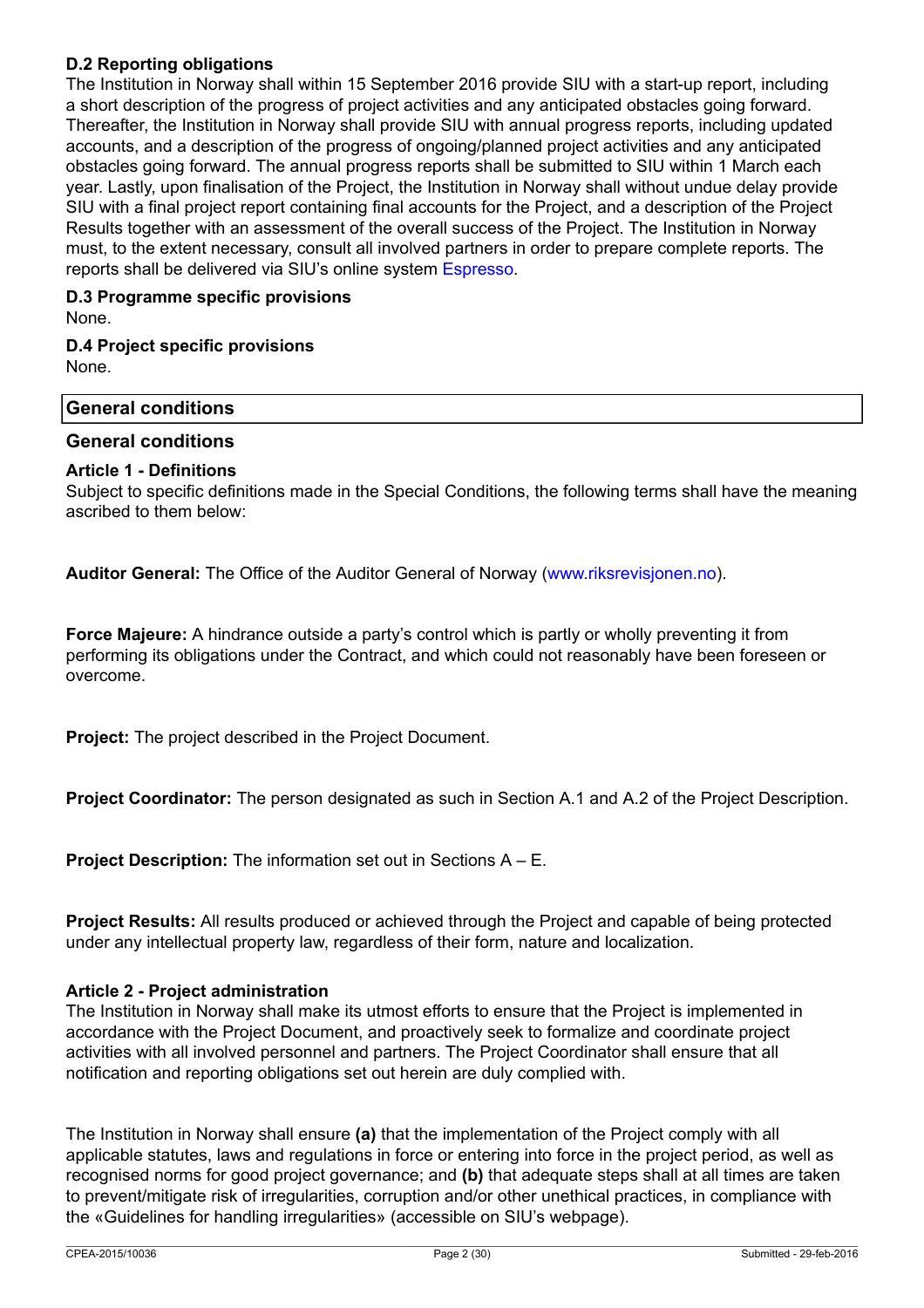### **D.2 Reporting obligations**

The Institution in Norway shall within 15 September 2016 provide SIU with a start-up report, including a short description of the progress of project activities and any anticipated obstacles going forward. Thereafter, the Institution in Norway shall provide SIU with annual progress reports, including updated accounts, and a description of the progress of ongoing/planned project activities and any anticipated obstacles going forward. The annual progress reports shall be submitted to SIU within 1 March each year. Lastly, upon finalisation of the Project, the Institution in Norway shall without undue delay provide SIU with a final project report containing final accounts for the Project, and a description of the Project Results together with an assessment of the overall success of the Project. The Institution in Norway must, to the extent necessary, consult all involved partners in order to prepare complete reports. The reports shall be delivered via SIU's online system [Espresso.](http://espresso.siu.no)

### **D.3 Programme specific provisions** None.

### **D.4 Project specific provisions** None.

# **General conditions**

### **General conditions**

### **Article 1 - Definitions**

Subject to specific definitions made in the Special Conditions, the following terms shall have the meaning ascribed to them below:

**Auditor General:** The Office of the Auditor General of Norway ([www.riksrevisjonen.no](https://www.riksrevisjonen.no/Sider/hovedside.aspx)).

**Force Majeure:** A hindrance outside a party's control which is partly or wholly preventing it from performing its obligations under the Contract, and which could not reasonably have been foreseen or overcome.

**Project:** The project described in the Project Document.

**Project Coordinator:** The person designated as such in Section A.1 and A.2 of the Project Description.

**Project Description:** The information set out in Sections A – E.

**Project Results:** All results produced or achieved through the Project and capable of being protected under any intellectual property law, regardless of their form, nature and localization.

### **Article 2 - Project administration**

The Institution in Norway shall make its utmost efforts to ensure that the Project is implemented in accordance with the Project Document, and proactively seek to formalize and coordinate project activities with all involved personnel and partners. The Project Coordinator shall ensure that all notification and reporting obligations set out herein are duly complied with.

The Institution in Norway shall ensure **(a)** that the implementation of the Project comply with all applicable statutes, laws and regulations in force or entering into force in the project period, as well as recognised norms for good project governance; and **(b)** that adequate steps shall at all times are taken to prevent/mitigate risk of irregularities, corruption and/or other unethical practices, in compliance with the «Guidelines for handling irregularities» (accessible on SIU's webpage).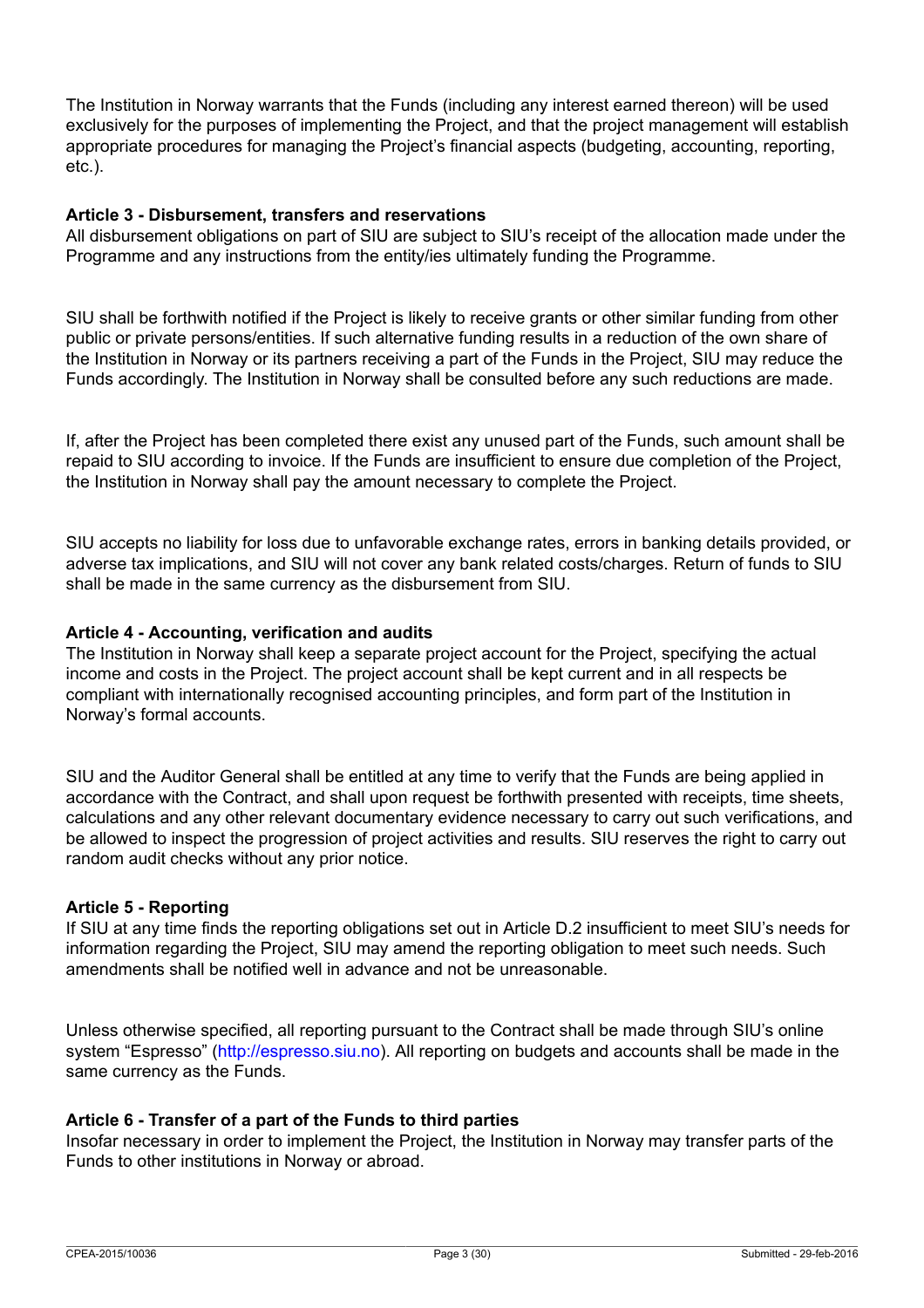The Institution in Norway warrants that the Funds (including any interest earned thereon) will be used exclusively for the purposes of implementing the Project, and that the project management will establish appropriate procedures for managing the Project's financial aspects (budgeting, accounting, reporting, etc.).

#### **Article 3 - Disbursement, transfers and reservations**

All disbursement obligations on part of SIU are subject to SIU's receipt of the allocation made under the Programme and any instructions from the entity/ies ultimately funding the Programme.

SIU shall be forthwith notified if the Project is likely to receive grants or other similar funding from other public or private persons/entities. If such alternative funding results in a reduction of the own share of the Institution in Norway or its partners receiving a part of the Funds in the Project, SIU may reduce the Funds accordingly. The Institution in Norway shall be consulted before any such reductions are made.

If, after the Project has been completed there exist any unused part of the Funds, such amount shall be repaid to SIU according to invoice. If the Funds are insufficient to ensure due completion of the Project, the Institution in Norway shall pay the amount necessary to complete the Project.

SIU accepts no liability for loss due to unfavorable exchange rates, errors in banking details provided, or adverse tax implications, and SIU will not cover any bank related costs/charges. Return of funds to SIU shall be made in the same currency as the disbursement from SIU.

#### **Article 4 - Accounting, verification and audits**

The Institution in Norway shall keep a separate project account for the Project, specifying the actual income and costs in the Project. The project account shall be kept current and in all respects be compliant with internationally recognised accounting principles, and form part of the Institution in Norway's formal accounts.

SIU and the Auditor General shall be entitled at any time to verify that the Funds are being applied in accordance with the Contract, and shall upon request be forthwith presented with receipts, time sheets, calculations and any other relevant documentary evidence necessary to carry out such verifications, and be allowed to inspect the progression of project activities and results. SIU reserves the right to carry out random audit checks without any prior notice.

#### **Article 5 - Reporting**

If SIU at any time finds the reporting obligations set out in Article D.2 insufficient to meet SIU's needs for information regarding the Project, SIU may amend the reporting obligation to meet such needs. Such amendments shall be notified well in advance and not be unreasonable.

Unless otherwise specified, all reporting pursuant to the Contract shall be made through SIU's online system "Espresso" [\(http://espresso.siu.no\)](https://espresso.siu.no). All reporting on budgets and accounts shall be made in the same currency as the Funds.

#### **Article 6 - Transfer of a part of the Funds to third parties**

Insofar necessary in order to implement the Project, the Institution in Norway may transfer parts of the Funds to other institutions in Norway or abroad.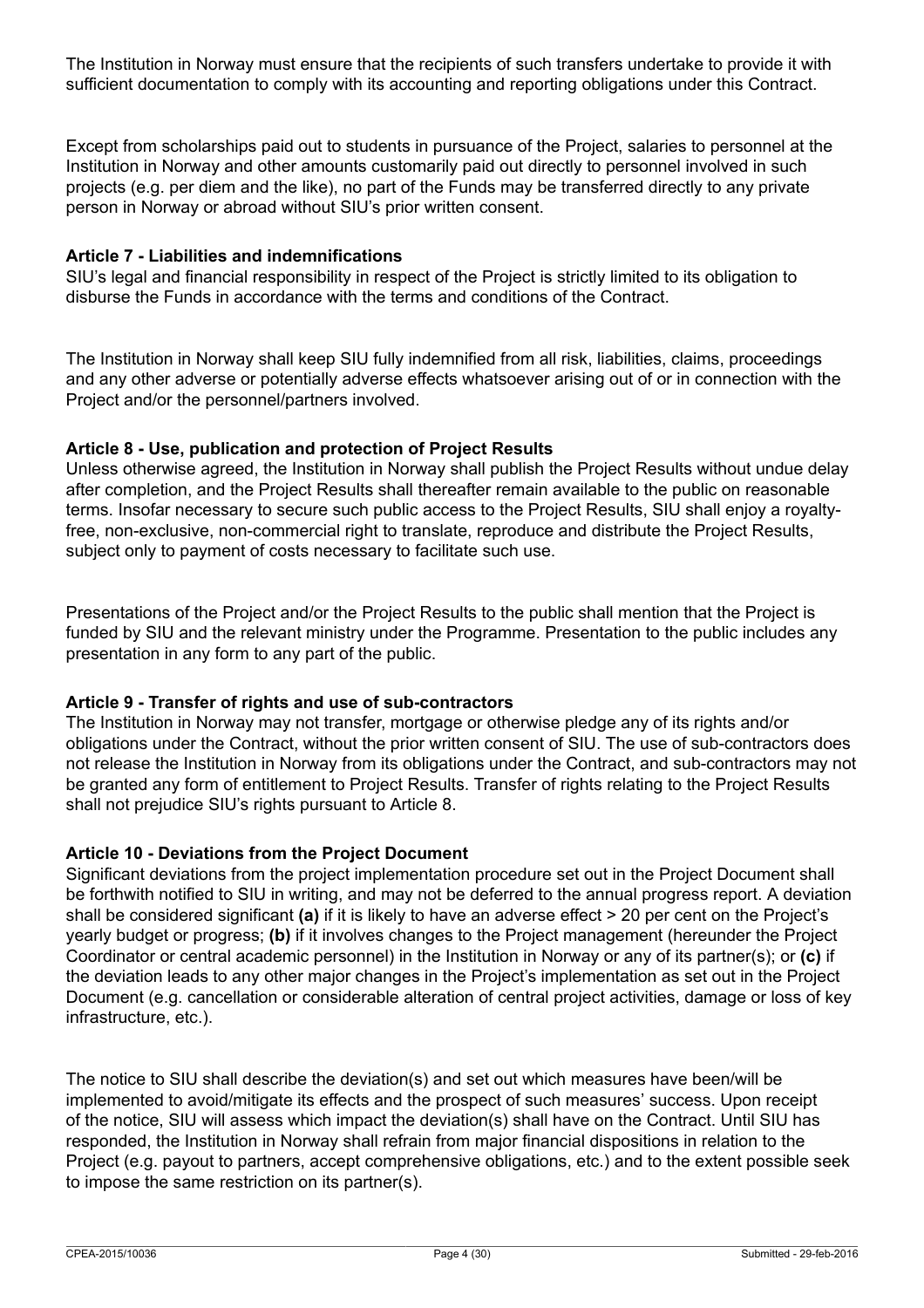The Institution in Norway must ensure that the recipients of such transfers undertake to provide it with sufficient documentation to comply with its accounting and reporting obligations under this Contract.

Except from scholarships paid out to students in pursuance of the Project, salaries to personnel at the Institution in Norway and other amounts customarily paid out directly to personnel involved in such projects (e.g. per diem and the like), no part of the Funds may be transferred directly to any private person in Norway or abroad without SIU's prior written consent.

### **Article 7 - Liabilities and indemnifications**

SIU's legal and financial responsibility in respect of the Project is strictly limited to its obligation to disburse the Funds in accordance with the terms and conditions of the Contract.

The Institution in Norway shall keep SIU fully indemnified from all risk, liabilities, claims, proceedings and any other adverse or potentially adverse effects whatsoever arising out of or in connection with the Project and/or the personnel/partners involved.

#### **Article 8 - Use, publication and protection of Project Results**

Unless otherwise agreed, the Institution in Norway shall publish the Project Results without undue delay after completion, and the Project Results shall thereafter remain available to the public on reasonable terms. Insofar necessary to secure such public access to the Project Results, SIU shall enjoy a royaltyfree, non-exclusive, non-commercial right to translate, reproduce and distribute the Project Results, subject only to payment of costs necessary to facilitate such use.

Presentations of the Project and/or the Project Results to the public shall mention that the Project is funded by SIU and the relevant ministry under the Programme. Presentation to the public includes any presentation in any form to any part of the public.

### **Article 9 - Transfer of rights and use of sub-contractors**

The Institution in Norway may not transfer, mortgage or otherwise pledge any of its rights and/or obligations under the Contract, without the prior written consent of SIU. The use of sub-contractors does not release the Institution in Norway from its obligations under the Contract, and sub-contractors may not be granted any form of entitlement to Project Results. Transfer of rights relating to the Project Results shall not prejudice SIU's rights pursuant to Article 8.

### **Article 10 - Deviations from the Project Document**

Significant deviations from the project implementation procedure set out in the Project Document shall be forthwith notified to SIU in writing, and may not be deferred to the annual progress report. A deviation shall be considered significant **(a)** if it is likely to have an adverse effect > 20 per cent on the Project's yearly budget or progress; **(b)** if it involves changes to the Project management (hereunder the Project Coordinator or central academic personnel) in the Institution in Norway or any of its partner(s); or **(c)** if the deviation leads to any other major changes in the Project's implementation as set out in the Project Document (e.g. cancellation or considerable alteration of central project activities, damage or loss of key infrastructure, etc.).

The notice to SIU shall describe the deviation(s) and set out which measures have been/will be implemented to avoid/mitigate its effects and the prospect of such measures' success. Upon receipt of the notice, SIU will assess which impact the deviation(s) shall have on the Contract. Until SIU has responded, the Institution in Norway shall refrain from major financial dispositions in relation to the Project (e.g. payout to partners, accept comprehensive obligations, etc.) and to the extent possible seek to impose the same restriction on its partner(s).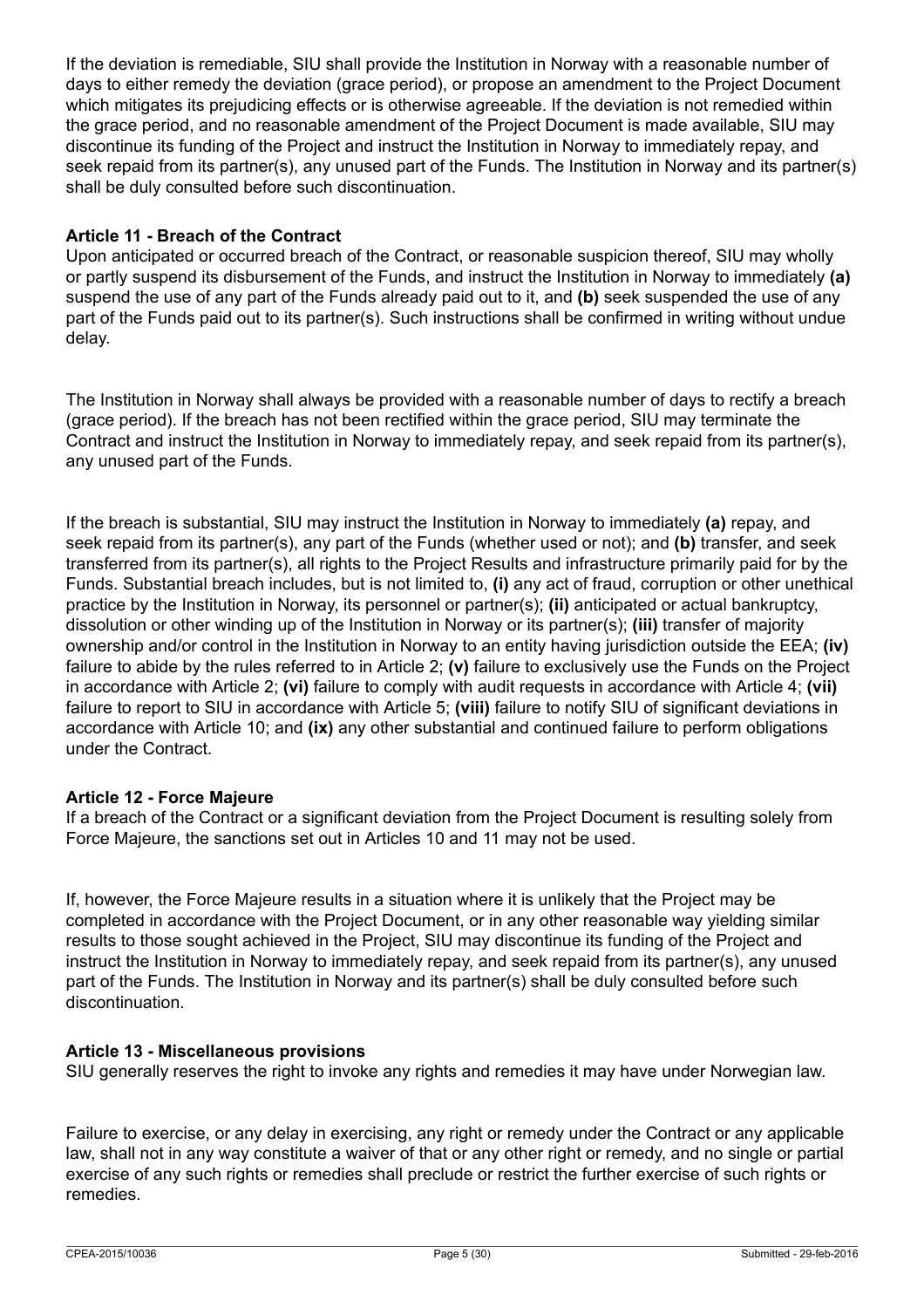If the deviation is remediable, SIU shall provide the Institution in Norway with a reasonable number of days to either remedy the deviation (grace period), or propose an amendment to the Project Document which mitigates its prejudicing effects or is otherwise agreeable. If the deviation is not remedied within the grace period, and no reasonable amendment of the Project Document is made available, SIU may discontinue its funding of the Project and instruct the Institution in Norway to immediately repay, and seek repaid from its partner(s), any unused part of the Funds. The Institution in Norway and its partner(s) shall be duly consulted before such discontinuation.

### **Article 11 - Breach of the Contract**

Upon anticipated or occurred breach of the Contract, or reasonable suspicion thereof, SIU may wholly or partly suspend its disbursement of the Funds, and instruct the Institution in Norway to immediately **(a)** suspend the use of any part of the Funds already paid out to it, and **(b)** seek suspended the use of any part of the Funds paid out to its partner(s). Such instructions shall be confirmed in writing without undue delay.

The Institution in Norway shall always be provided with a reasonable number of days to rectify a breach (grace period). If the breach has not been rectified within the grace period, SIU may terminate the Contract and instruct the Institution in Norway to immediately repay, and seek repaid from its partner(s), any unused part of the Funds.

If the breach is substantial, SIU may instruct the Institution in Norway to immediately **(a)** repay, and seek repaid from its partner(s), any part of the Funds (whether used or not); and **(b)** transfer, and seek transferred from its partner(s), all rights to the Project Results and infrastructure primarily paid for by the Funds. Substantial breach includes, but is not limited to, **(i)** any act of fraud, corruption or other unethical practice by the Institution in Norway, its personnel or partner(s); **(ii)** anticipated or actual bankruptcy, dissolution or other winding up of the Institution in Norway or its partner(s); **(iii)** transfer of majority ownership and/or control in the Institution in Norway to an entity having jurisdiction outside the EEA; **(iv)** failure to abide by the rules referred to in Article 2; **(v)** failure to exclusively use the Funds on the Project in accordance with Article 2; **(vi)** failure to comply with audit requests in accordance with Article 4; **(vii)** failure to report to SIU in accordance with Article 5; **(viii)** failure to notify SIU of significant deviations in accordance with Article 10; and **(ix)** any other substantial and continued failure to perform obligations under the Contract.

### **Article 12 - Force Majeure**

If a breach of the Contract or a significant deviation from the Project Document is resulting solely from Force Majeure, the sanctions set out in Articles 10 and 11 may not be used.

If, however, the Force Majeure results in a situation where it is unlikely that the Project may be completed in accordance with the Project Document, or in any other reasonable way yielding similar results to those sought achieved in the Project, SIU may discontinue its funding of the Project and instruct the Institution in Norway to immediately repay, and seek repaid from its partner(s), any unused part of the Funds. The Institution in Norway and its partner(s) shall be duly consulted before such discontinuation.

### **Article 13 - Miscellaneous provisions**

SIU generally reserves the right to invoke any rights and remedies it may have under Norwegian law.

Failure to exercise, or any delay in exercising, any right or remedy under the Contract or any applicable law, shall not in any way constitute a waiver of that or any other right or remedy, and no single or partial exercise of any such rights or remedies shall preclude or restrict the further exercise of such rights or remedies.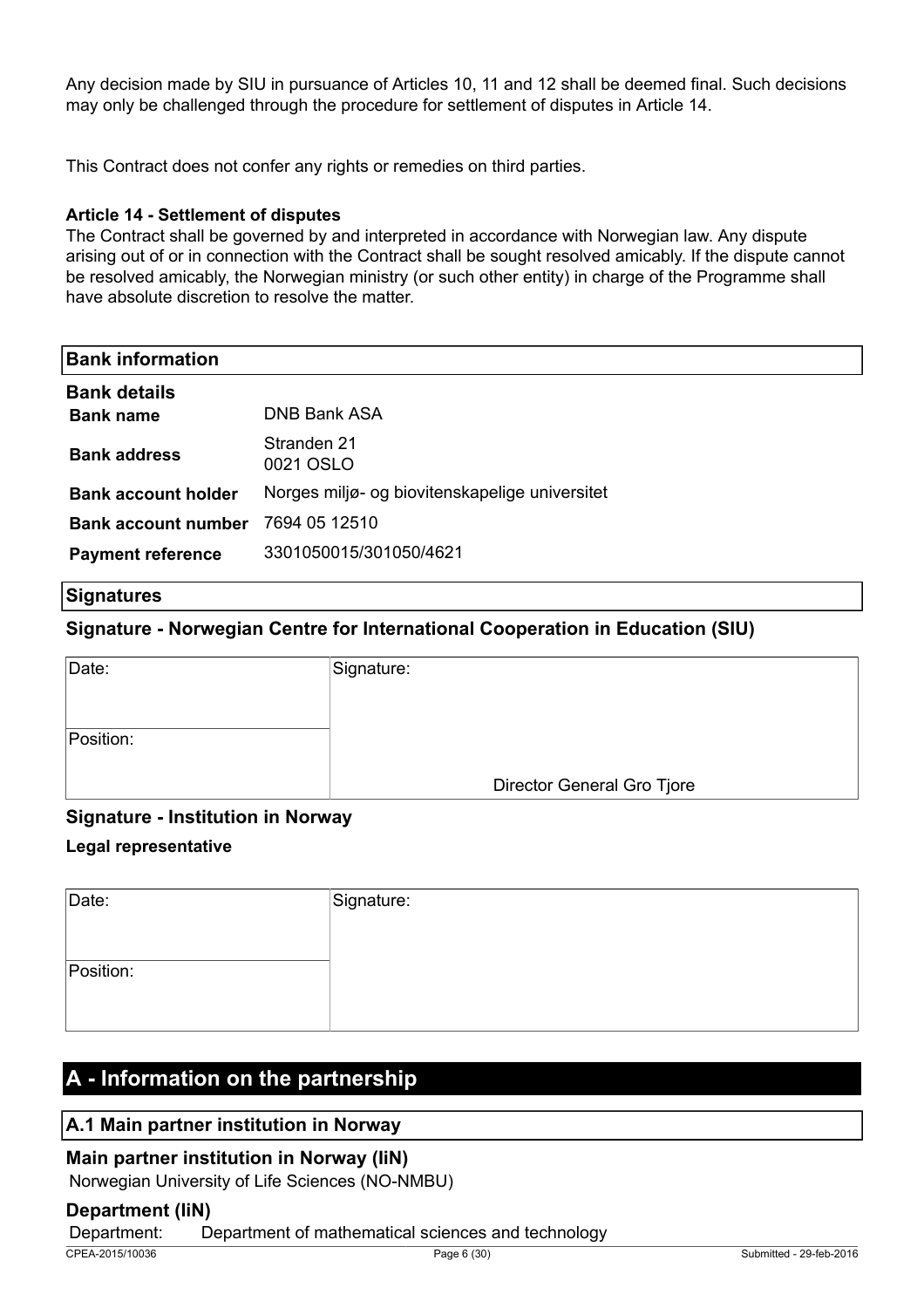Any decision made by SIU in pursuance of Articles 10, 11 and 12 shall be deemed final. Such decisions may only be challenged through the procedure for settlement of disputes in Article 14.

This Contract does not confer any rights or remedies on third parties.

### **Article 14 - Settlement of disputes**

The Contract shall be governed by and interpreted in accordance with Norwegian law. Any dispute arising out of or in connection with the Contract shall be sought resolved amicably. If the dispute cannot be resolved amicably, the Norwegian ministry (or such other entity) in charge of the Programme shall have absolute discretion to resolve the matter.

| <b>Bank information</b>    |                                                |
|----------------------------|------------------------------------------------|
| <b>Bank details</b>        | DNB Bank ASA                                   |
| <b>Bank name</b>           |                                                |
| <b>Bank address</b>        | Stranden 21<br>0021 OSLO                       |
| <b>Bank account holder</b> | Norges miljø- og biovitenskapelige universitet |
| <b>Bank account number</b> | 7694 05 12510                                  |
| <b>Payment reference</b>   | 3301050015/301050/4621                         |

#### **Signatures**

### **Signature - Norwegian Centre for International Cooperation in Education (SIU)**

| Date:     | Signature:                 |
|-----------|----------------------------|
|           |                            |
| Position: |                            |
|           | Director General Gro Tjore |

### **Signature - Institution in Norway**

### **Legal representative**

| Date:     | Signature: |
|-----------|------------|
|           |            |
| Position: |            |
|           |            |
|           |            |

### **A - Information on the partnership**

### **A.1 Main partner institution in Norway**

### **Main partner institution in Norway (IiN)**

Norwegian University of Life Sciences (NO-NMBU)

### **Department (IiN)**

Department: Department of mathematical sciences and technology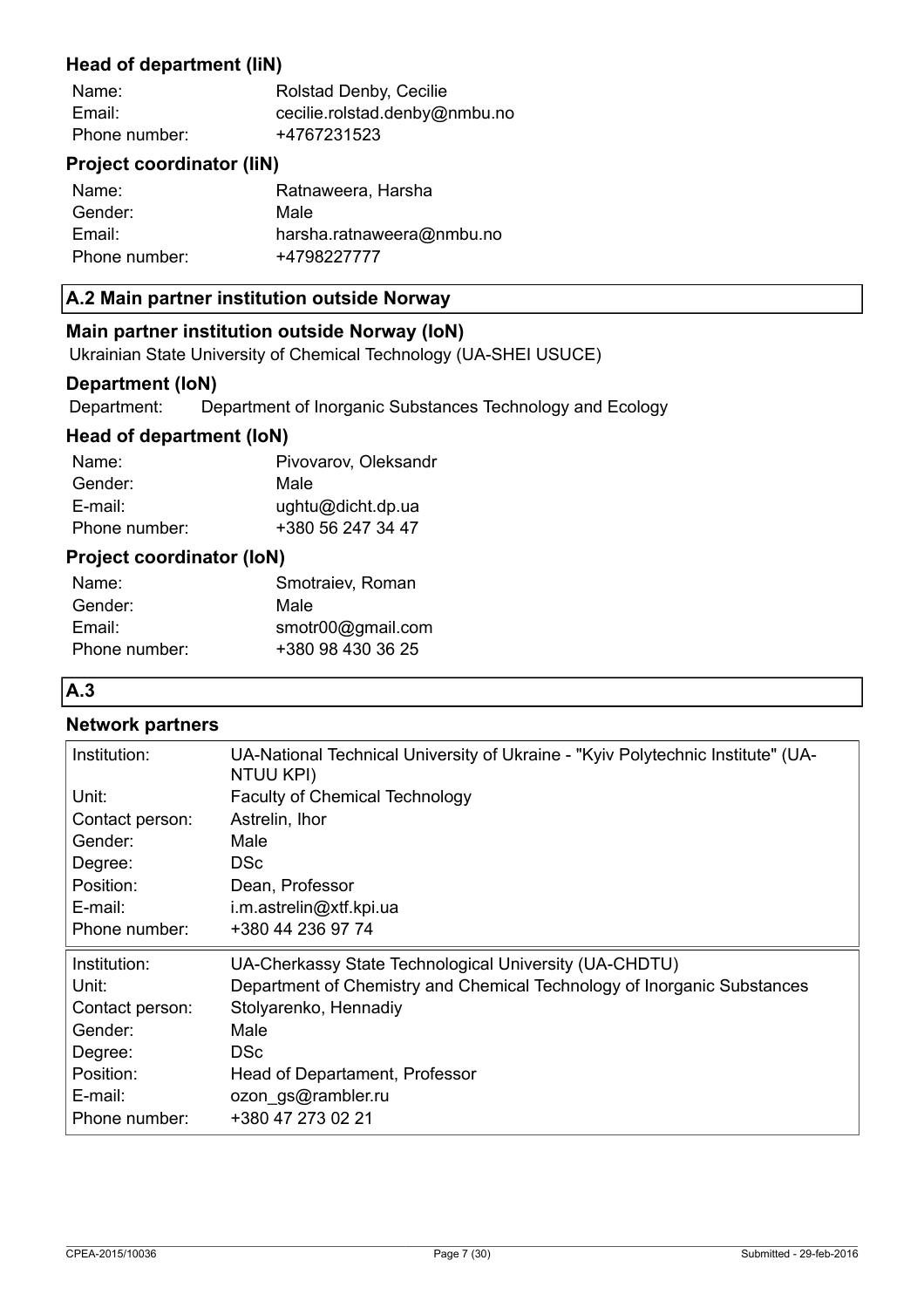### **Head of department (IiN)**

| Name:         | Rolstad Denby, Cecilie        |
|---------------|-------------------------------|
| Email:        | cecilie.rolstad.denby@nmbu.no |
| Phone number: | +4767231523                   |

### **Project coordinator (IiN)**

| Name:         | Ratnaweera, Harsha        |
|---------------|---------------------------|
| Gender:       | Male                      |
| Email:        | harsha.ratnaweera@nmbu.no |
| Phone number: | +4798227777               |

### **A.2 Main partner institution outside Norway**

### **Main partner institution outside Norway (IoN)**

Ukrainian State University of Chemical Technology (UA-SHEI USUCE)

### **Department (IoN)**

Department: Department of Inorganic Substances Technology and Ecology

### **Head of department (IoN)**

| Pivovarov, Oleksandr |
|----------------------|
| Male                 |
| ughtu@dicht.dp.ua    |
| +380 56 247 34 47    |
|                      |

### **Project coordinator (IoN)**

| Name:         | Smotraiev, Roman  |
|---------------|-------------------|
| Gender:       | Male              |
| Email:        | smotr00@gmail.com |
| Phone number: | +380 98 430 36 25 |

### **A.3**

### **Network partners**

| Institution:    | UA-National Technical University of Ukraine - "Kyiv Polytechnic Institute" (UA-<br>NTUU KPI) |
|-----------------|----------------------------------------------------------------------------------------------|
| Unit:           | <b>Faculty of Chemical Technology</b>                                                        |
| Contact person: | Astrelin, Ihor                                                                               |
| Gender:         | Male                                                                                         |
| Degree:         | <b>DSc</b>                                                                                   |
| Position:       | Dean, Professor                                                                              |
| E-mail:         | i.m.astrelin@xtf.kpi.ua                                                                      |
| Phone number:   | +380 44 236 97 74                                                                            |
| Institution:    | UA-Cherkassy State Technological University (UA-CHDTU)                                       |
| Unit:           | Department of Chemistry and Chemical Technology of Inorganic Substances                      |
| Contact person: | Stolyarenko, Hennadiy                                                                        |
| Gender:         | Male                                                                                         |
| Degree:         | <b>DSc</b>                                                                                   |
| Position:       | Head of Departament, Professor                                                               |
| E-mail:         | ozon_gs@rambler.ru                                                                           |
| Phone number:   | +380 47 273 02 21                                                                            |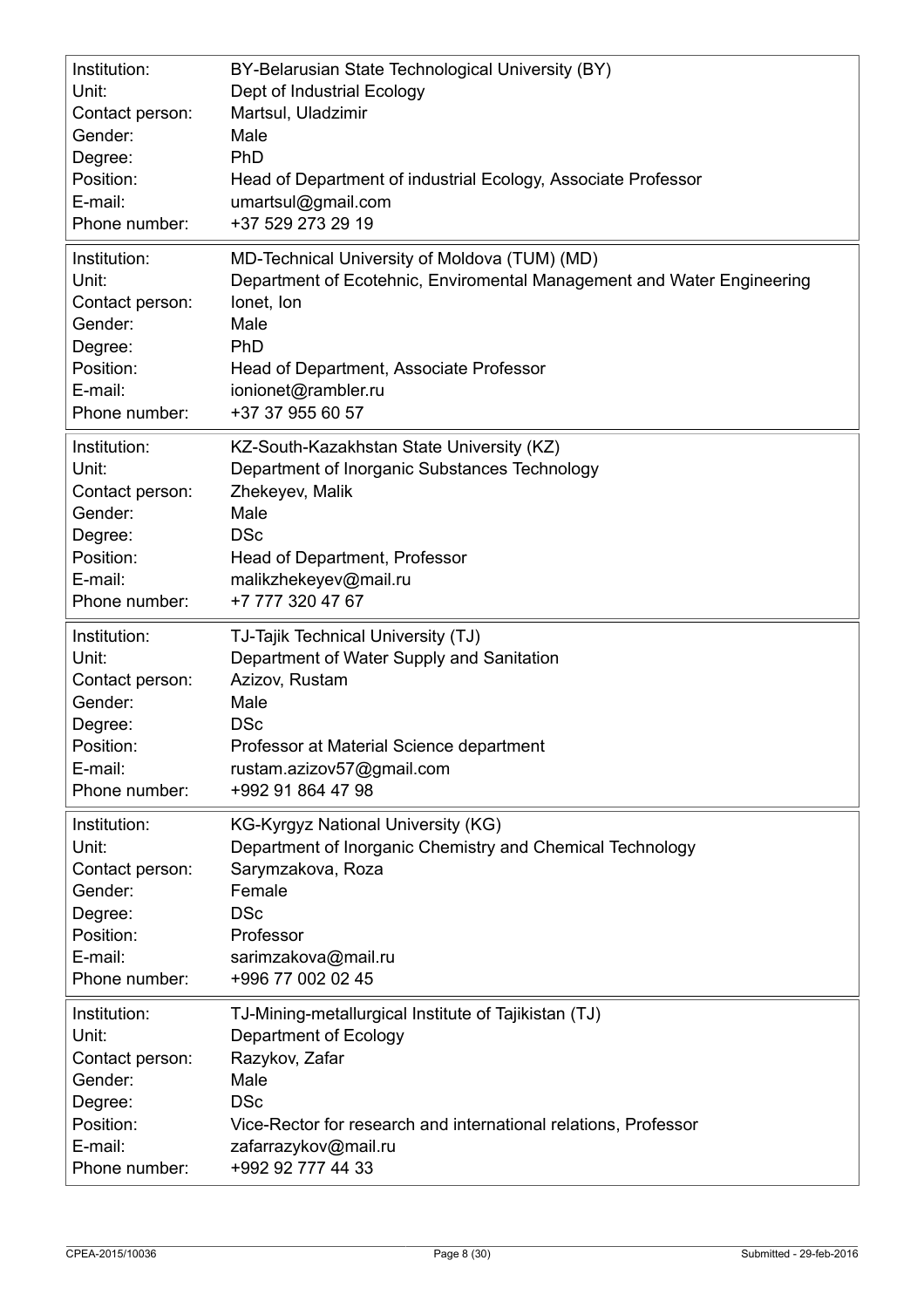| Institution:    | BY-Belarusian State Technological University (BY)                      |
|-----------------|------------------------------------------------------------------------|
| Unit:           | Dept of Industrial Ecology                                             |
| Contact person: | Martsul, Uladzimir                                                     |
| Gender:         | Male                                                                   |
| Degree:         | PhD                                                                    |
| Position:       | Head of Department of industrial Ecology, Associate Professor          |
| E-mail:         | umartsul@gmail.com                                                     |
| Phone number:   | +37 529 273 29 19                                                      |
| Institution:    | MD-Technical University of Moldova (TUM) (MD)                          |
| Unit:           | Department of Ecotehnic, Enviromental Management and Water Engineering |
| Contact person: | lonet, Ion                                                             |
| Gender:         | Male                                                                   |
| Degree:         | PhD                                                                    |
| Position:       | Head of Department, Associate Professor                                |
| E-mail:         | ionionet@rambler.ru                                                    |
| Phone number:   | +37 37 955 60 57                                                       |
| Institution:    | KZ-South-Kazakhstan State University (KZ)                              |
| Unit:           | Department of Inorganic Substances Technology                          |
| Contact person: | Zhekeyev, Malik                                                        |
| Gender:         | Male                                                                   |
| Degree:         | <b>DSc</b>                                                             |
| Position:       | Head of Department, Professor                                          |
| E-mail:         | malikzhekeyev@mail.ru                                                  |
| Phone number:   | +7 777 320 47 67                                                       |
| Institution:    | TJ-Tajik Technical University (TJ)                                     |
| Unit:           | Department of Water Supply and Sanitation                              |
| Contact person: | Azizov, Rustam                                                         |
| Gender:         | Male                                                                   |
| Degree:         | <b>DSc</b>                                                             |
| Position:       | Professor at Material Science department                               |
| E-mail:         | rustam.azizov57@gmail.com                                              |
| Phone number:   | +992 91 864 47 98                                                      |
| Institution:    | <b>KG-Kyrgyz National University (KG)</b>                              |
| Unit:           | Department of Inorganic Chemistry and Chemical Technology              |
| Contact person: | Sarymzakova, Roza                                                      |
| Gender:         | Female                                                                 |
| Degree:         | <b>DSc</b>                                                             |
| Position:       | Professor                                                              |
| E-mail:         | sarimzakova@mail.ru                                                    |
| Phone number:   | +996 77 002 02 45                                                      |
| Institution:    | TJ-Mining-metallurgical Institute of Tajikistan (TJ)                   |
| Unit:           | Department of Ecology                                                  |
| Contact person: | Razykov, Zafar                                                         |
| Gender:         | Male                                                                   |
| Degree:         | <b>DSc</b>                                                             |
| Position:       | Vice-Rector for research and international relations, Professor        |
| E-mail:         | zafarrazykov@mail.ru                                                   |
| Phone number:   | +992 92 777 44 33                                                      |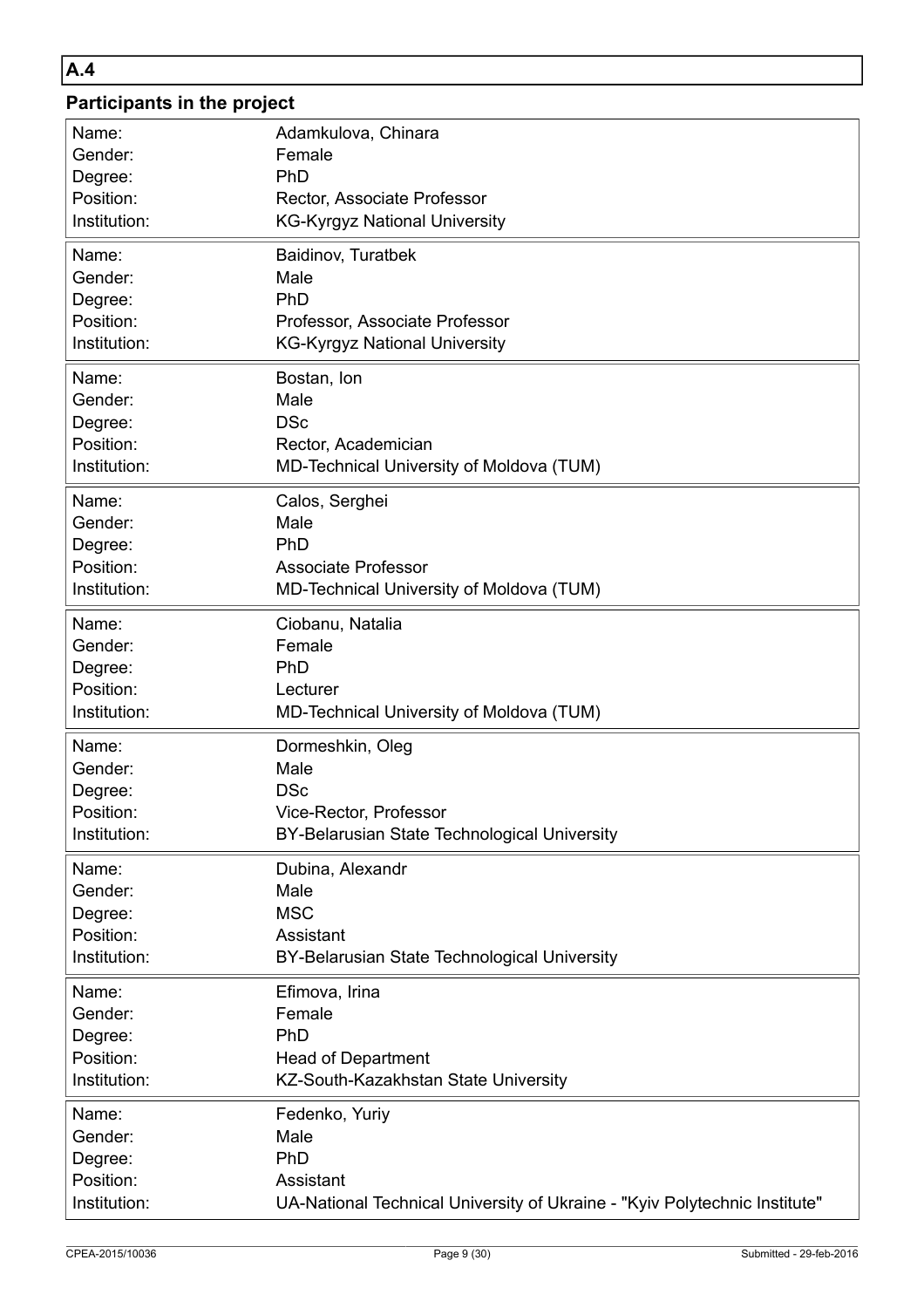### **A.4**

# **Participants in the project**

| Name:        | Adamkulova, Chinara                                                        |
|--------------|----------------------------------------------------------------------------|
| Gender:      | Female                                                                     |
| Degree:      | PhD                                                                        |
| Position:    | Rector, Associate Professor                                                |
| Institution: | <b>KG-Kyrgyz National University</b>                                       |
| Name:        | Baidinov, Turatbek                                                         |
| Gender:      | Male                                                                       |
| Degree:      | PhD                                                                        |
| Position:    | Professor, Associate Professor                                             |
| Institution: | <b>KG-Kyrgyz National University</b>                                       |
| Name:        | Bostan, Ion                                                                |
| Gender:      | Male                                                                       |
| Degree:      | <b>DSc</b>                                                                 |
| Position:    | Rector, Academician                                                        |
| Institution: | MD-Technical University of Moldova (TUM)                                   |
| Name:        | Calos, Serghei                                                             |
| Gender:      | Male                                                                       |
| Degree:      | PhD                                                                        |
| Position:    | <b>Associate Professor</b>                                                 |
| Institution: | MD-Technical University of Moldova (TUM)                                   |
| Name:        | Ciobanu, Natalia                                                           |
| Gender:      | Female                                                                     |
| Degree:      | PhD                                                                        |
| Position:    | Lecturer                                                                   |
| Institution: | MD-Technical University of Moldova (TUM)                                   |
| Name:        | Dormeshkin, Oleg                                                           |
| Gender:      | Male                                                                       |
| Degree:      | <b>DSc</b>                                                                 |
| Position:    | Vice-Rector, Professor                                                     |
| Institution: | BY-Belarusian State Technological University                               |
| Name:        | Dubina, Alexandr                                                           |
| Gender:      | Male                                                                       |
| Degree:      | <b>MSC</b>                                                                 |
| Position:    | Assistant                                                                  |
| Institution: | BY-Belarusian State Technological University                               |
| Name:        | Efimova, Irina                                                             |
| Gender:      | Female                                                                     |
| Degree:      | PhD                                                                        |
| Position:    | <b>Head of Department</b>                                                  |
| Institution: | KZ-South-Kazakhstan State University                                       |
| Name:        | Fedenko, Yuriy                                                             |
| Gender:      | Male                                                                       |
| Degree:      | PhD                                                                        |
| Position:    | Assistant                                                                  |
| Institution: | UA-National Technical University of Ukraine - "Kyiv Polytechnic Institute" |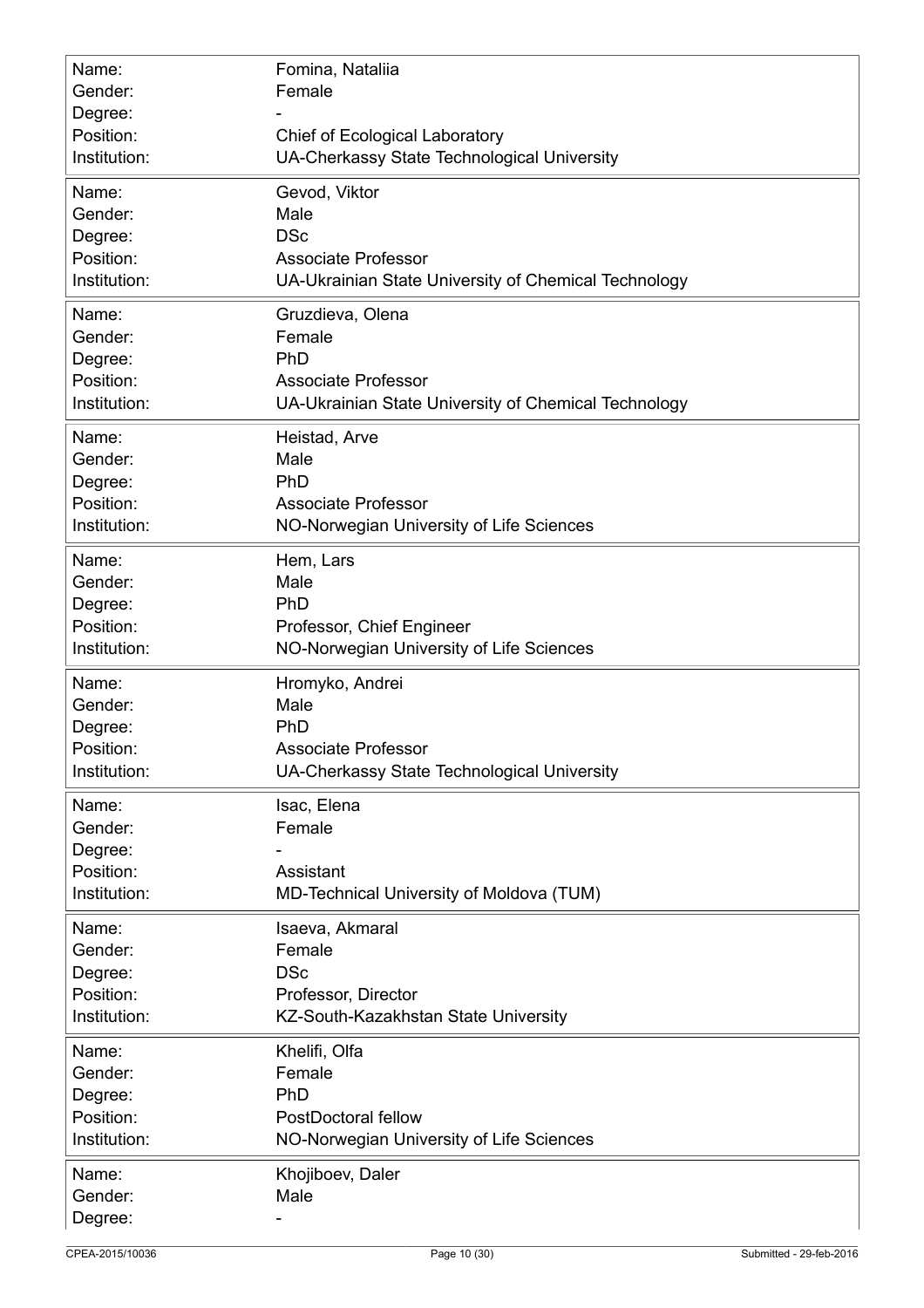| Name:<br>Gender:<br>Degree:<br>Position:<br>Institution: | Fomina, Nataliia<br>Female<br><b>Chief of Ecological Laboratory</b><br>UA-Cherkassy State Technological University |
|----------------------------------------------------------|--------------------------------------------------------------------------------------------------------------------|
| Name:                                                    | Gevod, Viktor                                                                                                      |
| Gender:                                                  | Male                                                                                                               |
| Degree:                                                  | <b>DSc</b>                                                                                                         |
| Position:                                                | <b>Associate Professor</b>                                                                                         |
| Institution:                                             | UA-Ukrainian State University of Chemical Technology                                                               |
| Name:                                                    | Gruzdieva, Olena                                                                                                   |
| Gender:                                                  | Female                                                                                                             |
| Degree:                                                  | PhD                                                                                                                |
| Position:                                                | <b>Associate Professor</b>                                                                                         |
| Institution:                                             | UA-Ukrainian State University of Chemical Technology                                                               |
| Name:                                                    | Heistad, Arve                                                                                                      |
| Gender:                                                  | Male                                                                                                               |
| Degree:                                                  | PhD                                                                                                                |
| Position:                                                | <b>Associate Professor</b>                                                                                         |
| Institution:                                             | NO-Norwegian University of Life Sciences                                                                           |
| Name:                                                    | Hem, Lars                                                                                                          |
| Gender:                                                  | Male                                                                                                               |
| Degree:                                                  | PhD                                                                                                                |
| Position:                                                | Professor, Chief Engineer                                                                                          |
| Institution:                                             | NO-Norwegian University of Life Sciences                                                                           |
| Name:                                                    | Hromyko, Andrei                                                                                                    |
| Gender:                                                  | Male                                                                                                               |
| Degree:                                                  | PhD                                                                                                                |
| Position:                                                | Associate Professor                                                                                                |
| Institution:                                             | UA-Cherkassy State Technological University                                                                        |
| Name:<br>Gender:<br>Degree:<br>Position:<br>Institution: | Isac, Elena<br>Female<br>Assistant<br>MD-Technical University of Moldova (TUM)                                     |
| Name:                                                    | Isaeva, Akmaral                                                                                                    |
| Gender:                                                  | Female                                                                                                             |
| Degree:                                                  | <b>DSc</b>                                                                                                         |
| Position:                                                | Professor, Director                                                                                                |
| Institution:                                             | KZ-South-Kazakhstan State University                                                                               |
| Name:                                                    | Khelifi, Olfa                                                                                                      |
| Gender:                                                  | Female                                                                                                             |
| Degree:                                                  | PhD                                                                                                                |
| Position:                                                | PostDoctoral fellow                                                                                                |
| Institution:                                             | NO-Norwegian University of Life Sciences                                                                           |
| Name:<br>Gender:<br>Degree:                              | Khojiboev, Daler<br>Male                                                                                           |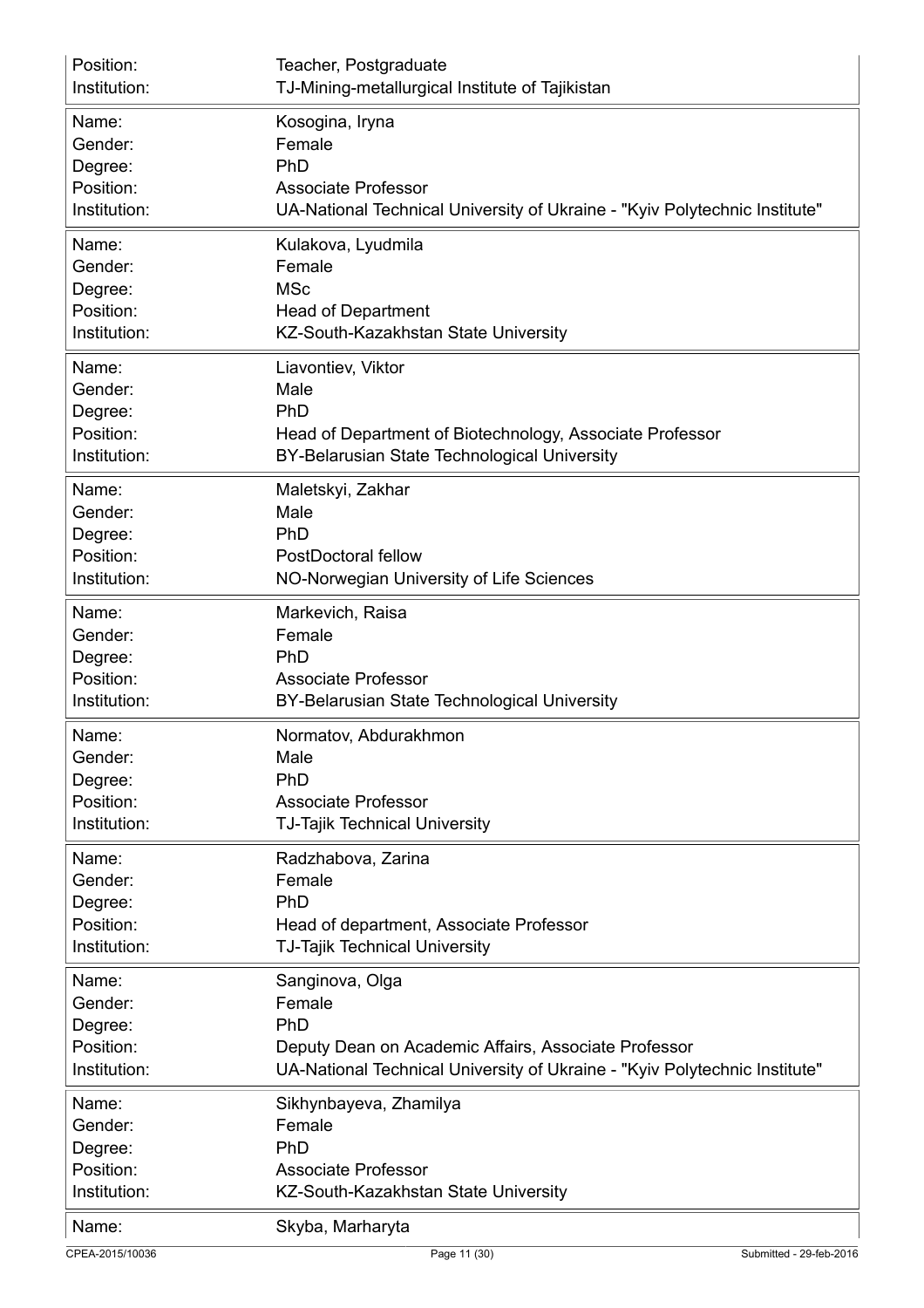| Position:    | Teacher, Postgraduate                                                      |
|--------------|----------------------------------------------------------------------------|
| Institution: | TJ-Mining-metallurgical Institute of Tajikistan                            |
| Name:        | Kosogina, Iryna                                                            |
| Gender:      | Female                                                                     |
| Degree:      | PhD                                                                        |
| Position:    | <b>Associate Professor</b>                                                 |
| Institution: | UA-National Technical University of Ukraine - "Kyiv Polytechnic Institute" |
| Name:        | Kulakova, Lyudmila                                                         |
| Gender:      | Female                                                                     |
| Degree:      | <b>MSc</b>                                                                 |
| Position:    | <b>Head of Department</b>                                                  |
| Institution: | KZ-South-Kazakhstan State University                                       |
| Name:        | Liavontiev, Viktor                                                         |
| Gender:      | Male                                                                       |
| Degree:      | PhD                                                                        |
| Position:    | Head of Department of Biotechnology, Associate Professor                   |
| Institution: | BY-Belarusian State Technological University                               |
| Name:        | Maletskyi, Zakhar                                                          |
| Gender:      | Male                                                                       |
| Degree:      | PhD                                                                        |
| Position:    | PostDoctoral fellow                                                        |
| Institution: | NO-Norwegian University of Life Sciences                                   |
| Name:        | Markevich, Raisa                                                           |
| Gender:      | Female                                                                     |
| Degree:      | PhD                                                                        |
| Position:    | <b>Associate Professor</b>                                                 |
| Institution: | BY-Belarusian State Technological University                               |
| Name:        | Normatov, Abdurakhmon                                                      |
| Gender:      | Male                                                                       |
| Degree:      | PhD                                                                        |
| Position:    | <b>Associate Professor</b>                                                 |
| Institution: | <b>TJ-Tajik Technical University</b>                                       |
| Name:        | Radzhabova, Zarina                                                         |
| Gender:      | Female                                                                     |
| Degree:      | PhD                                                                        |
| Position:    | Head of department, Associate Professor                                    |
| Institution: | <b>TJ-Tajik Technical University</b>                                       |
| Name:        | Sanginova, Olga                                                            |
| Gender:      | Female                                                                     |
| Degree:      | PhD                                                                        |
| Position:    | Deputy Dean on Academic Affairs, Associate Professor                       |
| Institution: | UA-National Technical University of Ukraine - "Kyiv Polytechnic Institute" |
| Name:        | Sikhynbayeva, Zhamilya                                                     |
| Gender:      | Female                                                                     |
| Degree:      | PhD                                                                        |
| Position:    | <b>Associate Professor</b>                                                 |
| Institution: | KZ-South-Kazakhstan State University                                       |
| Name:        | Skyba, Marharyta                                                           |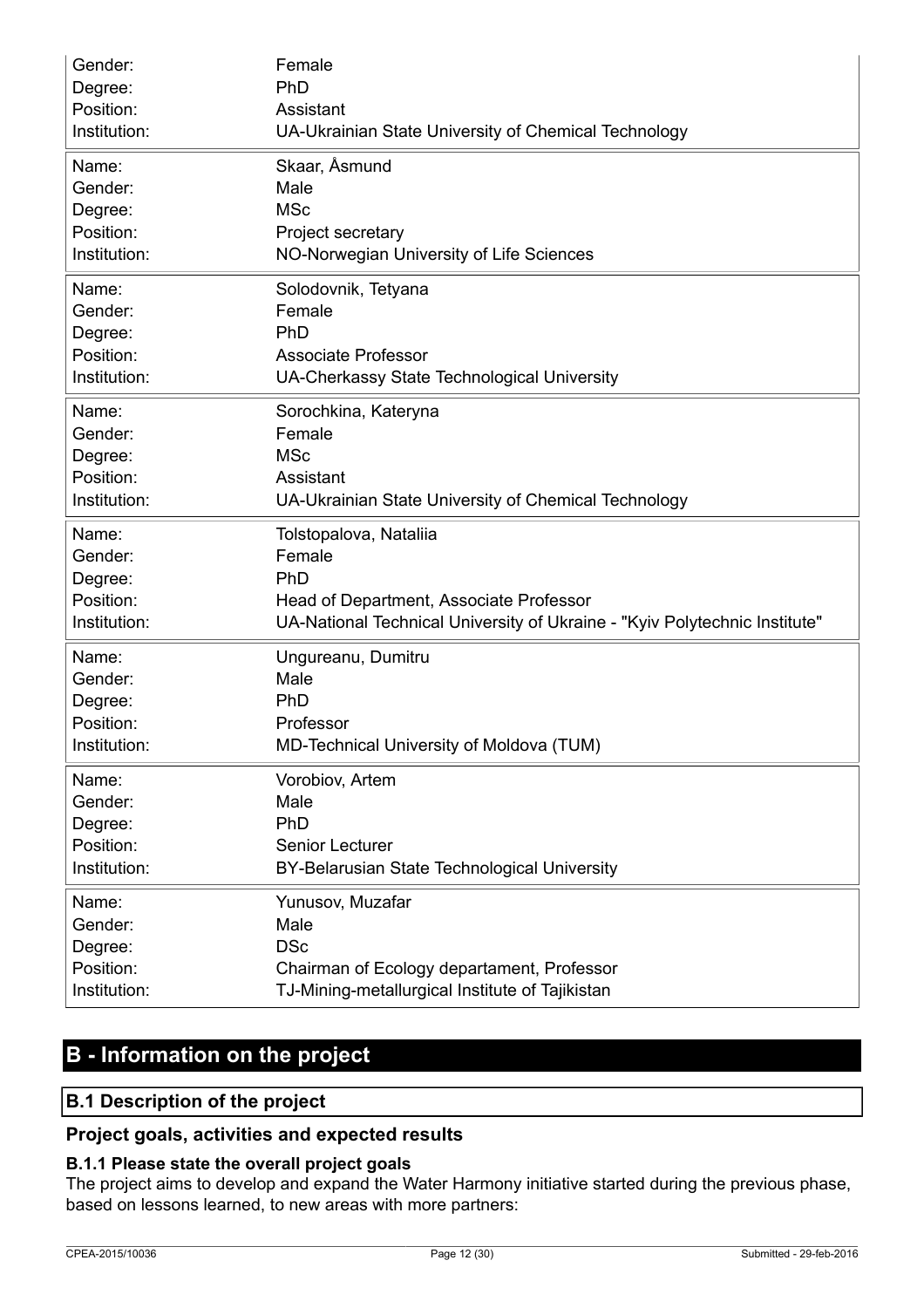| Gender:      | Female                                                                     |
|--------------|----------------------------------------------------------------------------|
| Degree:      | PhD                                                                        |
| Position:    | Assistant                                                                  |
| Institution: | UA-Ukrainian State University of Chemical Technology                       |
| Name:        | Skaar, Åsmund                                                              |
| Gender:      | Male                                                                       |
| Degree:      | <b>MSc</b>                                                                 |
| Position:    | Project secretary                                                          |
| Institution: | NO-Norwegian University of Life Sciences                                   |
| Name:        | Solodovnik, Tetyana                                                        |
| Gender:      | Female                                                                     |
| Degree:      | PhD                                                                        |
| Position:    | <b>Associate Professor</b>                                                 |
| Institution: | UA-Cherkassy State Technological University                                |
| Name:        | Sorochkina, Kateryna                                                       |
| Gender:      | Female                                                                     |
| Degree:      | <b>MSc</b>                                                                 |
| Position:    | Assistant                                                                  |
| Institution: | UA-Ukrainian State University of Chemical Technology                       |
| Name:        | Tolstopalova, Nataliia                                                     |
| Gender:      | Female                                                                     |
| Degree:      | PhD                                                                        |
| Position:    | Head of Department, Associate Professor                                    |
| Institution: | UA-National Technical University of Ukraine - "Kyiv Polytechnic Institute" |
| Name:        | Ungureanu, Dumitru                                                         |
| Gender:      | Male                                                                       |
| Degree:      | PhD                                                                        |
| Position:    | Professor                                                                  |
| Institution: | MD-Technical University of Moldova (TUM)                                   |
| Name:        | Vorobiov, Artem                                                            |
| Gender:      | Male                                                                       |
| Degree:      | PhD                                                                        |
| Position:    | Senior Lecturer                                                            |
| Institution: | BY-Belarusian State Technological University                               |
| Name:        | Yunusov, Muzafar                                                           |
| Gender:      | Male                                                                       |
| Degree:      | <b>DSc</b>                                                                 |
| Position:    | Chairman of Ecology departament, Professor                                 |
| Institution: | TJ-Mining-metallurgical Institute of Tajikistan                            |

# **B - Information on the project**

### **B.1 Description of the project**

### **Project goals, activities and expected results**

### **B.1.1 Please state the overall project goals**

The project aims to develop and expand the Water Harmony initiative started during the previous phase, based on lessons learned, to new areas with more partners: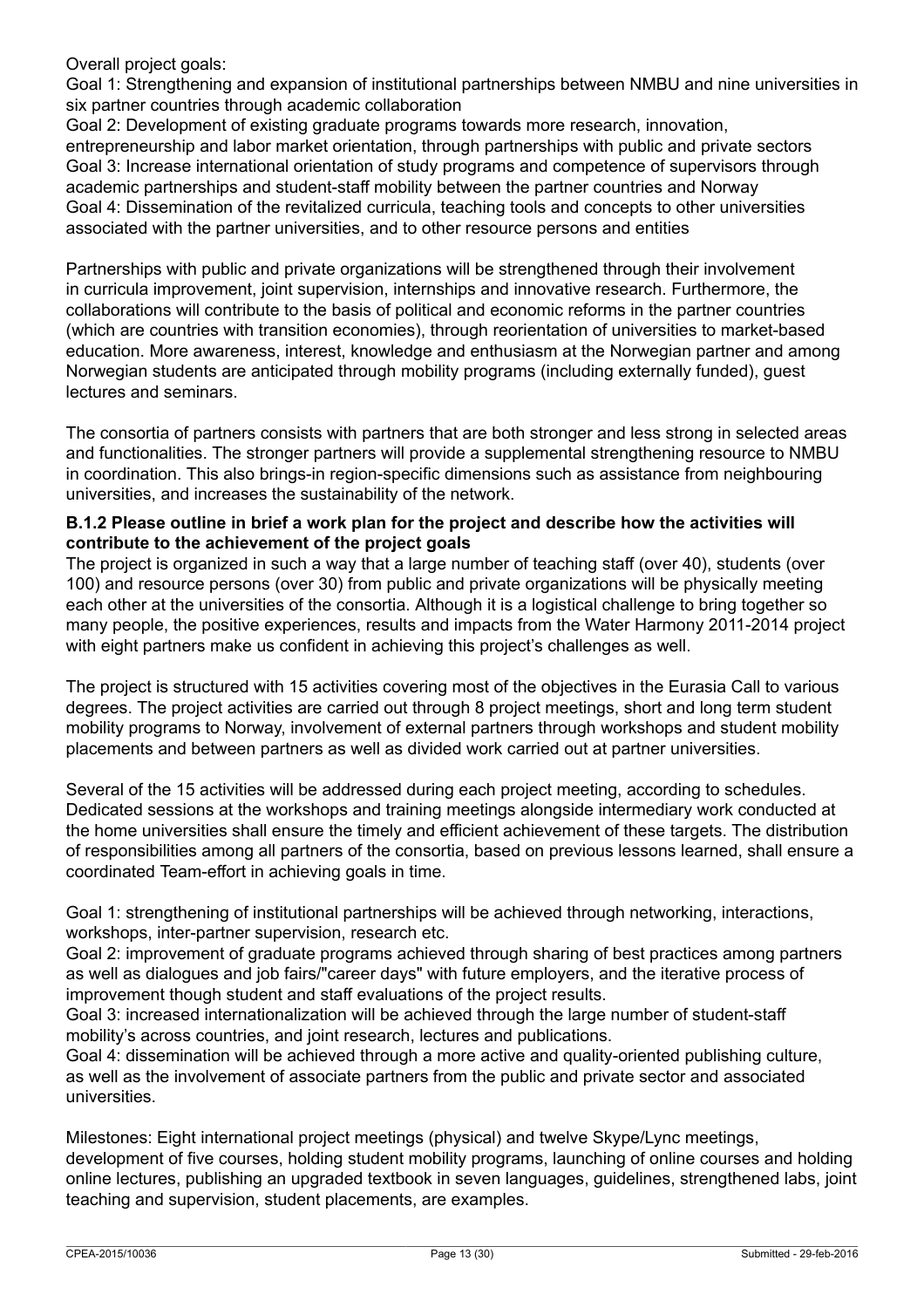Overall project goals:

Goal 1: Strengthening and expansion of institutional partnerships between NMBU and nine universities in six partner countries through academic collaboration

Goal 2: Development of existing graduate programs towards more research, innovation, entrepreneurship and labor market orientation, through partnerships with public and private sectors Goal 3: Increase international orientation of study programs and competence of supervisors through academic partnerships and student-staff mobility between the partner countries and Norway Goal 4: Dissemination of the revitalized curricula, teaching tools and concepts to other universities associated with the partner universities, and to other resource persons and entities

Partnerships with public and private organizations will be strengthened through their involvement in curricula improvement, joint supervision, internships and innovative research. Furthermore, the collaborations will contribute to the basis of political and economic reforms in the partner countries (which are countries with transition economies), through reorientation of universities to market-based education. More awareness, interest, knowledge and enthusiasm at the Norwegian partner and among Norwegian students are anticipated through mobility programs (including externally funded), guest lectures and seminars.

The consortia of partners consists with partners that are both stronger and less strong in selected areas and functionalities. The stronger partners will provide a supplemental strengthening resource to NMBU in coordination. This also brings-in region-specific dimensions such as assistance from neighbouring universities, and increases the sustainability of the network.

### **B.1.2 Please outline in brief a work plan for the project and describe how the activities will contribute to the achievement of the project goals**

The project is organized in such a way that a large number of teaching staff (over 40), students (over 100) and resource persons (over 30) from public and private organizations will be physically meeting each other at the universities of the consortia. Although it is a logistical challenge to bring together so many people, the positive experiences, results and impacts from the Water Harmony 2011-2014 project with eight partners make us confident in achieving this project's challenges as well.

The project is structured with 15 activities covering most of the objectives in the Eurasia Call to various degrees. The project activities are carried out through 8 project meetings, short and long term student mobility programs to Norway, involvement of external partners through workshops and student mobility placements and between partners as well as divided work carried out at partner universities.

Several of the 15 activities will be addressed during each project meeting, according to schedules. Dedicated sessions at the workshops and training meetings alongside intermediary work conducted at the home universities shall ensure the timely and efficient achievement of these targets. The distribution of responsibilities among all partners of the consortia, based on previous lessons learned, shall ensure a coordinated Team-effort in achieving goals in time.

Goal 1: strengthening of institutional partnerships will be achieved through networking, interactions, workshops, inter-partner supervision, research etc.

Goal 2: improvement of graduate programs achieved through sharing of best practices among partners as well as dialogues and job fairs/"career days" with future employers, and the iterative process of improvement though student and staff evaluations of the project results.

Goal 3: increased internationalization will be achieved through the large number of student-staff mobility's across countries, and joint research, lectures and publications.

Goal 4: dissemination will be achieved through a more active and quality-oriented publishing culture, as well as the involvement of associate partners from the public and private sector and associated universities.

Milestones: Eight international project meetings (physical) and twelve Skype/Lync meetings, development of five courses, holding student mobility programs, launching of online courses and holding online lectures, publishing an upgraded textbook in seven languages, guidelines, strengthened labs, joint teaching and supervision, student placements, are examples.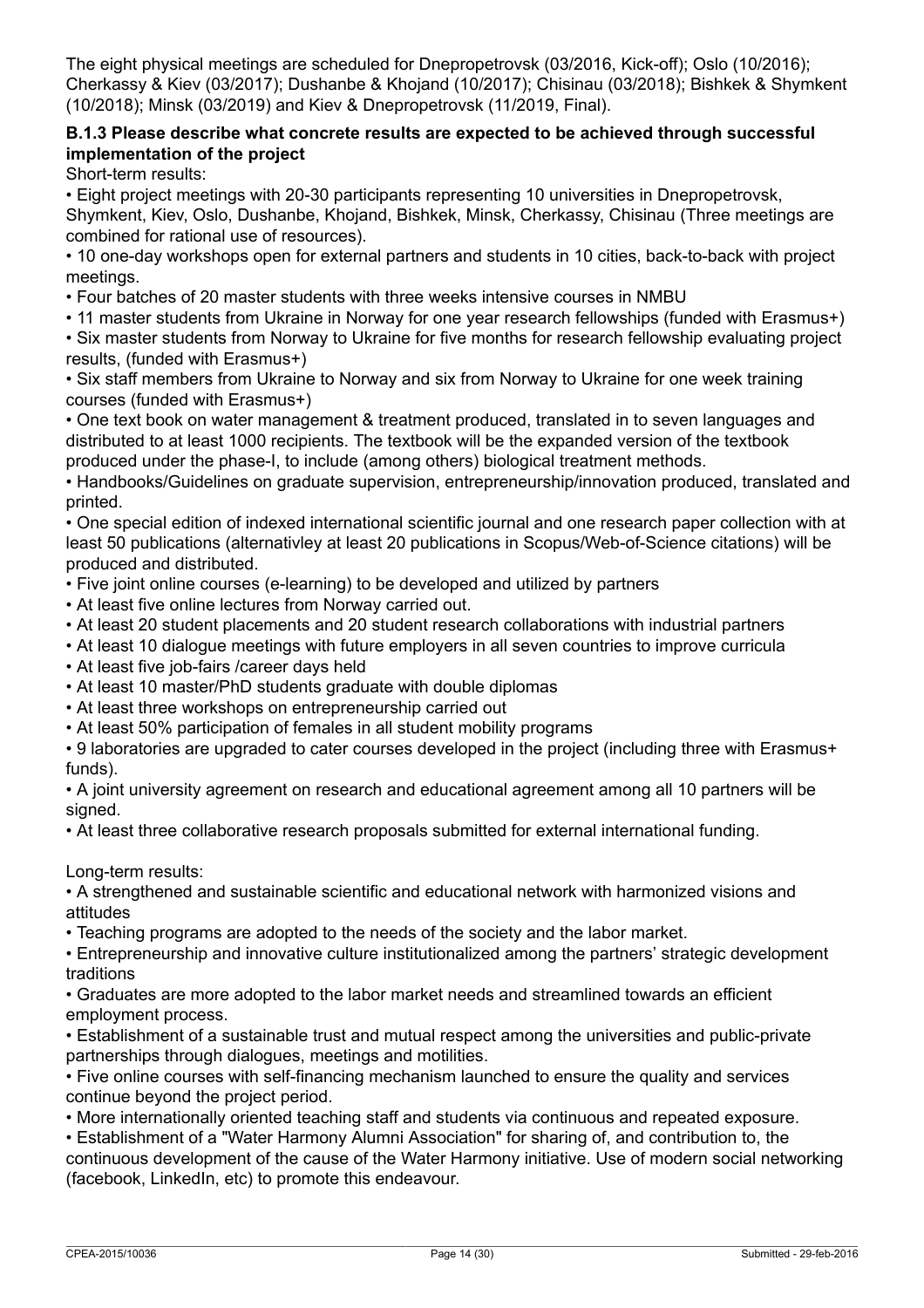The eight physical meetings are scheduled for Dnepropetrovsk (03/2016, Kick-off); Oslo (10/2016); Cherkassy & Kiev (03/2017); Dushanbe & Khojand (10/2017); Chisinau (03/2018); Bishkek & Shymkent (10/2018); Minsk (03/2019) and Kiev & Dnepropetrovsk (11/2019, Final).

### **B.1.3 Please describe what concrete results are expected to be achieved through successful implementation of the project**

Short-term results:

• Eight project meetings with 20-30 participants representing 10 universities in Dnepropetrovsk,

Shymkent, Kiev, Oslo, Dushanbe, Khojand, Bishkek, Minsk, Cherkassy, Chisinau (Three meetings are combined for rational use of resources).

• 10 one-day workshops open for external partners and students in 10 cities, back-to-back with project meetings.

• Four batches of 20 master students with three weeks intensive courses in NMBU

• 11 master students from Ukraine in Norway for one year research fellowships (funded with Erasmus+)

• Six master students from Norway to Ukraine for five months for research fellowship evaluating project results, (funded with Erasmus+)

• Six staff members from Ukraine to Norway and six from Norway to Ukraine for one week training courses (funded with Erasmus+)

• One text book on water management & treatment produced, translated in to seven languages and distributed to at least 1000 recipients. The textbook will be the expanded version of the textbook produced under the phase-I, to include (among others) biological treatment methods.

• Handbooks/Guidelines on graduate supervision, entrepreneurship/innovation produced, translated and printed.

• One special edition of indexed international scientific journal and one research paper collection with at least 50 publications (alternativley at least 20 publications in Scopus/Web-of-Science citations) will be produced and distributed.

• Five joint online courses (e-learning) to be developed and utilized by partners

- At least five online lectures from Norway carried out.
- At least 20 student placements and 20 student research collaborations with industrial partners
- At least 10 dialogue meetings with future employers in all seven countries to improve curricula
- At least five job-fairs /career days held
- At least 10 master/PhD students graduate with double diplomas
- At least three workshops on entrepreneurship carried out
- At least 50% participation of females in all student mobility programs

• 9 laboratories are upgraded to cater courses developed in the project (including three with Erasmus+ funds).

• A joint university agreement on research and educational agreement among all 10 partners will be signed.

• At least three collaborative research proposals submitted for external international funding.

Long-term results:

• A strengthened and sustainable scientific and educational network with harmonized visions and attitudes

• Teaching programs are adopted to the needs of the society and the labor market.

• Entrepreneurship and innovative culture institutionalized among the partners' strategic development traditions

• Graduates are more adopted to the labor market needs and streamlined towards an efficient employment process.

• Establishment of a sustainable trust and mutual respect among the universities and public-private partnerships through dialogues, meetings and motilities.

• Five online courses with self-financing mechanism launched to ensure the quality and services continue beyond the project period.

• More internationally oriented teaching staff and students via continuous and repeated exposure.

• Establishment of a "Water Harmony Alumni Association" for sharing of, and contribution to, the continuous development of the cause of the Water Harmony initiative. Use of modern social networking (facebook, LinkedIn, etc) to promote this endeavour.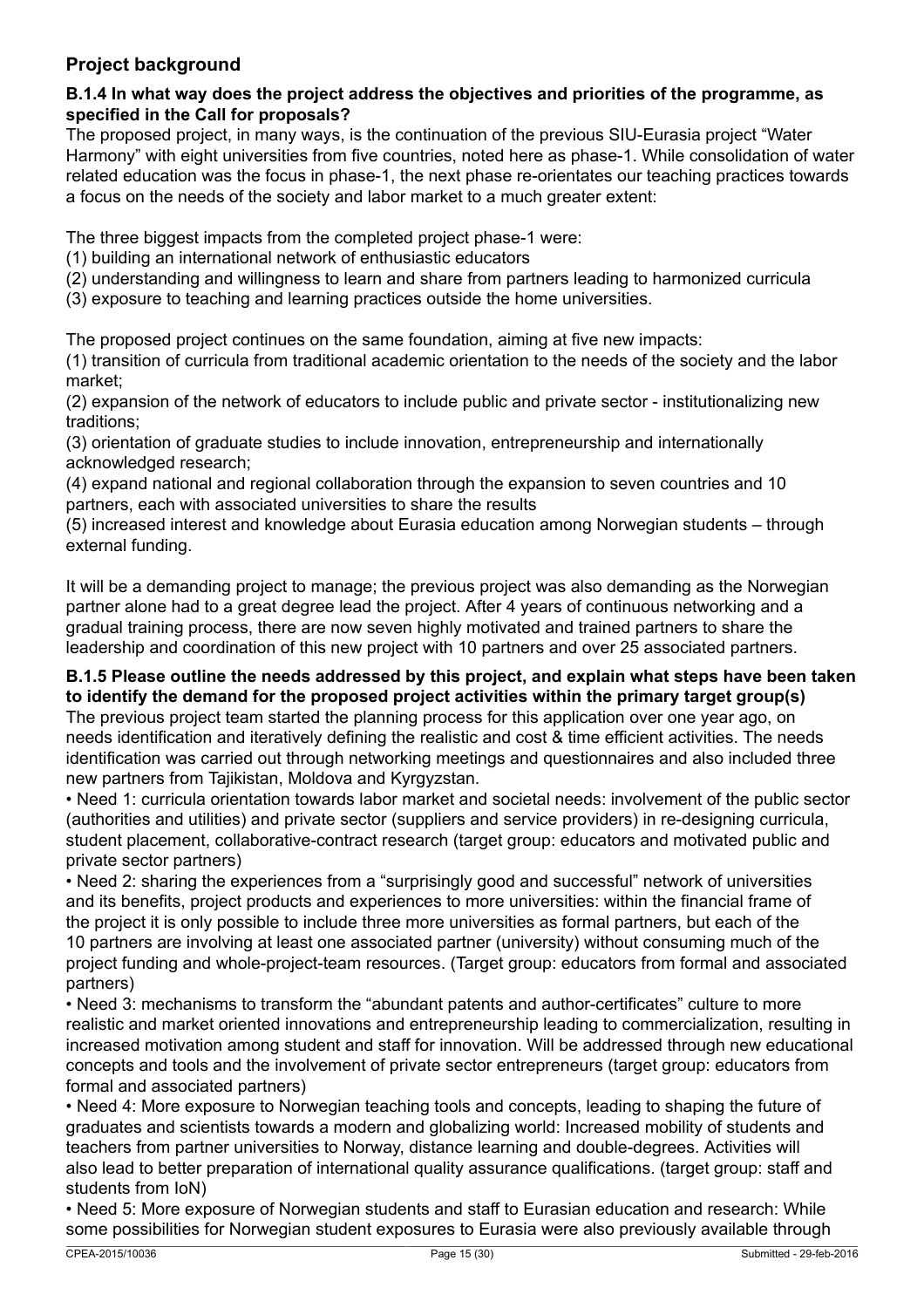### **Project background**

### **B.1.4 In what way does the project address the objectives and priorities of the programme, as specified in the Call for proposals?**

The proposed project, in many ways, is the continuation of the previous SIU-Eurasia project "Water Harmony" with eight universities from five countries, noted here as phase-1. While consolidation of water related education was the focus in phase-1, the next phase re-orientates our teaching practices towards a focus on the needs of the society and labor market to a much greater extent:

The three biggest impacts from the completed project phase-1 were:

- (1) building an international network of enthusiastic educators
- (2) understanding and willingness to learn and share from partners leading to harmonized curricula
- (3) exposure to teaching and learning practices outside the home universities.

The proposed project continues on the same foundation, aiming at five new impacts:

(1) transition of curricula from traditional academic orientation to the needs of the society and the labor market;

(2) expansion of the network of educators to include public and private sector - institutionalizing new traditions;

(3) orientation of graduate studies to include innovation, entrepreneurship and internationally acknowledged research;

(4) expand national and regional collaboration through the expansion to seven countries and 10 partners, each with associated universities to share the results

(5) increased interest and knowledge about Eurasia education among Norwegian students – through external funding.

It will be a demanding project to manage; the previous project was also demanding as the Norwegian partner alone had to a great degree lead the project. After 4 years of continuous networking and a gradual training process, there are now seven highly motivated and trained partners to share the leadership and coordination of this new project with 10 partners and over 25 associated partners.

### **B.1.5 Please outline the needs addressed by this project, and explain what steps have been taken to identify the demand for the proposed project activities within the primary target group(s)**

The previous project team started the planning process for this application over one year ago, on needs identification and iteratively defining the realistic and cost & time efficient activities. The needs identification was carried out through networking meetings and questionnaires and also included three new partners from Tajikistan, Moldova and Kyrgyzstan.

• Need 1: curricula orientation towards labor market and societal needs: involvement of the public sector (authorities and utilities) and private sector (suppliers and service providers) in re-designing curricula, student placement, collaborative-contract research (target group: educators and motivated public and private sector partners)

• Need 2: sharing the experiences from a "surprisingly good and successful" network of universities and its benefits, project products and experiences to more universities: within the financial frame of the project it is only possible to include three more universities as formal partners, but each of the 10 partners are involving at least one associated partner (university) without consuming much of the project funding and whole-project-team resources. (Target group: educators from formal and associated partners)

• Need 3: mechanisms to transform the "abundant patents and author-certificates" culture to more realistic and market oriented innovations and entrepreneurship leading to commercialization, resulting in increased motivation among student and staff for innovation. Will be addressed through new educational concepts and tools and the involvement of private sector entrepreneurs (target group: educators from formal and associated partners)

• Need 4: More exposure to Norwegian teaching tools and concepts, leading to shaping the future of graduates and scientists towards a modern and globalizing world: Increased mobility of students and teachers from partner universities to Norway, distance learning and double-degrees. Activities will also lead to better preparation of international quality assurance qualifications. (target group: staff and students from IoN)

• Need 5: More exposure of Norwegian students and staff to Eurasian education and research: While some possibilities for Norwegian student exposures to Eurasia were also previously available through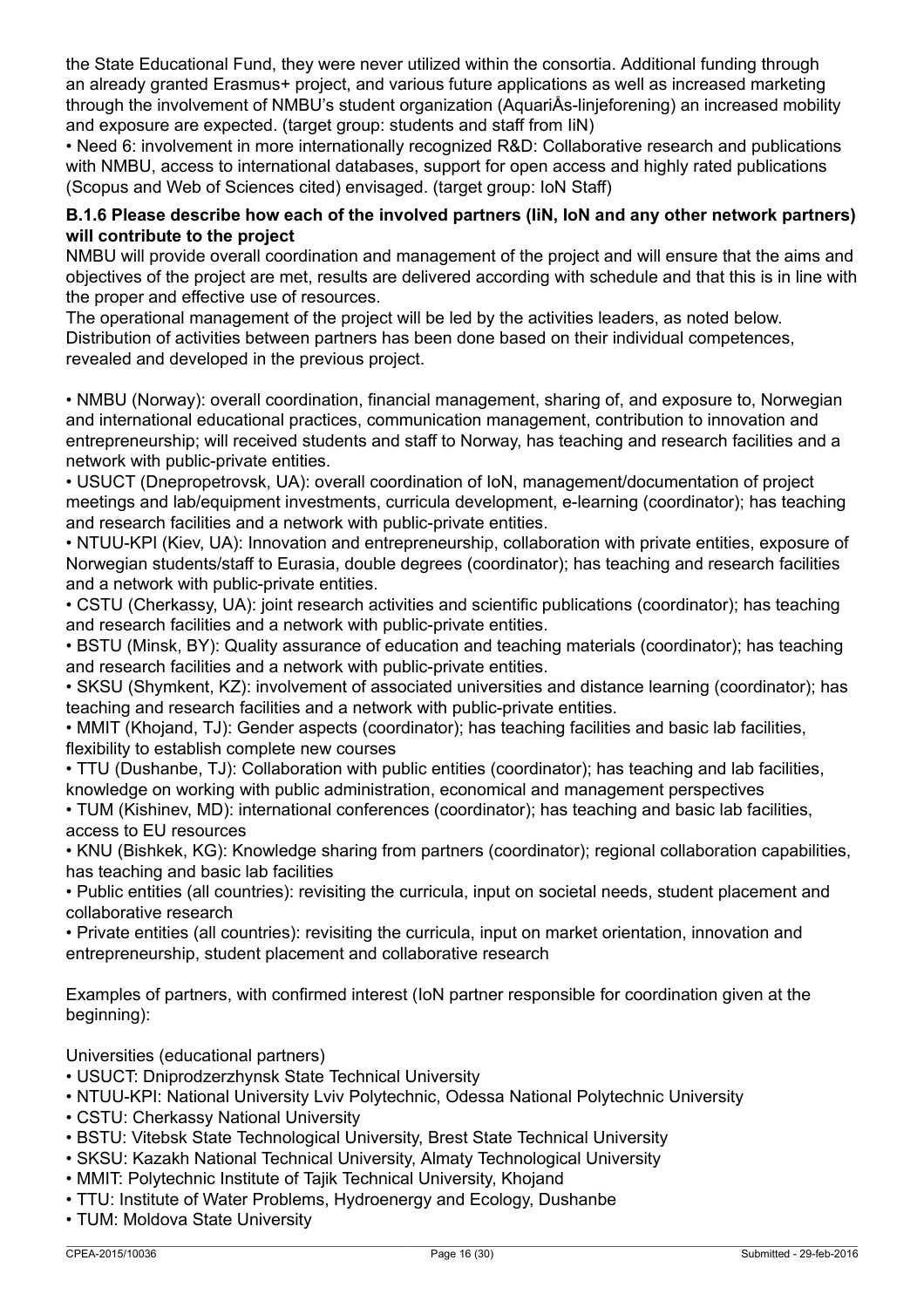the State Educational Fund, they were never utilized within the consortia. Additional funding through an already granted Erasmus+ project, and various future applications as well as increased marketing through the involvement of NMBU's student organization (AquariÅs-linjeforening) an increased mobility and exposure are expected. (target group: students and staff from IiN)

• Need 6: involvement in more internationally recognized R&D: Collaborative research and publications with NMBU, access to international databases, support for open access and highly rated publications (Scopus and Web of Sciences cited) envisaged. (target group: IoN Staff)

### **B.1.6 Please describe how each of the involved partners (IiN, IoN and any other network partners) will contribute to the project**

NMBU will provide overall coordination and management of the project and will ensure that the aims and objectives of the project are met, results are delivered according with schedule and that this is in line with the proper and effective use of resources.

The operational management of the project will be led by the activities leaders, as noted below. Distribution of activities between partners has been done based on their individual competences, revealed and developed in the previous project.

• NMBU (Norway): overall coordination, financial management, sharing of, and exposure to, Norwegian and international educational practices, communication management, contribution to innovation and entrepreneurship; will received students and staff to Norway, has teaching and research facilities and a network with public-private entities.

• USUCT (Dnepropetrovsk, UA): overall coordination of IoN, management/documentation of project meetings and lab/equipment investments, curricula development, e-learning (coordinator); has teaching and research facilities and a network with public-private entities.

• NTUU-KPI (Kiev, UA): Innovation and entrepreneurship, collaboration with private entities, exposure of Norwegian students/staff to Eurasia, double degrees (coordinator); has teaching and research facilities and a network with public-private entities.

• CSTU (Cherkassy, UA): joint research activities and scientific publications (coordinator); has teaching and research facilities and a network with public-private entities.

• BSTU (Minsk, BY): Quality assurance of education and teaching materials (coordinator); has teaching and research facilities and a network with public-private entities.

• SKSU (Shymkent, KZ): involvement of associated universities and distance learning (coordinator); has teaching and research facilities and a network with public-private entities.

• MMIT (Khojand, TJ): Gender aspects (coordinator); has teaching facilities and basic lab facilities, flexibility to establish complete new courses

• TTU (Dushanbe, TJ): Collaboration with public entities (coordinator); has teaching and lab facilities, knowledge on working with public administration, economical and management perspectives

• TUM (Kishinev, MD): international conferences (coordinator); has teaching and basic lab facilities, access to EU resources

• KNU (Bishkek, KG): Knowledge sharing from partners (coordinator); regional collaboration capabilities, has teaching and basic lab facilities

• Public entities (all countries): revisiting the curricula, input on societal needs, student placement and collaborative research

• Private entities (all countries): revisiting the curricula, input on market orientation, innovation and entrepreneurship, student placement and collaborative research

Examples of partners, with confirmed interest (IoN partner responsible for coordination given at the beginning):

Universities (educational partners)

- USUCT: Dniprodzerzhynsk State Technical University
- NTUU-KPI: National University Lviv Polytechnic, Odessa National Polytechnic University
- CSTU: Cherkassy National University
- BSTU: Vitebsk State Technological University, Brest State Technical University
- SKSU: Kazakh National Technical University, Almaty Technological University
- MMIT: Polytechnic Institute of Tajik Technical University, Khojand
- TTU: Institute of Water Problems, Hydroenergy and Ecology, Dushanbe
- TUM: Moldova State University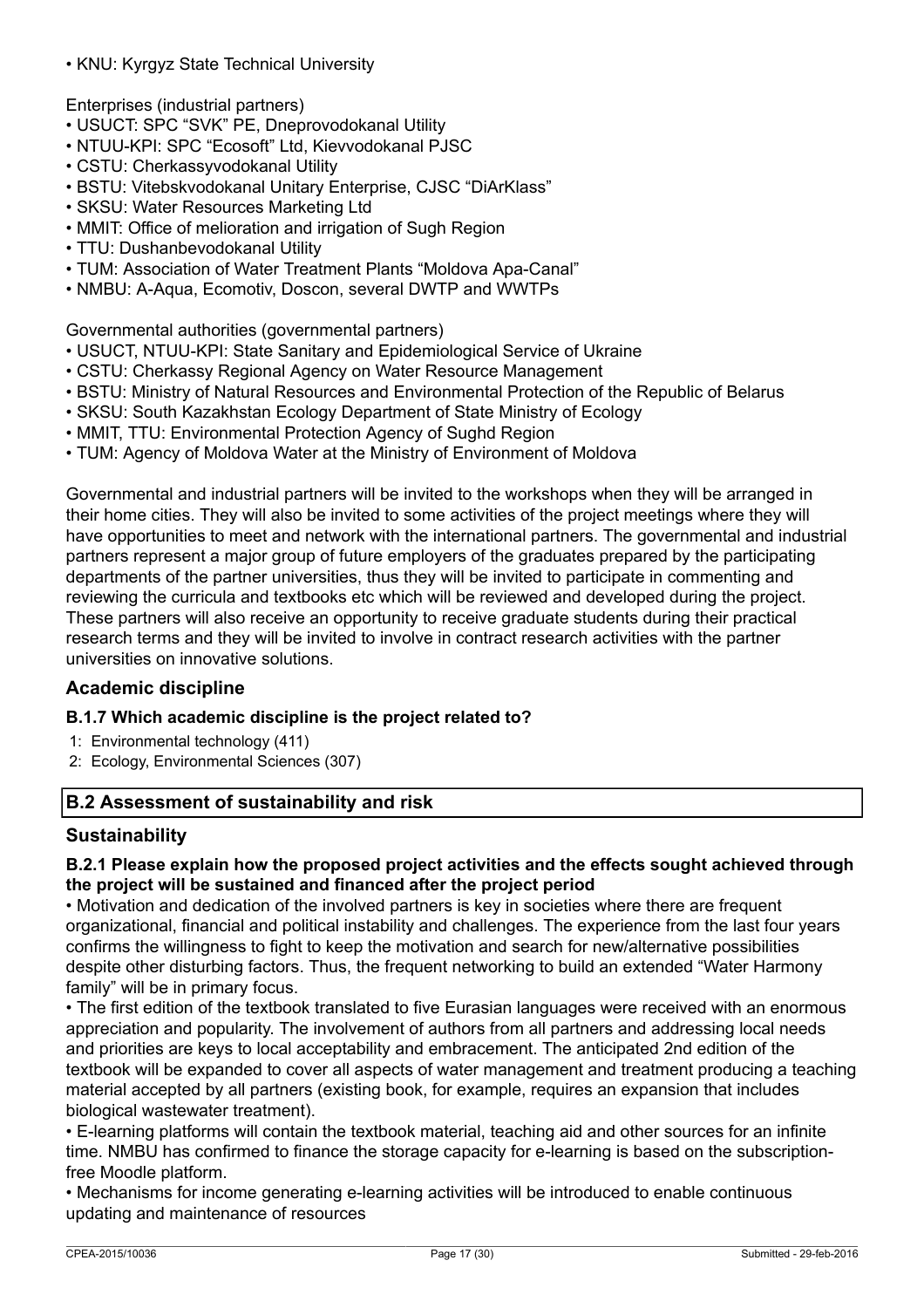• KNU: Kyrgyz State Technical University

Enterprises (industrial partners)

- USUCT: SPC "SVK" PE, Dneprovodokanal Utility
- NTUU-KPI: SPC "Ecosoft" Ltd, Kievvodokanal PJSC
- CSTU: Cherkassyvodokanal Utility
- BSTU: Vitebskvodokanal Unitary Enterprise, CJSC "DiArKlass"
- SKSU: Water Resources Marketing Ltd
- MMIT: Office of melioration and irrigation of Sugh Region
- TTU: Dushanbevodokanal Utility
- TUM: Association of Water Treatment Plants "Moldova Apa-Canal"
- NMBU: A-Aqua, Ecomotiv, Doscon, several DWTP and WWTPs

Governmental authorities (governmental partners)

- USUCT, NTUU-KPI: State Sanitary and Epidemiological Service of Ukraine
- CSTU: Cherkassy Regional Agency on Water Resource Management
- BSTU: Ministry of Natural Resources and Environmental Protection of the Republic of Belarus
- SKSU: South Kazakhstan Ecology Department of State Ministry of Ecology
- MMIT, TTU: Environmental Protection Agency of Sughd Region
- TUM: Agency of Moldova Water at the Ministry of Environment of Moldova

Governmental and industrial partners will be invited to the workshops when they will be arranged in their home cities. They will also be invited to some activities of the project meetings where they will have opportunities to meet and network with the international partners. The governmental and industrial partners represent a major group of future employers of the graduates prepared by the participating departments of the partner universities, thus they will be invited to participate in commenting and reviewing the curricula and textbooks etc which will be reviewed and developed during the project. These partners will also receive an opportunity to receive graduate students during their practical research terms and they will be invited to involve in contract research activities with the partner universities on innovative solutions.

### **Academic discipline**

### **B.1.7 Which academic discipline is the project related to?**

- 1: Environmental technology (411)
- 2: Ecology, Environmental Sciences (307)

### **B.2 Assessment of sustainability and risk**

### **Sustainability**

### **B.2.1 Please explain how the proposed project activities and the effects sought achieved through the project will be sustained and financed after the project period**

• Motivation and dedication of the involved partners is key in societies where there are frequent organizational, financial and political instability and challenges. The experience from the last four years confirms the willingness to fight to keep the motivation and search for new/alternative possibilities despite other disturbing factors. Thus, the frequent networking to build an extended "Water Harmony family" will be in primary focus.

• The first edition of the textbook translated to five Eurasian languages were received with an enormous appreciation and popularity. The involvement of authors from all partners and addressing local needs and priorities are keys to local acceptability and embracement. The anticipated 2nd edition of the textbook will be expanded to cover all aspects of water management and treatment producing a teaching material accepted by all partners (existing book, for example, requires an expansion that includes biological wastewater treatment).

• E-learning platforms will contain the textbook material, teaching aid and other sources for an infinite time. NMBU has confirmed to finance the storage capacity for e-learning is based on the subscriptionfree Moodle platform.

• Mechanisms for income generating e-learning activities will be introduced to enable continuous updating and maintenance of resources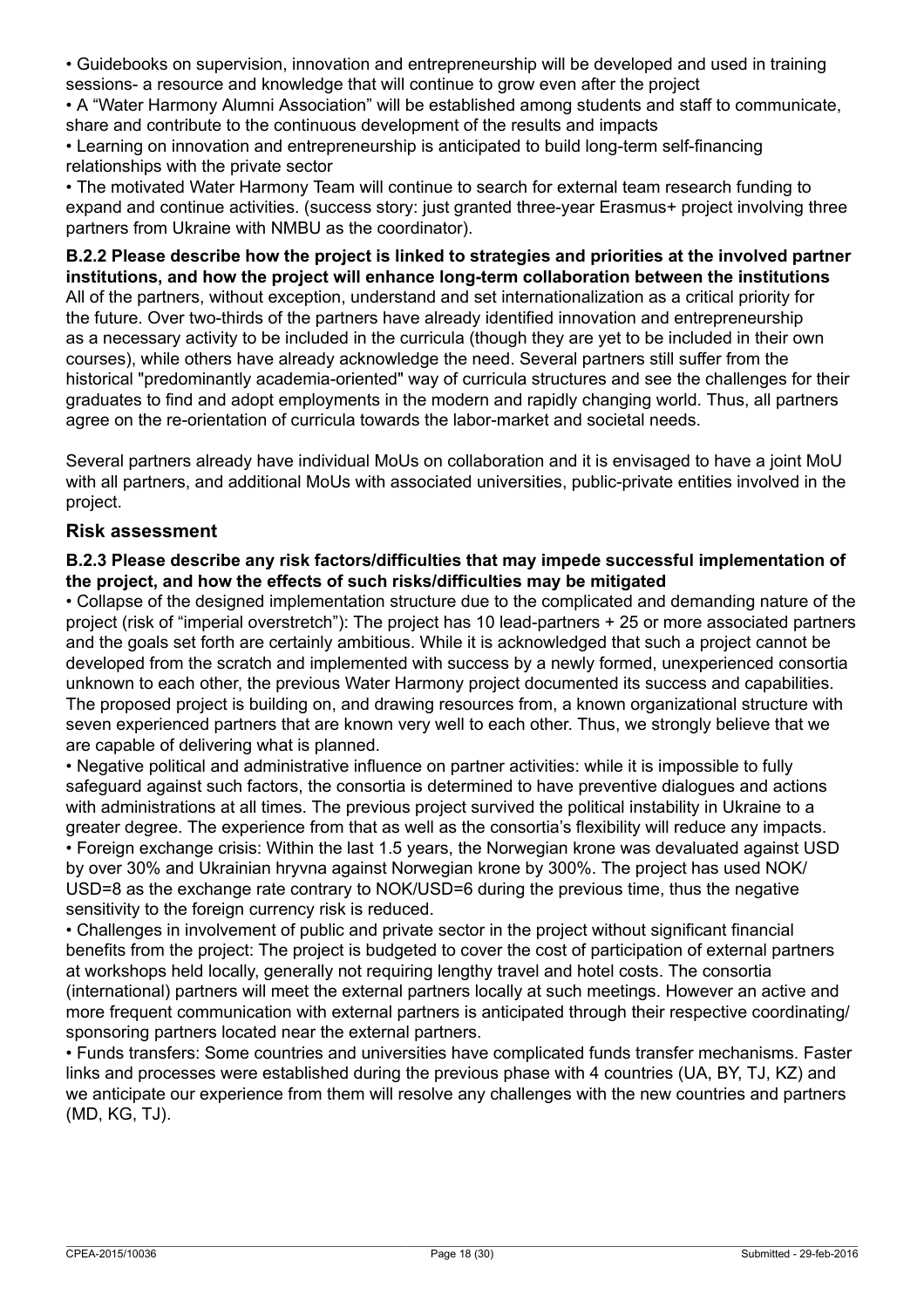• Guidebooks on supervision, innovation and entrepreneurship will be developed and used in training sessions- a resource and knowledge that will continue to grow even after the project

• A "Water Harmony Alumni Association" will be established among students and staff to communicate, share and contribute to the continuous development of the results and impacts

• Learning on innovation and entrepreneurship is anticipated to build long-term self-financing relationships with the private sector

• The motivated Water Harmony Team will continue to search for external team research funding to expand and continue activities. (success story: just granted three-year Erasmus+ project involving three partners from Ukraine with NMBU as the coordinator).

**B.2.2 Please describe how the project is linked to strategies and priorities at the involved partner institutions, and how the project will enhance long-term collaboration between the institutions** All of the partners, without exception, understand and set internationalization as a critical priority for the future. Over two-thirds of the partners have already identified innovation and entrepreneurship as a necessary activity to be included in the curricula (though they are yet to be included in their own courses), while others have already acknowledge the need. Several partners still suffer from the historical "predominantly academia-oriented" way of curricula structures and see the challenges for their graduates to find and adopt employments in the modern and rapidly changing world. Thus, all partners agree on the re-orientation of curricula towards the labor-market and societal needs.

Several partners already have individual MoUs on collaboration and it is envisaged to have a joint MoU with all partners, and additional MoUs with associated universities, public-private entities involved in the project.

### **Risk assessment**

### **B.2.3 Please describe any risk factors/difficulties that may impede successful implementation of the project, and how the effects of such risks/difficulties may be mitigated**

• Collapse of the designed implementation structure due to the complicated and demanding nature of the project (risk of "imperial overstretch"): The project has 10 lead-partners + 25 or more associated partners and the goals set forth are certainly ambitious. While it is acknowledged that such a project cannot be developed from the scratch and implemented with success by a newly formed, unexperienced consortia unknown to each other, the previous Water Harmony project documented its success and capabilities. The proposed project is building on, and drawing resources from, a known organizational structure with seven experienced partners that are known very well to each other. Thus, we strongly believe that we are capable of delivering what is planned.

• Negative political and administrative influence on partner activities: while it is impossible to fully safeguard against such factors, the consortia is determined to have preventive dialogues and actions with administrations at all times. The previous project survived the political instability in Ukraine to a greater degree. The experience from that as well as the consortia's flexibility will reduce any impacts. • Foreign exchange crisis: Within the last 1.5 years, the Norwegian krone was devaluated against USD by over 30% and Ukrainian hryvna against Norwegian krone by 300%. The project has used NOK/ USD=8 as the exchange rate contrary to NOK/USD=6 during the previous time, thus the negative sensitivity to the foreign currency risk is reduced.

• Challenges in involvement of public and private sector in the project without significant financial benefits from the project: The project is budgeted to cover the cost of participation of external partners at workshops held locally, generally not requiring lengthy travel and hotel costs. The consortia (international) partners will meet the external partners locally at such meetings. However an active and more frequent communication with external partners is anticipated through their respective coordinating/ sponsoring partners located near the external partners.

• Funds transfers: Some countries and universities have complicated funds transfer mechanisms. Faster links and processes were established during the previous phase with 4 countries (UA, BY, TJ, KZ) and we anticipate our experience from them will resolve any challenges with the new countries and partners (MD, KG, TJ).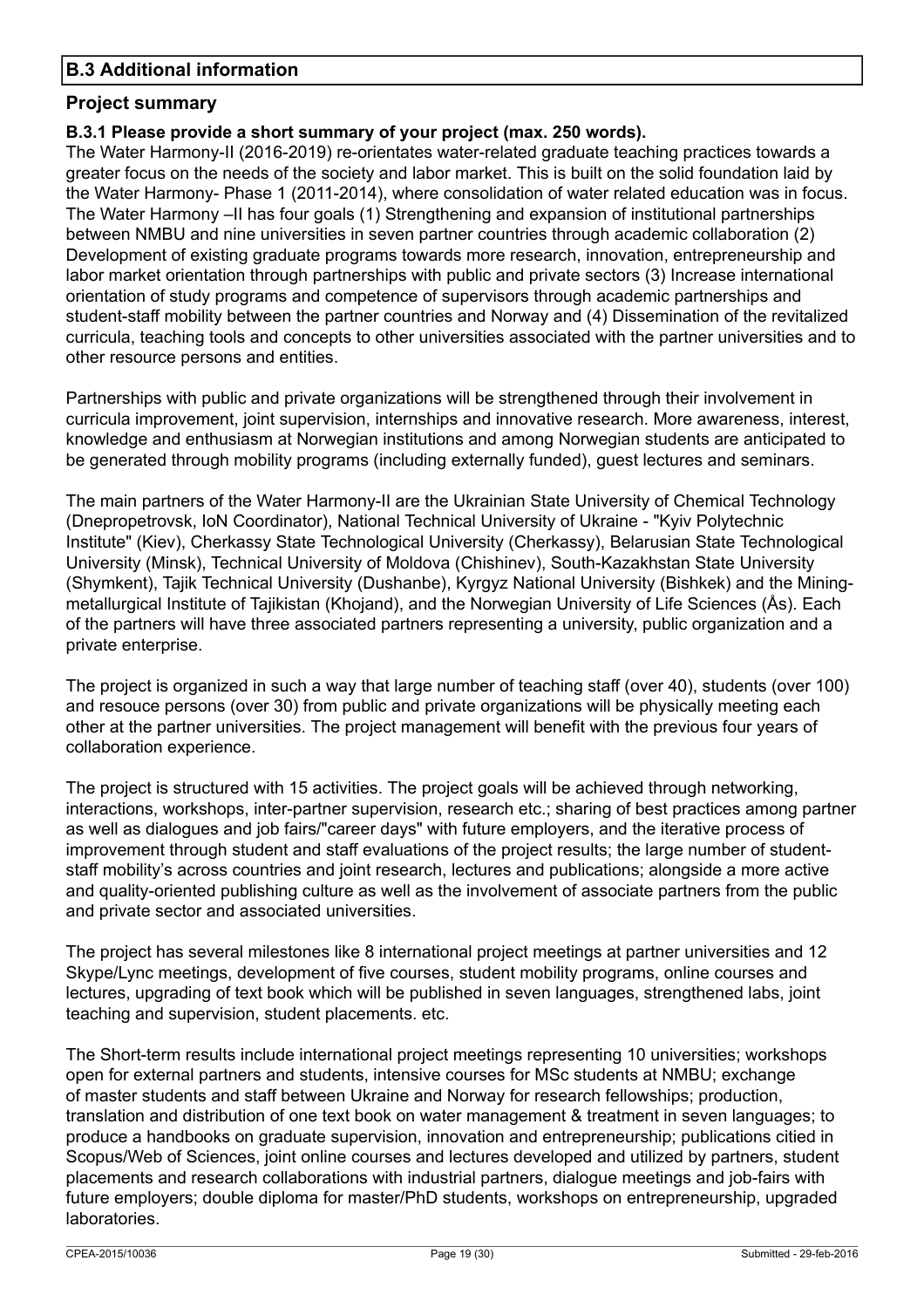### **B.3 Additional information**

### **Project summary**

### **B.3.1 Please provide a short summary of your project (max. 250 words).**

The Water Harmony-II (2016-2019) re-orientates water-related graduate teaching practices towards a greater focus on the needs of the society and labor market. This is built on the solid foundation laid by the Water Harmony- Phase 1 (2011-2014), where consolidation of water related education was in focus. The Water Harmony –II has four goals (1) Strengthening and expansion of institutional partnerships between NMBU and nine universities in seven partner countries through academic collaboration (2) Development of existing graduate programs towards more research, innovation, entrepreneurship and labor market orientation through partnerships with public and private sectors (3) Increase international orientation of study programs and competence of supervisors through academic partnerships and student-staff mobility between the partner countries and Norway and (4) Dissemination of the revitalized curricula, teaching tools and concepts to other universities associated with the partner universities and to other resource persons and entities.

Partnerships with public and private organizations will be strengthened through their involvement in curricula improvement, joint supervision, internships and innovative research. More awareness, interest, knowledge and enthusiasm at Norwegian institutions and among Norwegian students are anticipated to be generated through mobility programs (including externally funded), guest lectures and seminars.

The main partners of the Water Harmony-II are the Ukrainian State University of Chemical Technology (Dnepropetrovsk, IoN Coordinator), National Technical University of Ukraine - "Kyiv Polytechnic Institute" (Kiev), Cherkassy State Technological University (Cherkassy), Belarusian State Technological University (Minsk), Technical University of Moldova (Chishinev), South-Kazakhstan State University (Shymkent), Tajik Technical University (Dushanbe), Kyrgyz National University (Bishkek) and the Miningmetallurgical Institute of Tajikistan (Khojand), and the Norwegian University of Life Sciences (Ås). Each of the partners will have three associated partners representing a university, public organization and a private enterprise.

The project is organized in such a way that large number of teaching staff (over 40), students (over 100) and resouce persons (over 30) from public and private organizations will be physically meeting each other at the partner universities. The project management will benefit with the previous four years of collaboration experience.

The project is structured with 15 activities. The project goals will be achieved through networking, interactions, workshops, inter-partner supervision, research etc.; sharing of best practices among partner as well as dialogues and job fairs/"career days" with future employers, and the iterative process of improvement through student and staff evaluations of the project results; the large number of studentstaff mobility's across countries and joint research, lectures and publications; alongside a more active and quality-oriented publishing culture as well as the involvement of associate partners from the public and private sector and associated universities.

The project has several milestones like 8 international project meetings at partner universities and 12 Skype/Lync meetings, development of five courses, student mobility programs, online courses and lectures, upgrading of text book which will be published in seven languages, strengthened labs, joint teaching and supervision, student placements. etc.

The Short-term results include international project meetings representing 10 universities; workshops open for external partners and students, intensive courses for MSc students at NMBU; exchange of master students and staff between Ukraine and Norway for research fellowships; production, translation and distribution of one text book on water management & treatment in seven languages; to produce a handbooks on graduate supervision, innovation and entrepreneurship; publications citied in Scopus/Web of Sciences, joint online courses and lectures developed and utilized by partners, student placements and research collaborations with industrial partners, dialogue meetings and job-fairs with future employers; double diploma for master/PhD students, workshops on entrepreneurship, upgraded laboratories.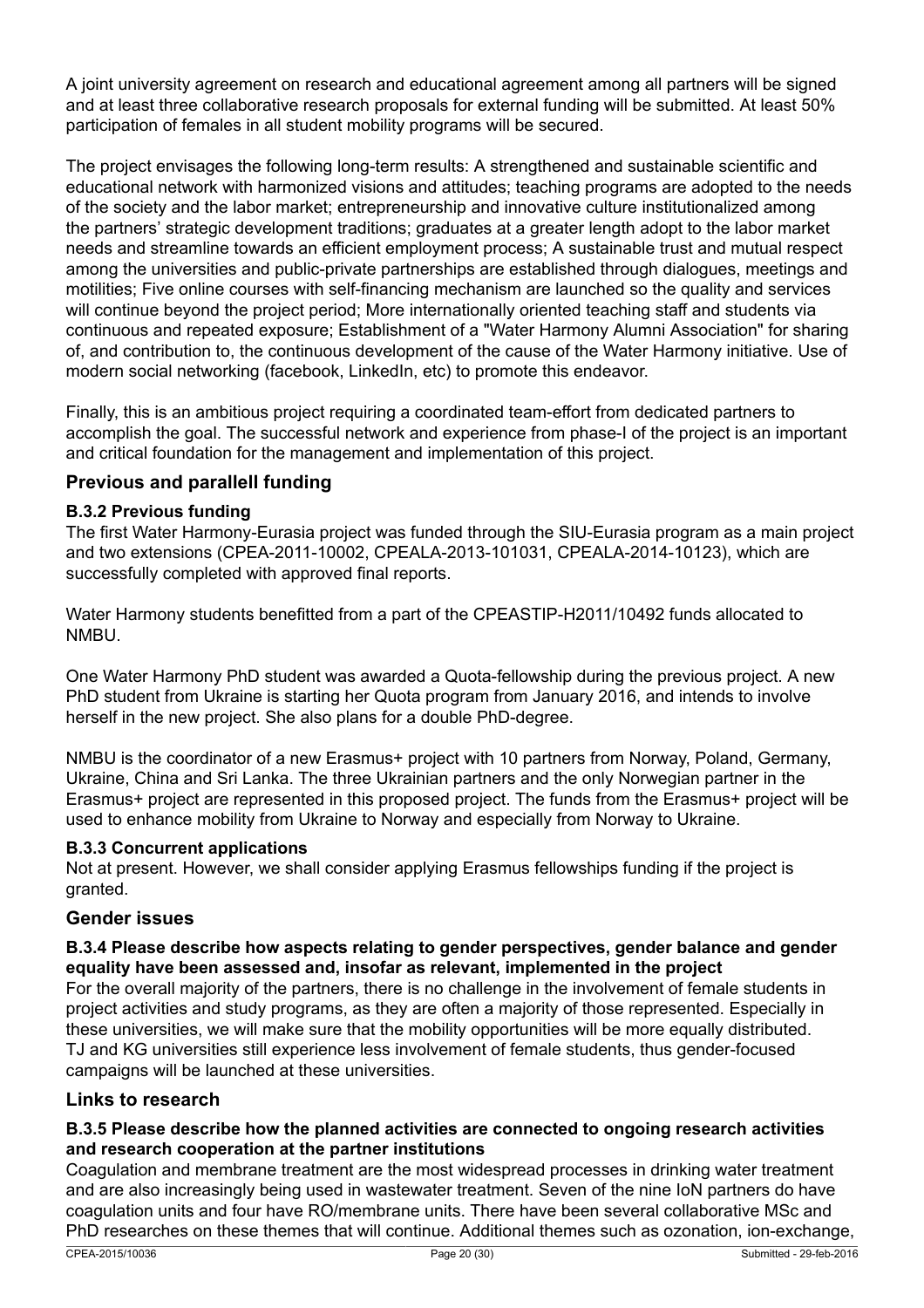A joint university agreement on research and educational agreement among all partners will be signed and at least three collaborative research proposals for external funding will be submitted. At least 50% participation of females in all student mobility programs will be secured.

The project envisages the following long-term results: A strengthened and sustainable scientific and educational network with harmonized visions and attitudes; teaching programs are adopted to the needs of the society and the labor market; entrepreneurship and innovative culture institutionalized among the partners' strategic development traditions; graduates at a greater length adopt to the labor market needs and streamline towards an efficient employment process; A sustainable trust and mutual respect among the universities and public-private partnerships are established through dialogues, meetings and motilities; Five online courses with self-financing mechanism are launched so the quality and services will continue beyond the project period; More internationally oriented teaching staff and students via continuous and repeated exposure; Establishment of a "Water Harmony Alumni Association" for sharing of, and contribution to, the continuous development of the cause of the Water Harmony initiative. Use of modern social networking (facebook, LinkedIn, etc) to promote this endeavor.

Finally, this is an ambitious project requiring a coordinated team-effort from dedicated partners to accomplish the goal. The successful network and experience from phase-I of the project is an important and critical foundation for the management and implementation of this project.

### **Previous and parallell funding**

### **B.3.2 Previous funding**

The first Water Harmony-Eurasia project was funded through the SIU-Eurasia program as a main project and two extensions (CPEA-2011-10002, CPEALA-2013-101031, CPEALA-2014-10123), which are successfully completed with approved final reports.

Water Harmony students benefitted from a part of the CPEASTIP-H2011/10492 funds allocated to NMBU.

One Water Harmony PhD student was awarded a Quota-fellowship during the previous project. A new PhD student from Ukraine is starting her Quota program from January 2016, and intends to involve herself in the new project. She also plans for a double PhD-degree.

NMBU is the coordinator of a new Erasmus+ project with 10 partners from Norway, Poland, Germany, Ukraine, China and Sri Lanka. The three Ukrainian partners and the only Norwegian partner in the Erasmus+ project are represented in this proposed project. The funds from the Erasmus+ project will be used to enhance mobility from Ukraine to Norway and especially from Norway to Ukraine.

#### **B.3.3 Concurrent applications**

Not at present. However, we shall consider applying Erasmus fellowships funding if the project is granted.

### **Gender issues**

### **B.3.4 Please describe how aspects relating to gender perspectives, gender balance and gender equality have been assessed and, insofar as relevant, implemented in the project**

For the overall majority of the partners, there is no challenge in the involvement of female students in project activities and study programs, as they are often a majority of those represented. Especially in these universities, we will make sure that the mobility opportunities will be more equally distributed. TJ and KG universities still experience less involvement of female students, thus gender-focused campaigns will be launched at these universities.

### **Links to research**

### **B.3.5 Please describe how the planned activities are connected to ongoing research activities and research cooperation at the partner institutions**

Coagulation and membrane treatment are the most widespread processes in drinking water treatment and are also increasingly being used in wastewater treatment. Seven of the nine IoN partners do have coagulation units and four have RO/membrane units. There have been several collaborative MSc and PhD researches on these themes that will continue. Additional themes such as ozonation, ion-exchange,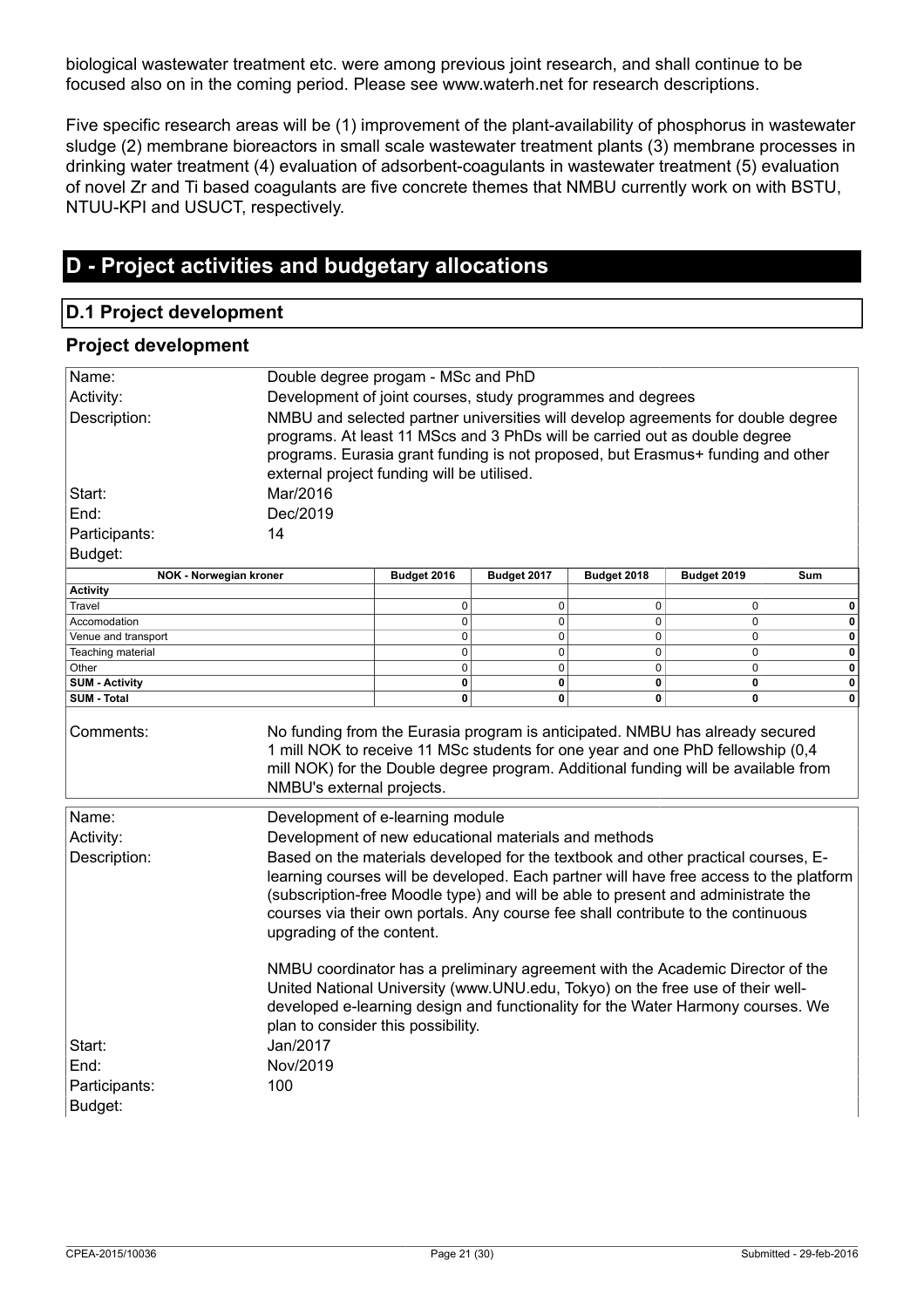biological wastewater treatment etc. were among previous joint research, and shall continue to be focused also on in the coming period. Please see www.waterh.net for research descriptions.

Five specific research areas will be (1) improvement of the plant-availability of phosphorus in wastewater sludge (2) membrane bioreactors in small scale wastewater treatment plants (3) membrane processes in drinking water treatment (4) evaluation of adsorbent-coagulants in wastewater treatment (5) evaluation of novel Zr and Ti based coagulants are five concrete themes that NMBU currently work on with BSTU, NTUU-KPI and USUCT, respectively.

# **D - Project activities and budgetary allocations**

### **D.1 Project development**

### **Project development**

| Name:                      | Double degree progam - MSc and PhD                                                                                                                                                                                                                                                        |                  |                  |                  |                  |                  |
|----------------------------|-------------------------------------------------------------------------------------------------------------------------------------------------------------------------------------------------------------------------------------------------------------------------------------------|------------------|------------------|------------------|------------------|------------------|
| Activity:                  | Development of joint courses, study programmes and degrees                                                                                                                                                                                                                                |                  |                  |                  |                  |                  |
| Description:               | NMBU and selected partner universities will develop agreements for double degree                                                                                                                                                                                                          |                  |                  |                  |                  |                  |
|                            | programs. At least 11 MScs and 3 PhDs will be carried out as double degree                                                                                                                                                                                                                |                  |                  |                  |                  |                  |
|                            |                                                                                                                                                                                                                                                                                           |                  |                  |                  |                  |                  |
|                            | programs. Eurasia grant funding is not proposed, but Erasmus+ funding and other                                                                                                                                                                                                           |                  |                  |                  |                  |                  |
|                            | external project funding will be utilised.                                                                                                                                                                                                                                                |                  |                  |                  |                  |                  |
| Start:                     | Mar/2016                                                                                                                                                                                                                                                                                  |                  |                  |                  |                  |                  |
| End:                       | Dec/2019                                                                                                                                                                                                                                                                                  |                  |                  |                  |                  |                  |
| Participants:              | 14                                                                                                                                                                                                                                                                                        |                  |                  |                  |                  |                  |
| Budget:                    |                                                                                                                                                                                                                                                                                           |                  |                  |                  |                  |                  |
| NOK - Norwegian kroner     |                                                                                                                                                                                                                                                                                           | Budget 2016      | Budget 2017      | Budget 2018      | Budget 2019      | Sum              |
| <b>Activity</b>            |                                                                                                                                                                                                                                                                                           |                  |                  |                  |                  |                  |
| Travel                     |                                                                                                                                                                                                                                                                                           | $\mathbf 0$      | $\mathbf 0$      | 0                | 0                | 0                |
| Accomodation               |                                                                                                                                                                                                                                                                                           | $\mathbf 0$      | $\mathbf 0$      | 0                | $\mathbf 0$      | 0                |
| Venue and transport        |                                                                                                                                                                                                                                                                                           | 0<br>$\mathbf 0$ | 0<br>$\mathbf 0$ | 0<br>$\mathbf 0$ | 0<br>$\mathbf 0$ | 0<br>$\mathbf 0$ |
| Teaching material<br>Other |                                                                                                                                                                                                                                                                                           | $\mathbf 0$      | $\mathbf 0$      | 0                | $\mathbf 0$      | $\mathbf 0$      |
| <b>SUM - Activity</b>      |                                                                                                                                                                                                                                                                                           | $\pmb{0}$        | $\bf{0}$         | 0                | $\pmb{0}$        | 0                |
| SUM - Total                |                                                                                                                                                                                                                                                                                           | 0                | $\mathbf{0}$     | 0                | 0                | $\mathbf{0}$     |
| Comments:                  | No funding from the Eurasia program is anticipated. NMBU has already secured<br>1 mill NOK to receive 11 MSc students for one year and one PhD fellowship (0,4<br>mill NOK) for the Double degree program. Additional funding will be available from<br>NMBU's external projects.         |                  |                  |                  |                  |                  |
| Name:                      | Development of e-learning module                                                                                                                                                                                                                                                          |                  |                  |                  |                  |                  |
| Activity:                  | Development of new educational materials and methods                                                                                                                                                                                                                                      |                  |                  |                  |                  |                  |
| Description:               | Based on the materials developed for the textbook and other practical courses, E-                                                                                                                                                                                                         |                  |                  |                  |                  |                  |
|                            | learning courses will be developed. Each partner will have free access to the platform                                                                                                                                                                                                    |                  |                  |                  |                  |                  |
|                            |                                                                                                                                                                                                                                                                                           |                  |                  |                  |                  |                  |
|                            | (subscription-free Moodle type) and will be able to present and administrate the                                                                                                                                                                                                          |                  |                  |                  |                  |                  |
|                            | courses via their own portals. Any course fee shall contribute to the continuous                                                                                                                                                                                                          |                  |                  |                  |                  |                  |
|                            | upgrading of the content.                                                                                                                                                                                                                                                                 |                  |                  |                  |                  |                  |
|                            | NMBU coordinator has a preliminary agreement with the Academic Director of the<br>United National University (www.UNU.edu, Tokyo) on the free use of their well-<br>developed e-learning design and functionality for the Water Harmony courses. We<br>plan to consider this possibility. |                  |                  |                  |                  |                  |
|                            |                                                                                                                                                                                                                                                                                           |                  |                  |                  |                  |                  |
| Start:                     | Jan/2017                                                                                                                                                                                                                                                                                  |                  |                  |                  |                  |                  |
| End:                       | Nov/2019                                                                                                                                                                                                                                                                                  |                  |                  |                  |                  |                  |
| Participants:              | 100                                                                                                                                                                                                                                                                                       |                  |                  |                  |                  |                  |
| Budget:                    |                                                                                                                                                                                                                                                                                           |                  |                  |                  |                  |                  |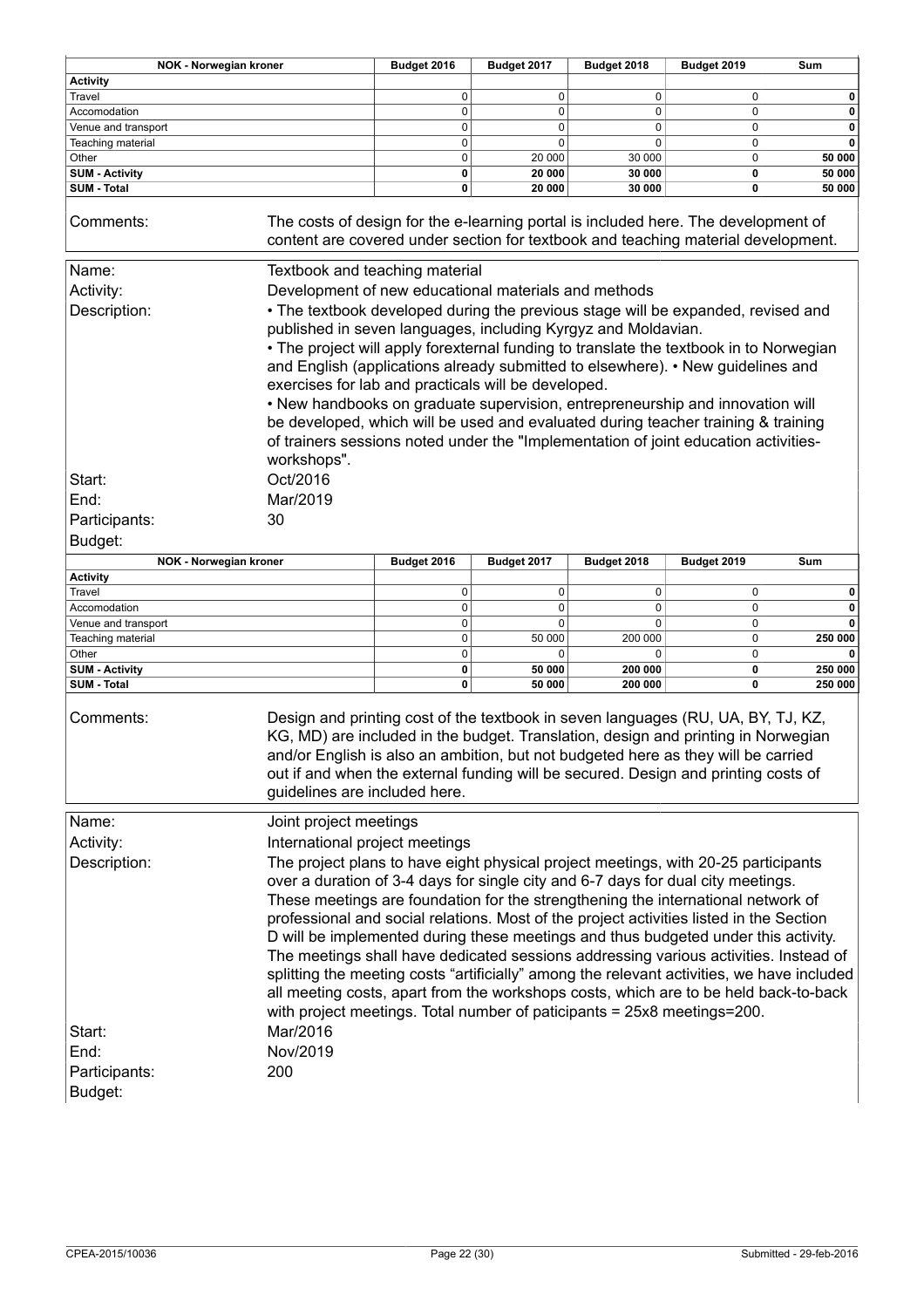| <b>NOK - Norwegian kroner</b> |                                                                                                                                                                                                                                                                                                                                                                                                                                                                                                                                                                                                                                                                   | Budget 2016 | Budget 2017 | Budget 2018 | Budget 2019 | Sum     |
|-------------------------------|-------------------------------------------------------------------------------------------------------------------------------------------------------------------------------------------------------------------------------------------------------------------------------------------------------------------------------------------------------------------------------------------------------------------------------------------------------------------------------------------------------------------------------------------------------------------------------------------------------------------------------------------------------------------|-------------|-------------|-------------|-------------|---------|
| <b>Activity</b>               |                                                                                                                                                                                                                                                                                                                                                                                                                                                                                                                                                                                                                                                                   |             |             |             |             |         |
| Travel                        |                                                                                                                                                                                                                                                                                                                                                                                                                                                                                                                                                                                                                                                                   | 0           | 0           | 0           | 0           | 0       |
| Accomodation                  |                                                                                                                                                                                                                                                                                                                                                                                                                                                                                                                                                                                                                                                                   | 0           | 0           | $\mathbf 0$ | 0           | 0       |
| Venue and transport           |                                                                                                                                                                                                                                                                                                                                                                                                                                                                                                                                                                                                                                                                   | $\mathbf 0$ | 0           | $\mathbf 0$ | $\mathbf 0$ | 0       |
| Teaching material             |                                                                                                                                                                                                                                                                                                                                                                                                                                                                                                                                                                                                                                                                   | 0           | 0           | 0           | 0           | 0       |
| Other                         |                                                                                                                                                                                                                                                                                                                                                                                                                                                                                                                                                                                                                                                                   | $\pmb{0}$   | 20 000      | 30 000      | 0           | 50 000  |
| <b>SUM - Activity</b>         |                                                                                                                                                                                                                                                                                                                                                                                                                                                                                                                                                                                                                                                                   | 0           | 20 000      | 30 000      | 0           | 50 000  |
| <b>SUM - Total</b>            |                                                                                                                                                                                                                                                                                                                                                                                                                                                                                                                                                                                                                                                                   | 0           | 20 000      | 30 000      | 0           | 50 000  |
| Comments:                     | The costs of design for the e-learning portal is included here. The development of<br>content are covered under section for textbook and teaching material development.                                                                                                                                                                                                                                                                                                                                                                                                                                                                                           |             |             |             |             |         |
| Name:                         | Textbook and teaching material                                                                                                                                                                                                                                                                                                                                                                                                                                                                                                                                                                                                                                    |             |             |             |             |         |
| Activity:                     | Development of new educational materials and methods                                                                                                                                                                                                                                                                                                                                                                                                                                                                                                                                                                                                              |             |             |             |             |         |
|                               |                                                                                                                                                                                                                                                                                                                                                                                                                                                                                                                                                                                                                                                                   |             |             |             |             |         |
| Description:                  | • The textbook developed during the previous stage will be expanded, revised and<br>published in seven languages, including Kyrgyz and Moldavian.<br>• The project will apply forexternal funding to translate the textbook in to Norwegian<br>and English (applications already submitted to elsewhere). • New guidelines and<br>exercises for lab and practicals will be developed.<br>• New handbooks on graduate supervision, entrepreneurship and innovation will<br>be developed, which will be used and evaluated during teacher training & training<br>of trainers sessions noted under the "Implementation of joint education activities-<br>workshops". |             |             |             |             |         |
| Start:                        | Oct/2016                                                                                                                                                                                                                                                                                                                                                                                                                                                                                                                                                                                                                                                          |             |             |             |             |         |
|                               |                                                                                                                                                                                                                                                                                                                                                                                                                                                                                                                                                                                                                                                                   |             |             |             |             |         |
| End:                          | Mar/2019                                                                                                                                                                                                                                                                                                                                                                                                                                                                                                                                                                                                                                                          |             |             |             |             |         |
| Participants:                 | 30                                                                                                                                                                                                                                                                                                                                                                                                                                                                                                                                                                                                                                                                |             |             |             |             |         |
| Budget:                       |                                                                                                                                                                                                                                                                                                                                                                                                                                                                                                                                                                                                                                                                   |             |             |             |             |         |
| <b>NOK - Norwegian kroner</b> |                                                                                                                                                                                                                                                                                                                                                                                                                                                                                                                                                                                                                                                                   | Budget 2016 | Budget 2017 | Budget 2018 | Budget 2019 | Sum     |
| <b>Activity</b>               |                                                                                                                                                                                                                                                                                                                                                                                                                                                                                                                                                                                                                                                                   |             |             |             |             |         |
| Travel                        |                                                                                                                                                                                                                                                                                                                                                                                                                                                                                                                                                                                                                                                                   | 0           | 0           | 0           | 0           | 0       |
| Accomodation                  |                                                                                                                                                                                                                                                                                                                                                                                                                                                                                                                                                                                                                                                                   | 0           | 0           | 0           | $\mathbf 0$ | 0       |
| Venue and transport           |                                                                                                                                                                                                                                                                                                                                                                                                                                                                                                                                                                                                                                                                   | 0           | 0           | $\mathbf 0$ | 0           | 0       |
| Teaching material             |                                                                                                                                                                                                                                                                                                                                                                                                                                                                                                                                                                                                                                                                   | 0           | 50 000      | 200 000     | 0           | 250 000 |
| Other                         |                                                                                                                                                                                                                                                                                                                                                                                                                                                                                                                                                                                                                                                                   | $\mathbf 0$ | 0           | 0           | 0           |         |
| <b>SUM - Activity</b>         |                                                                                                                                                                                                                                                                                                                                                                                                                                                                                                                                                                                                                                                                   | 0           | 50 000      | 200 000     | 0           | 250 000 |
| <b>SUM - Total</b>            |                                                                                                                                                                                                                                                                                                                                                                                                                                                                                                                                                                                                                                                                   | 0           | 50 000      | 200 000     | 0           | 250 000 |
| Comments:                     | Design and printing cost of the textbook in seven languages (RU, UA, BY, TJ, KZ,<br>KG, MD) are included in the budget. Translation, design and printing in Norwegian<br>and/or English is also an ambition, but not budgeted here as they will be carried<br>out if and when the external funding will be secured. Design and printing costs of<br>guidelines are included here.                                                                                                                                                                                                                                                                                 |             |             |             |             |         |
| Name:                         | Joint project meetings                                                                                                                                                                                                                                                                                                                                                                                                                                                                                                                                                                                                                                            |             |             |             |             |         |
| Activity:                     | International project meetings                                                                                                                                                                                                                                                                                                                                                                                                                                                                                                                                                                                                                                    |             |             |             |             |         |
| Description:                  | The project plans to have eight physical project meetings, with 20-25 participants                                                                                                                                                                                                                                                                                                                                                                                                                                                                                                                                                                                |             |             |             |             |         |
|                               |                                                                                                                                                                                                                                                                                                                                                                                                                                                                                                                                                                                                                                                                   |             |             |             |             |         |
|                               | over a duration of 3-4 days for single city and 6-7 days for dual city meetings.                                                                                                                                                                                                                                                                                                                                                                                                                                                                                                                                                                                  |             |             |             |             |         |
|                               | These meetings are foundation for the strengthening the international network of                                                                                                                                                                                                                                                                                                                                                                                                                                                                                                                                                                                  |             |             |             |             |         |
|                               | professional and social relations. Most of the project activities listed in the Section                                                                                                                                                                                                                                                                                                                                                                                                                                                                                                                                                                           |             |             |             |             |         |
|                               | D will be implemented during these meetings and thus budgeted under this activity.                                                                                                                                                                                                                                                                                                                                                                                                                                                                                                                                                                                |             |             |             |             |         |
|                               | The meetings shall have dedicated sessions addressing various activities. Instead of                                                                                                                                                                                                                                                                                                                                                                                                                                                                                                                                                                              |             |             |             |             |         |
|                               | splitting the meeting costs "artificially" among the relevant activities, we have included                                                                                                                                                                                                                                                                                                                                                                                                                                                                                                                                                                        |             |             |             |             |         |
|                               | all meeting costs, apart from the workshops costs, which are to be held back-to-back                                                                                                                                                                                                                                                                                                                                                                                                                                                                                                                                                                              |             |             |             |             |         |
|                               |                                                                                                                                                                                                                                                                                                                                                                                                                                                                                                                                                                                                                                                                   |             |             |             |             |         |
|                               | with project meetings. Total number of paticipants = 25x8 meetings=200.                                                                                                                                                                                                                                                                                                                                                                                                                                                                                                                                                                                           |             |             |             |             |         |
| Start:                        | Mar/2016                                                                                                                                                                                                                                                                                                                                                                                                                                                                                                                                                                                                                                                          |             |             |             |             |         |
| End:                          | Nov/2019                                                                                                                                                                                                                                                                                                                                                                                                                                                                                                                                                                                                                                                          |             |             |             |             |         |
| Participants:                 | 200                                                                                                                                                                                                                                                                                                                                                                                                                                                                                                                                                                                                                                                               |             |             |             |             |         |
|                               |                                                                                                                                                                                                                                                                                                                                                                                                                                                                                                                                                                                                                                                                   |             |             |             |             |         |
| Budget:                       |                                                                                                                                                                                                                                                                                                                                                                                                                                                                                                                                                                                                                                                                   |             |             |             |             |         |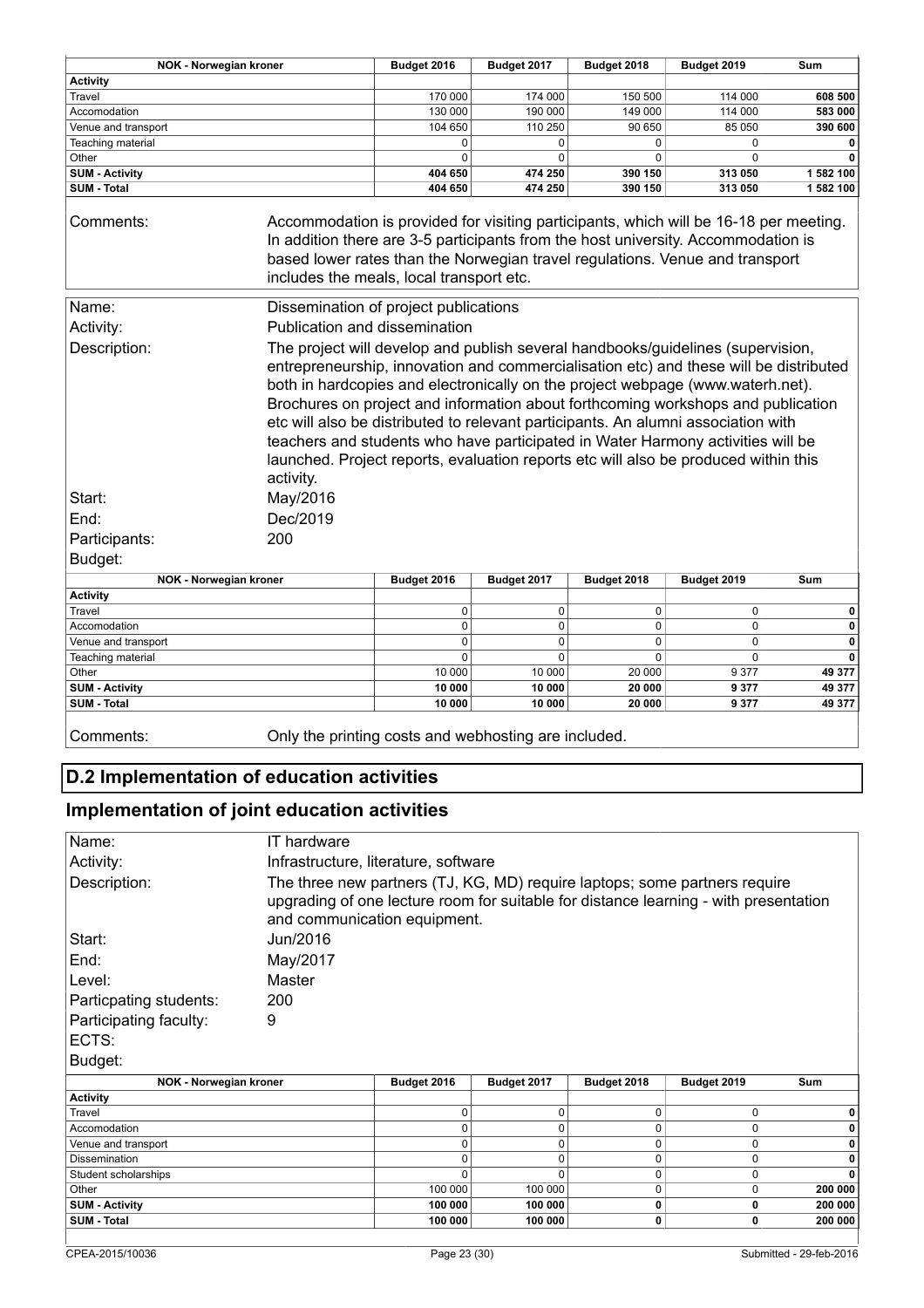| <b>Activity</b><br>Travel<br>170 000<br>174 000<br>150 500<br>Accomodation<br>130 000<br>190 000<br>149 000<br>104 650<br>110 250<br>90 650<br>Venue and transport<br>Teaching material<br>0<br>0<br>0<br>Other<br>0<br>$\Omega$<br>0<br><b>SUM - Activity</b><br>390 150<br>404 650<br>474 250<br><b>SUM - Total</b><br>404 650<br>474 250<br>390 150<br>Accommodation is provided for visiting participants, which will be 16-18 per meeting.<br>Comments:<br>In addition there are 3-5 participants from the host university. Accommodation is<br>based lower rates than the Norwegian travel regulations. Venue and transport<br>includes the meals, local transport etc.<br>Name:<br>Dissemination of project publications | 114 000<br>114 000<br>85 050<br>$\mathbf 0$<br>$\Omega$<br>313 050<br>313 050 | 608 500<br>583 000<br>390 600<br>0<br>$\mathbf{0}$<br>1 582 100<br>1 582 100 |
|---------------------------------------------------------------------------------------------------------------------------------------------------------------------------------------------------------------------------------------------------------------------------------------------------------------------------------------------------------------------------------------------------------------------------------------------------------------------------------------------------------------------------------------------------------------------------------------------------------------------------------------------------------------------------------------------------------------------------------|-------------------------------------------------------------------------------|------------------------------------------------------------------------------|
|                                                                                                                                                                                                                                                                                                                                                                                                                                                                                                                                                                                                                                                                                                                                 |                                                                               |                                                                              |
|                                                                                                                                                                                                                                                                                                                                                                                                                                                                                                                                                                                                                                                                                                                                 |                                                                               |                                                                              |
|                                                                                                                                                                                                                                                                                                                                                                                                                                                                                                                                                                                                                                                                                                                                 |                                                                               |                                                                              |
|                                                                                                                                                                                                                                                                                                                                                                                                                                                                                                                                                                                                                                                                                                                                 |                                                                               |                                                                              |
|                                                                                                                                                                                                                                                                                                                                                                                                                                                                                                                                                                                                                                                                                                                                 |                                                                               |                                                                              |
|                                                                                                                                                                                                                                                                                                                                                                                                                                                                                                                                                                                                                                                                                                                                 |                                                                               |                                                                              |
|                                                                                                                                                                                                                                                                                                                                                                                                                                                                                                                                                                                                                                                                                                                                 |                                                                               |                                                                              |
|                                                                                                                                                                                                                                                                                                                                                                                                                                                                                                                                                                                                                                                                                                                                 |                                                                               |                                                                              |
|                                                                                                                                                                                                                                                                                                                                                                                                                                                                                                                                                                                                                                                                                                                                 |                                                                               |                                                                              |
|                                                                                                                                                                                                                                                                                                                                                                                                                                                                                                                                                                                                                                                                                                                                 |                                                                               |                                                                              |
| Activity:<br>Publication and dissemination                                                                                                                                                                                                                                                                                                                                                                                                                                                                                                                                                                                                                                                                                      |                                                                               |                                                                              |
| Description:<br>The project will develop and publish several handbooks/guidelines (supervision,                                                                                                                                                                                                                                                                                                                                                                                                                                                                                                                                                                                                                                 |                                                                               |                                                                              |
| entrepreneurship, innovation and commercialisation etc) and these will be distributed<br>both in hardcopies and electronically on the project webpage (www.waterh.net).<br>Brochures on project and information about forthcoming workshops and publication<br>etc will also be distributed to relevant participants. An alumni association with<br>teachers and students who have participated in Water Harmony activities will be<br>launched. Project reports, evaluation reports etc will also be produced within this<br>activity.<br>May/2016<br>Start:<br>Dec/2019<br>End:                                                                                                                                               |                                                                               |                                                                              |
| Participants:<br>200                                                                                                                                                                                                                                                                                                                                                                                                                                                                                                                                                                                                                                                                                                            |                                                                               |                                                                              |
| Budget:                                                                                                                                                                                                                                                                                                                                                                                                                                                                                                                                                                                                                                                                                                                         |                                                                               |                                                                              |
| NOK - Norwegian kroner<br>Budget 2016<br>Budget 2017<br>Budget 2018<br>Budget 2019                                                                                                                                                                                                                                                                                                                                                                                                                                                                                                                                                                                                                                              |                                                                               | Sum                                                                          |
| <b>Activity</b>                                                                                                                                                                                                                                                                                                                                                                                                                                                                                                                                                                                                                                                                                                                 |                                                                               |                                                                              |
| Travel<br>0<br>0<br>$\Omega$                                                                                                                                                                                                                                                                                                                                                                                                                                                                                                                                                                                                                                                                                                    | $\mathbf 0$                                                                   | 0                                                                            |
| Accomodation<br>$\Omega$<br>0<br>$\Omega$                                                                                                                                                                                                                                                                                                                                                                                                                                                                                                                                                                                                                                                                                       | $\mathbf 0$                                                                   | 0                                                                            |
| Venue and transport<br>0<br>0<br>0<br>$\Omega$                                                                                                                                                                                                                                                                                                                                                                                                                                                                                                                                                                                                                                                                                  | $\pmb{0}$<br>$\Omega$                                                         | 0                                                                            |
| 0<br>Teaching material<br>$\Omega$                                                                                                                                                                                                                                                                                                                                                                                                                                                                                                                                                                                                                                                                                              |                                                                               | 0                                                                            |
| Other<br>10 000<br>10 000<br>20 000                                                                                                                                                                                                                                                                                                                                                                                                                                                                                                                                                                                                                                                                                             | 9 3 7 7                                                                       | 49 377                                                                       |
| <b>SUM - Activity</b><br>10 000<br>10 000<br>20 000<br><b>SUM - Total</b><br>10 000<br>10 000<br>20 000                                                                                                                                                                                                                                                                                                                                                                                                                                                                                                                                                                                                                         | 9 3 7 7<br>9377                                                               | 49 377<br>49 377                                                             |
|                                                                                                                                                                                                                                                                                                                                                                                                                                                                                                                                                                                                                                                                                                                                 |                                                                               |                                                                              |

Comments: Only the printing costs and webhosting are included.

### **D.2 Implementation of education activities**

### **Implementation of joint education activities**

| Name:                  | IT hardware                                                                                                                                                                                        |             |             |             |             |         |
|------------------------|----------------------------------------------------------------------------------------------------------------------------------------------------------------------------------------------------|-------------|-------------|-------------|-------------|---------|
| Activity:              | Infrastructure, literature, software                                                                                                                                                               |             |             |             |             |         |
| Description:           | The three new partners (TJ, KG, MD) require laptops; some partners require<br>upgrading of one lecture room for suitable for distance learning - with presentation<br>and communication equipment. |             |             |             |             |         |
| Start:                 | Jun/2016                                                                                                                                                                                           |             |             |             |             |         |
| End:                   | May/2017                                                                                                                                                                                           |             |             |             |             |         |
| ∣Level:                | Master                                                                                                                                                                                             |             |             |             |             |         |
| Particpating students: | 200                                                                                                                                                                                                |             |             |             |             |         |
| Participating faculty: | 9                                                                                                                                                                                                  |             |             |             |             |         |
| ECTS:                  |                                                                                                                                                                                                    |             |             |             |             |         |
| Budget:                |                                                                                                                                                                                                    |             |             |             |             |         |
| NOK - Norwegian kroner |                                                                                                                                                                                                    | Budget 2016 | Budget 2017 | Budget 2018 | Budget 2019 | Sum     |
| <b>Activity</b>        |                                                                                                                                                                                                    |             |             |             |             |         |
| Travel                 |                                                                                                                                                                                                    | 0           | 0           | 0           | 0           | 0       |
| Accomodation           |                                                                                                                                                                                                    | 0           | $\Omega$    | $\Omega$    | 0           | 0       |
| Venue and transport    |                                                                                                                                                                                                    | 0           | 0           | 0           | 0           | 0       |
| Dissemination          |                                                                                                                                                                                                    | 0           | 0           | 0           | 0           |         |
| Student scholarships   |                                                                                                                                                                                                    | 0           | $\Omega$    | 0           | 0           | 0       |
| Other                  |                                                                                                                                                                                                    | 100 000     | 100 000     | 0           | 0           | 200 000 |
| <b>SUM - Activity</b>  |                                                                                                                                                                                                    | 100 000     | 100 000     | 0           | 0           | 200 000 |
| <b>SUM - Total</b>     |                                                                                                                                                                                                    | 100 000     | 100 000     | 0           | 0           | 200 000 |
|                        |                                                                                                                                                                                                    |             |             |             |             |         |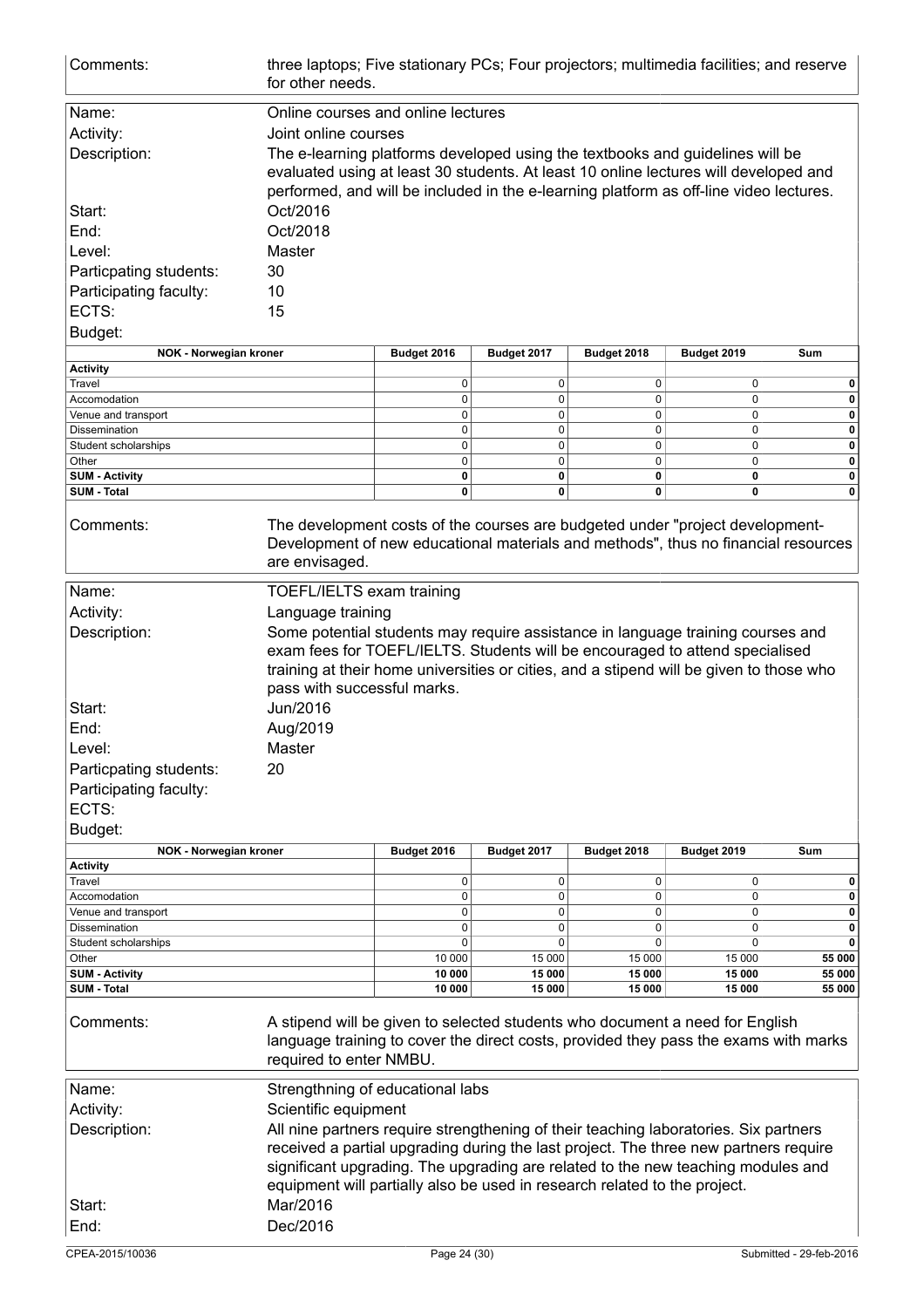| Comments:                                        | three laptops; Five stationary PCs; Four projectors; multimedia facilities; and reserve<br>for other needs.                                                                                     |                                                                                                                                                                       |                  |                  |                  |                  |  |
|--------------------------------------------------|-------------------------------------------------------------------------------------------------------------------------------------------------------------------------------------------------|-----------------------------------------------------------------------------------------------------------------------------------------------------------------------|------------------|------------------|------------------|------------------|--|
| Name:                                            | Online courses and online lectures                                                                                                                                                              |                                                                                                                                                                       |                  |                  |                  |                  |  |
| Activity:                                        | Joint online courses                                                                                                                                                                            |                                                                                                                                                                       |                  |                  |                  |                  |  |
|                                                  |                                                                                                                                                                                                 |                                                                                                                                                                       |                  |                  |                  |                  |  |
| Description:                                     |                                                                                                                                                                                                 | The e-learning platforms developed using the textbooks and guidelines will be<br>evaluated using at least 30 students. At least 10 online lectures will developed and |                  |                  |                  |                  |  |
|                                                  |                                                                                                                                                                                                 |                                                                                                                                                                       |                  |                  |                  |                  |  |
|                                                  | performed, and will be included in the e-learning platform as off-line video lectures.                                                                                                          |                                                                                                                                                                       |                  |                  |                  |                  |  |
| Start:                                           |                                                                                                                                                                                                 | Oct/2016                                                                                                                                                              |                  |                  |                  |                  |  |
| End:                                             | Oct/2018                                                                                                                                                                                        |                                                                                                                                                                       |                  |                  |                  |                  |  |
| Level:                                           | Master                                                                                                                                                                                          |                                                                                                                                                                       |                  |                  |                  |                  |  |
| Particpating students:                           | 30                                                                                                                                                                                              |                                                                                                                                                                       |                  |                  |                  |                  |  |
| Participating faculty:                           | 10                                                                                                                                                                                              |                                                                                                                                                                       |                  |                  |                  |                  |  |
| ECTS:                                            |                                                                                                                                                                                                 |                                                                                                                                                                       |                  |                  |                  |                  |  |
|                                                  | 15                                                                                                                                                                                              |                                                                                                                                                                       |                  |                  |                  |                  |  |
| Budget:                                          |                                                                                                                                                                                                 |                                                                                                                                                                       |                  |                  |                  |                  |  |
| NOK - Norwegian kroner                           |                                                                                                                                                                                                 | Budget 2016                                                                                                                                                           | Budget 2017      | Budget 2018      | Budget 2019      | Sum              |  |
| <b>Activity</b>                                  |                                                                                                                                                                                                 |                                                                                                                                                                       |                  |                  |                  |                  |  |
| Travel<br>Accomodation                           |                                                                                                                                                                                                 | 0<br>0                                                                                                                                                                | 0<br>0           | 0<br>0           | 0<br>$\mathbf 0$ | 0<br>0           |  |
| Venue and transport                              |                                                                                                                                                                                                 | 0                                                                                                                                                                     | 0                | 0                | 0                | 0                |  |
| <b>Dissemination</b>                             |                                                                                                                                                                                                 | 0                                                                                                                                                                     | 0                | 0                | $\mathbf 0$      | 0                |  |
| Student scholarships                             |                                                                                                                                                                                                 | 0                                                                                                                                                                     | 0                | $\mathbf 0$      | $\mathbf 0$      | 0                |  |
| Other                                            |                                                                                                                                                                                                 | 0                                                                                                                                                                     | 0                | $\mathbf 0$      | 0                | 0                |  |
| <b>SUM - Activity</b>                            |                                                                                                                                                                                                 | 0                                                                                                                                                                     | 0                | 0                | 0                | 0                |  |
| <b>SUM - Total</b>                               |                                                                                                                                                                                                 | 0                                                                                                                                                                     | 0                | 0                | 0                | 0                |  |
| Comments:                                        | The development costs of the courses are budgeted under "project development-<br>Development of new educational materials and methods", thus no financial resources<br>are envisaged.           |                                                                                                                                                                       |                  |                  |                  |                  |  |
| Name:                                            | TOEFL/IELTS exam training                                                                                                                                                                       |                                                                                                                                                                       |                  |                  |                  |                  |  |
| Activity:                                        | Language training                                                                                                                                                                               |                                                                                                                                                                       |                  |                  |                  |                  |  |
| Description:                                     | Some potential students may require assistance in language training courses and                                                                                                                 |                                                                                                                                                                       |                  |                  |                  |                  |  |
|                                                  | exam fees for TOEFL/IELTS. Students will be encouraged to attend specialised                                                                                                                    |                                                                                                                                                                       |                  |                  |                  |                  |  |
|                                                  | training at their home universities or cities, and a stipend will be given to those who                                                                                                         |                                                                                                                                                                       |                  |                  |                  |                  |  |
|                                                  | pass with successful marks.                                                                                                                                                                     |                                                                                                                                                                       |                  |                  |                  |                  |  |
|                                                  |                                                                                                                                                                                                 |                                                                                                                                                                       |                  |                  |                  |                  |  |
| Start:                                           | Jun/2016                                                                                                                                                                                        |                                                                                                                                                                       |                  |                  |                  |                  |  |
| End:                                             | Aug/2019                                                                                                                                                                                        |                                                                                                                                                                       |                  |                  |                  |                  |  |
| Level:                                           | Master                                                                                                                                                                                          |                                                                                                                                                                       |                  |                  |                  |                  |  |
| Particpating students:                           | 20                                                                                                                                                                                              |                                                                                                                                                                       |                  |                  |                  |                  |  |
| Participating faculty:                           |                                                                                                                                                                                                 |                                                                                                                                                                       |                  |                  |                  |                  |  |
| ECTS:                                            |                                                                                                                                                                                                 |                                                                                                                                                                       |                  |                  |                  |                  |  |
| Budget:                                          |                                                                                                                                                                                                 |                                                                                                                                                                       |                  |                  |                  |                  |  |
|                                                  |                                                                                                                                                                                                 |                                                                                                                                                                       |                  |                  |                  |                  |  |
| <b>NOK - Norwegian kroner</b><br><b>Activity</b> |                                                                                                                                                                                                 | Budget 2016                                                                                                                                                           | Budget 2017      | Budget 2018      | Budget 2019      | Sum              |  |
| Travel                                           |                                                                                                                                                                                                 | 0                                                                                                                                                                     | 0                | 0                | 0                | 0                |  |
| Accomodation                                     |                                                                                                                                                                                                 | 0                                                                                                                                                                     | 0                | 0                | $\mathbf 0$      | 0                |  |
| Venue and transport                              |                                                                                                                                                                                                 | 0                                                                                                                                                                     | 0                | 0                | 0                | 0                |  |
| Dissemination                                    |                                                                                                                                                                                                 | 0                                                                                                                                                                     | 0                | 0                | 0                | 0                |  |
| Student scholarships                             |                                                                                                                                                                                                 | 0                                                                                                                                                                     | 0                | 0                | $\mathbf 0$      | 0                |  |
| Other                                            |                                                                                                                                                                                                 | 10 000                                                                                                                                                                | 15 000           | 15 000           | 15 000           | 55 000           |  |
| <b>SUM - Activity</b><br><b>SUM - Total</b>      |                                                                                                                                                                                                 | 10 000<br>10 000                                                                                                                                                      | 15 000<br>15 000 | 15 000<br>15 000 | 15 000<br>15 000 | 55 000<br>55 000 |  |
|                                                  |                                                                                                                                                                                                 |                                                                                                                                                                       |                  |                  |                  |                  |  |
| Comments:                                        | A stipend will be given to selected students who document a need for English<br>language training to cover the direct costs, provided they pass the exams with marks<br>required to enter NMBU. |                                                                                                                                                                       |                  |                  |                  |                  |  |
| Name:                                            | Strengthning of educational labs                                                                                                                                                                |                                                                                                                                                                       |                  |                  |                  |                  |  |
| Activity:                                        | Scientific equipment                                                                                                                                                                            |                                                                                                                                                                       |                  |                  |                  |                  |  |
|                                                  |                                                                                                                                                                                                 |                                                                                                                                                                       |                  |                  |                  |                  |  |
| Description:                                     | All nine partners require strengthening of their teaching laboratories. Six partners                                                                                                            |                                                                                                                                                                       |                  |                  |                  |                  |  |
|                                                  | received a partial upgrading during the last project. The three new partners require                                                                                                            |                                                                                                                                                                       |                  |                  |                  |                  |  |
|                                                  | significant upgrading. The upgrading are related to the new teaching modules and                                                                                                                |                                                                                                                                                                       |                  |                  |                  |                  |  |
|                                                  | equipment will partially also be used in research related to the project.                                                                                                                       |                                                                                                                                                                       |                  |                  |                  |                  |  |
| Start:                                           | Mar/2016                                                                                                                                                                                        |                                                                                                                                                                       |                  |                  |                  |                  |  |
| End:                                             | Dec/2016                                                                                                                                                                                        |                                                                                                                                                                       |                  |                  |                  |                  |  |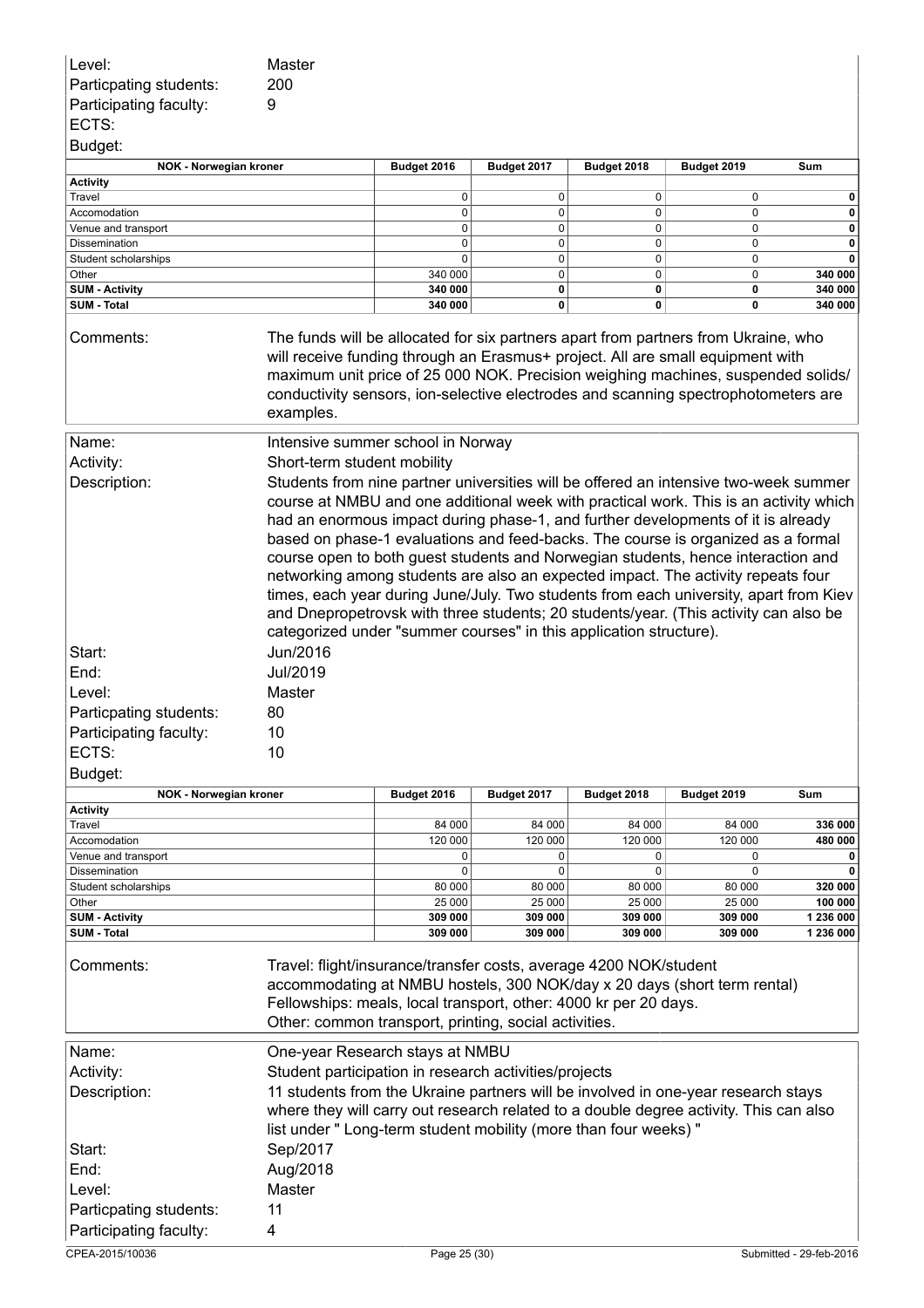| Level:<br>Particpating students:<br>Participating faculty: | Master<br>200<br>9                                                                                                                                                                                                                                                                                                                                                                                                                                                                                                                                                                                                                                                                                                                                                                   |                   |                   |                   |                   |                      |
|------------------------------------------------------------|--------------------------------------------------------------------------------------------------------------------------------------------------------------------------------------------------------------------------------------------------------------------------------------------------------------------------------------------------------------------------------------------------------------------------------------------------------------------------------------------------------------------------------------------------------------------------------------------------------------------------------------------------------------------------------------------------------------------------------------------------------------------------------------|-------------------|-------------------|-------------------|-------------------|----------------------|
| ECTS:                                                      |                                                                                                                                                                                                                                                                                                                                                                                                                                                                                                                                                                                                                                                                                                                                                                                      |                   |                   |                   |                   |                      |
| Budget:                                                    |                                                                                                                                                                                                                                                                                                                                                                                                                                                                                                                                                                                                                                                                                                                                                                                      |                   |                   |                   |                   |                      |
| NOK - Norwegian kroner<br><b>Activity</b>                  |                                                                                                                                                                                                                                                                                                                                                                                                                                                                                                                                                                                                                                                                                                                                                                                      | Budget 2016       | Budget 2017       | Budget 2018       | Budget 2019       | Sum                  |
| Travel                                                     |                                                                                                                                                                                                                                                                                                                                                                                                                                                                                                                                                                                                                                                                                                                                                                                      | $\mathbf 0$       | 0                 | 0                 | 0                 | 0                    |
| Accomodation                                               |                                                                                                                                                                                                                                                                                                                                                                                                                                                                                                                                                                                                                                                                                                                                                                                      | 0                 | 0                 | 0                 | 0                 | 0                    |
| Venue and transport                                        |                                                                                                                                                                                                                                                                                                                                                                                                                                                                                                                                                                                                                                                                                                                                                                                      | 0                 | 0                 | 0                 | 0                 | 0                    |
| Dissemination<br>Student scholarships                      |                                                                                                                                                                                                                                                                                                                                                                                                                                                                                                                                                                                                                                                                                                                                                                                      | 0<br>0            | 0<br>0            | 0<br>0            | 0<br>0            | 0<br>0               |
| Other                                                      |                                                                                                                                                                                                                                                                                                                                                                                                                                                                                                                                                                                                                                                                                                                                                                                      | 340 000           | 0                 | $\mathbf 0$       | 0                 | 340 000              |
| <b>SUM - Activity</b>                                      |                                                                                                                                                                                                                                                                                                                                                                                                                                                                                                                                                                                                                                                                                                                                                                                      | 340 000           | 0                 | 0                 | 0                 | 340 000              |
| SUM - Total                                                |                                                                                                                                                                                                                                                                                                                                                                                                                                                                                                                                                                                                                                                                                                                                                                                      | 340 000           | 0                 | 0                 | 0                 | 340 000              |
| Comments:                                                  | The funds will be allocated for six partners apart from partners from Ukraine, who<br>will receive funding through an Erasmus+ project. All are small equipment with<br>maximum unit price of 25 000 NOK. Precision weighing machines, suspended solids/<br>conductivity sensors, ion-selective electrodes and scanning spectrophotometers are<br>examples.                                                                                                                                                                                                                                                                                                                                                                                                                          |                   |                   |                   |                   |                      |
| Name:                                                      | Intensive summer school in Norway                                                                                                                                                                                                                                                                                                                                                                                                                                                                                                                                                                                                                                                                                                                                                    |                   |                   |                   |                   |                      |
| Activity:                                                  | Short-term student mobility                                                                                                                                                                                                                                                                                                                                                                                                                                                                                                                                                                                                                                                                                                                                                          |                   |                   |                   |                   |                      |
| Description:                                               | Students from nine partner universities will be offered an intensive two-week summer<br>course at NMBU and one additional week with practical work. This is an activity which<br>had an enormous impact during phase-1, and further developments of it is already<br>based on phase-1 evaluations and feed-backs. The course is organized as a formal<br>course open to both guest students and Norwegian students, hence interaction and<br>networking among students are also an expected impact. The activity repeats four<br>times, each year during June/July. Two students from each university, apart from Kiev<br>and Dnepropetrovsk with three students; 20 students/year. (This activity can also be<br>categorized under "summer courses" in this application structure). |                   |                   |                   |                   |                      |
| Start:                                                     | Jun/2016                                                                                                                                                                                                                                                                                                                                                                                                                                                                                                                                                                                                                                                                                                                                                                             |                   |                   |                   |                   |                      |
| End:                                                       | Jul/2019                                                                                                                                                                                                                                                                                                                                                                                                                                                                                                                                                                                                                                                                                                                                                                             |                   |                   |                   |                   |                      |
| Level:                                                     | Master                                                                                                                                                                                                                                                                                                                                                                                                                                                                                                                                                                                                                                                                                                                                                                               |                   |                   |                   |                   |                      |
| Particpating students:                                     | 80                                                                                                                                                                                                                                                                                                                                                                                                                                                                                                                                                                                                                                                                                                                                                                                   |                   |                   |                   |                   |                      |
| Participating faculty:                                     | 10                                                                                                                                                                                                                                                                                                                                                                                                                                                                                                                                                                                                                                                                                                                                                                                   |                   |                   |                   |                   |                      |
| ECTS:                                                      | 10                                                                                                                                                                                                                                                                                                                                                                                                                                                                                                                                                                                                                                                                                                                                                                                   |                   |                   |                   |                   |                      |
| Budget:                                                    |                                                                                                                                                                                                                                                                                                                                                                                                                                                                                                                                                                                                                                                                                                                                                                                      |                   |                   |                   |                   |                      |
| <b>NOK - Norwegian kroner</b>                              |                                                                                                                                                                                                                                                                                                                                                                                                                                                                                                                                                                                                                                                                                                                                                                                      | Budget 2016       | Budget 2017       | Budget 2018       | Budget 2019       | Sum                  |
| <b>Activity</b>                                            |                                                                                                                                                                                                                                                                                                                                                                                                                                                                                                                                                                                                                                                                                                                                                                                      |                   |                   |                   |                   |                      |
| Travel                                                     |                                                                                                                                                                                                                                                                                                                                                                                                                                                                                                                                                                                                                                                                                                                                                                                      | 84 000            | 84 000            | 84 000            | 84 000            | 336 000              |
| Accomodation<br>Venue and transport                        |                                                                                                                                                                                                                                                                                                                                                                                                                                                                                                                                                                                                                                                                                                                                                                                      | 120 000<br>0      | 120 000<br>0      | 120 000<br>0      | 120 000<br>0      | 480 000<br>0         |
| Dissemination                                              |                                                                                                                                                                                                                                                                                                                                                                                                                                                                                                                                                                                                                                                                                                                                                                                      | 0                 | 0                 | 0                 | 0                 |                      |
| Student scholarships                                       |                                                                                                                                                                                                                                                                                                                                                                                                                                                                                                                                                                                                                                                                                                                                                                                      | 80 000            | 80 000            | 80 000            | 80 000            | 320 000              |
| Other<br><b>SUM - Activity</b>                             |                                                                                                                                                                                                                                                                                                                                                                                                                                                                                                                                                                                                                                                                                                                                                                                      | 25 000<br>309 000 | 25 000<br>309 000 | 25 000<br>309 000 | 25 000<br>309 000 | 100 000<br>1 236 000 |
| <b>SUM - Total</b>                                         |                                                                                                                                                                                                                                                                                                                                                                                                                                                                                                                                                                                                                                                                                                                                                                                      | 309 000           | 309 000           | 309 000           | 309 000           | 1 236 000            |
| Comments:                                                  | Travel: flight/insurance/transfer costs, average 4200 NOK/student<br>accommodating at NMBU hostels, 300 NOK/day x 20 days (short term rental)<br>Fellowships: meals, local transport, other: 4000 kr per 20 days.<br>Other: common transport, printing, social activities.                                                                                                                                                                                                                                                                                                                                                                                                                                                                                                           |                   |                   |                   |                   |                      |
| Name:                                                      | One-year Research stays at NMBU                                                                                                                                                                                                                                                                                                                                                                                                                                                                                                                                                                                                                                                                                                                                                      |                   |                   |                   |                   |                      |
| Activity:                                                  | Student participation in research activities/projects                                                                                                                                                                                                                                                                                                                                                                                                                                                                                                                                                                                                                                                                                                                                |                   |                   |                   |                   |                      |
| Description:                                               | 11 students from the Ukraine partners will be involved in one-year research stays                                                                                                                                                                                                                                                                                                                                                                                                                                                                                                                                                                                                                                                                                                    |                   |                   |                   |                   |                      |
|                                                            | where they will carry out research related to a double degree activity. This can also                                                                                                                                                                                                                                                                                                                                                                                                                                                                                                                                                                                                                                                                                                |                   |                   |                   |                   |                      |
|                                                            | list under " Long-term student mobility (more than four weeks) "                                                                                                                                                                                                                                                                                                                                                                                                                                                                                                                                                                                                                                                                                                                     |                   |                   |                   |                   |                      |
| Start:                                                     | Sep/2017                                                                                                                                                                                                                                                                                                                                                                                                                                                                                                                                                                                                                                                                                                                                                                             |                   |                   |                   |                   |                      |
| End:                                                       | Aug/2018                                                                                                                                                                                                                                                                                                                                                                                                                                                                                                                                                                                                                                                                                                                                                                             |                   |                   |                   |                   |                      |
| Level:                                                     | Master                                                                                                                                                                                                                                                                                                                                                                                                                                                                                                                                                                                                                                                                                                                                                                               |                   |                   |                   |                   |                      |
| Particpating students:                                     | 11                                                                                                                                                                                                                                                                                                                                                                                                                                                                                                                                                                                                                                                                                                                                                                                   |                   |                   |                   |                   |                      |
| Participating faculty:                                     | 4                                                                                                                                                                                                                                                                                                                                                                                                                                                                                                                                                                                                                                                                                                                                                                                    |                   |                   |                   |                   |                      |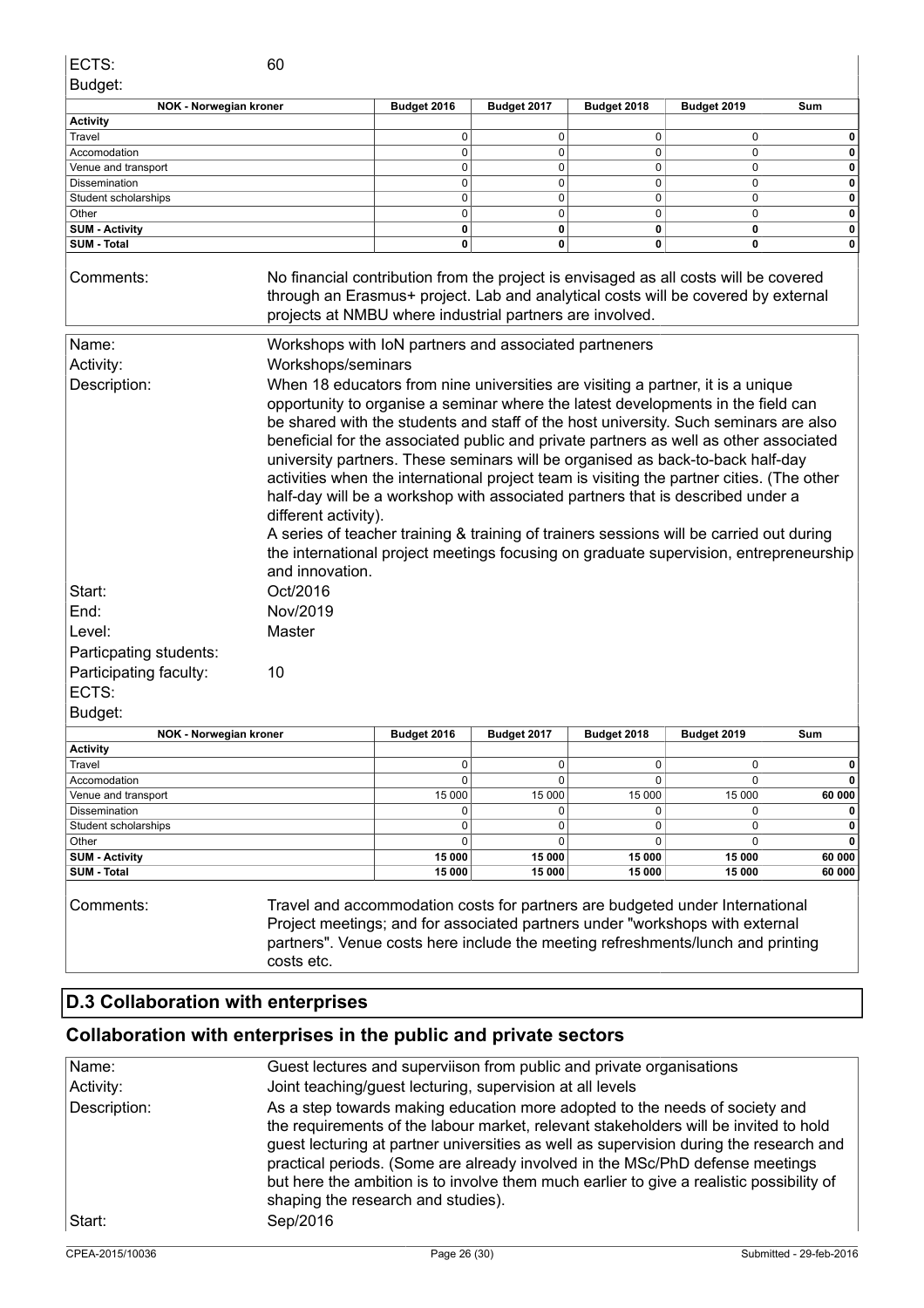|                       | <b>NOK - Norwegian kroner</b>                                                                                                                                                                                                         | Budget 2016 | Budget 2017 | Budget 2018 | Budget 2019 | Sum |
|-----------------------|---------------------------------------------------------------------------------------------------------------------------------------------------------------------------------------------------------------------------------------|-------------|-------------|-------------|-------------|-----|
| <b>Activity</b>       |                                                                                                                                                                                                                                       |             |             |             |             |     |
| Travel                |                                                                                                                                                                                                                                       | O           | U           | O           |             |     |
| Accomodation          |                                                                                                                                                                                                                                       | 0           |             | 0           |             | 0   |
| Venue and transport   |                                                                                                                                                                                                                                       | 0           |             | 0           |             |     |
| <b>Dissemination</b>  |                                                                                                                                                                                                                                       | 0           |             | 0           |             |     |
| Student scholarships  |                                                                                                                                                                                                                                       | 0           |             | 0           |             |     |
| Other                 |                                                                                                                                                                                                                                       | 0           |             | 0           |             |     |
| <b>SUM - Activity</b> |                                                                                                                                                                                                                                       | 0           | 0           | 0           | 0           |     |
| <b>SUM - Total</b>    |                                                                                                                                                                                                                                       | 0           | 0           | 0           | 0           |     |
| Comments:             | No financial contribution from the project is envisaged as all costs will be covered<br>through an Erasmus+ project. Lab and analytical costs will be covered by external<br>projects at NMBU where industrial partners are involved. |             |             |             |             |     |
| Nomo:                 | Markehone with JoN partners and associated partneners                                                                                                                                                                                 |             |             |             |             |     |

| iname.                 | viorkshops with low partners and associated partneriers                                                                                                                                                                                                                                                                                                                                                                                                                                                                                                                                                                                                                                                                                                                                                                                              |
|------------------------|------------------------------------------------------------------------------------------------------------------------------------------------------------------------------------------------------------------------------------------------------------------------------------------------------------------------------------------------------------------------------------------------------------------------------------------------------------------------------------------------------------------------------------------------------------------------------------------------------------------------------------------------------------------------------------------------------------------------------------------------------------------------------------------------------------------------------------------------------|
| Activity:              | Workshops/seminars                                                                                                                                                                                                                                                                                                                                                                                                                                                                                                                                                                                                                                                                                                                                                                                                                                   |
| Description:           | When 18 educators from nine universities are visiting a partner, it is a unique<br>opportunity to organise a seminar where the latest developments in the field can<br>be shared with the students and staff of the host university. Such seminars are also<br>beneficial for the associated public and private partners as well as other associated<br>university partners. These seminars will be organised as back-to-back half-day<br>activities when the international project team is visiting the partner cities. (The other<br>half-day will be a workshop with associated partners that is described under a<br>different activity).<br>A series of teacher training & training of trainers sessions will be carried out during<br>the international project meetings focusing on graduate supervision, entrepreneurship<br>and innovation. |
| Start:                 | Oct/2016                                                                                                                                                                                                                                                                                                                                                                                                                                                                                                                                                                                                                                                                                                                                                                                                                                             |
| End:                   | Nov/2019                                                                                                                                                                                                                                                                                                                                                                                                                                                                                                                                                                                                                                                                                                                                                                                                                                             |
| Level:                 | Master                                                                                                                                                                                                                                                                                                                                                                                                                                                                                                                                                                                                                                                                                                                                                                                                                                               |
| Particpating students: |                                                                                                                                                                                                                                                                                                                                                                                                                                                                                                                                                                                                                                                                                                                                                                                                                                                      |
| Participating faculty: | 10                                                                                                                                                                                                                                                                                                                                                                                                                                                                                                                                                                                                                                                                                                                                                                                                                                                   |
| ECTS:                  |                                                                                                                                                                                                                                                                                                                                                                                                                                                                                                                                                                                                                                                                                                                                                                                                                                                      |
| Budget:                |                                                                                                                                                                                                                                                                                                                                                                                                                                                                                                                                                                                                                                                                                                                                                                                                                                                      |

| NOK - Norwegian kroner | Budget 2016 | Budget 2017 | Budget 2018 | Budget 2019 | Sum    |
|------------------------|-------------|-------------|-------------|-------------|--------|
| <b>Activity</b>        |             |             |             |             |        |
| Travel                 |             |             |             |             | O      |
| Accomodation           |             |             |             |             |        |
| Venue and transport    | 15 000      | 15 000      | 15 000      | 15 000      | 60 000 |
| <b>Dissemination</b>   |             |             |             |             |        |
| Student scholarships   |             |             |             |             | 0      |
| Other                  |             |             |             |             | 0      |
| <b>SUM - Activity</b>  | 15 000      | 15 000      | 15 000      | 15 000      | 60 000 |
| <b>SUM - Total</b>     | 15 000      | 15 000      | 15 000      | 15 000      | 60 000 |

Comments: Travel and accommodation costs for partners are budgeted under International Project meetings; and for associated partners under "workshops with external partners". Venue costs here include the meeting refreshments/lunch and printing costs etc.

### **D.3 Collaboration with enterprises**

### **Collaboration with enterprises in the public and private sectors**

| Name:           | Guest lectures and superviison from public and private organisations                                                                                                                                                                                                                                                                                                                                                                                                             |                         |
|-----------------|----------------------------------------------------------------------------------------------------------------------------------------------------------------------------------------------------------------------------------------------------------------------------------------------------------------------------------------------------------------------------------------------------------------------------------------------------------------------------------|-------------------------|
| Activity:       | Joint teaching/guest lecturing, supervision at all levels                                                                                                                                                                                                                                                                                                                                                                                                                        |                         |
| Description:    | As a step towards making education more adopted to the needs of society and<br>the requirements of the labour market, relevant stakeholders will be invited to hold<br>guest lecturing at partner universities as well as supervision during the research and<br>practical periods. (Some are already involved in the MSc/PhD defense meetings<br>but here the ambition is to involve them much earlier to give a realistic possibility of<br>shaping the research and studies). |                         |
| Start:          | Sep/2016                                                                                                                                                                                                                                                                                                                                                                                                                                                                         |                         |
| CPEA-2015/10036 | Page 26 (30)                                                                                                                                                                                                                                                                                                                                                                                                                                                                     | Submitted - 29-feb-2016 |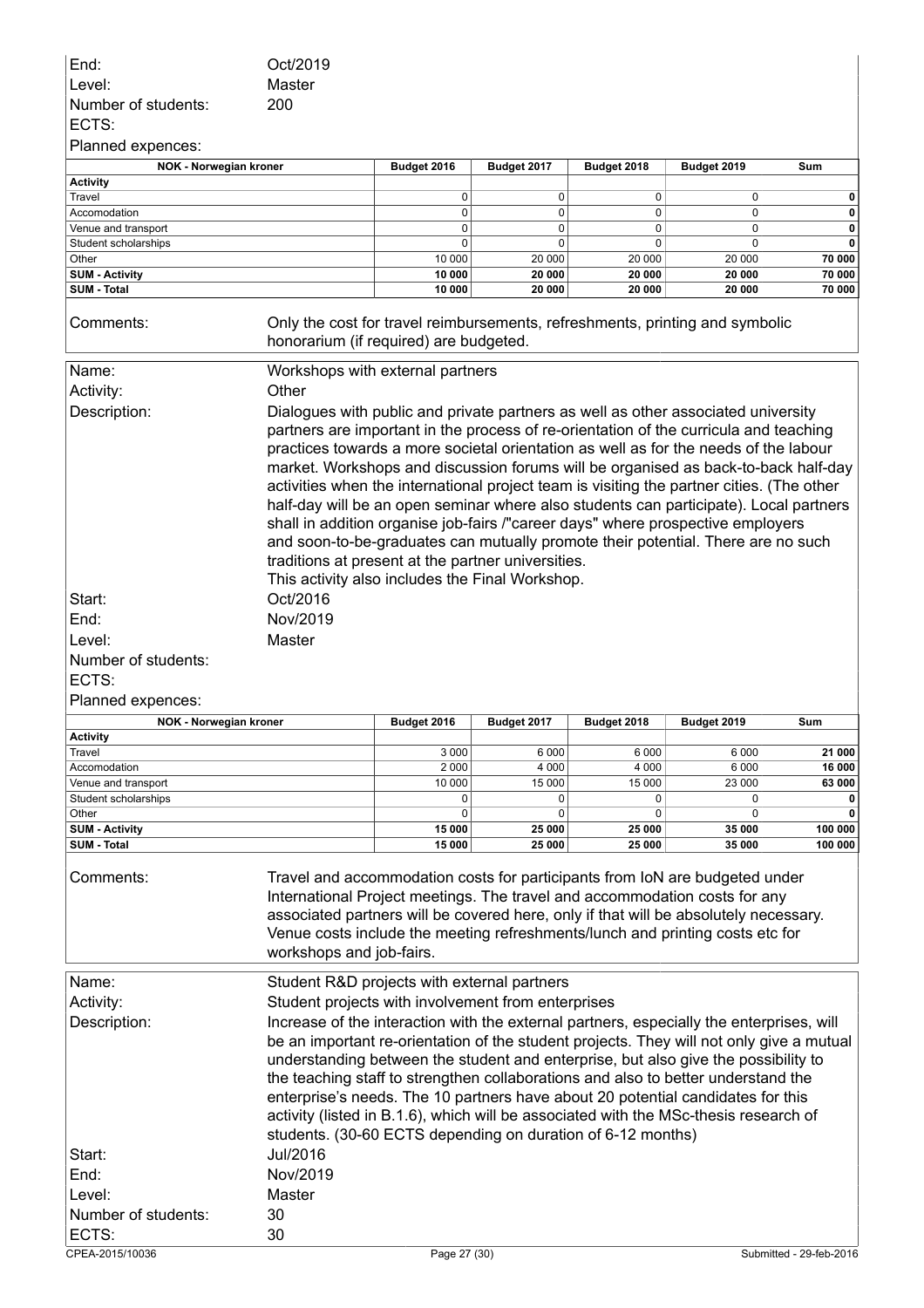| End:                                                                                                                                                                  | Oct/2019                                                                                                               |                   |                            |                   |                   |                  |  |
|-----------------------------------------------------------------------------------------------------------------------------------------------------------------------|------------------------------------------------------------------------------------------------------------------------|-------------------|----------------------------|-------------------|-------------------|------------------|--|
| Level:                                                                                                                                                                | Master                                                                                                                 |                   |                            |                   |                   |                  |  |
| Number of students:                                                                                                                                                   | 200                                                                                                                    |                   |                            |                   |                   |                  |  |
| ECTS:                                                                                                                                                                 |                                                                                                                        |                   |                            |                   |                   |                  |  |
| Planned expences:                                                                                                                                                     |                                                                                                                        |                   |                            |                   |                   |                  |  |
| NOK - Norwegian kroner                                                                                                                                                |                                                                                                                        | Budget 2016       | Budget 2017                | Budget 2018       | Budget 2019       | Sum              |  |
| <b>Activity</b>                                                                                                                                                       |                                                                                                                        |                   |                            |                   |                   |                  |  |
| Travel                                                                                                                                                                |                                                                                                                        | 0                 | 0                          | 0                 | 0                 | 0                |  |
| Accomodation                                                                                                                                                          |                                                                                                                        | $\mathbf 0$       | $\mathbf 0$                | $\mathbf 0$       | $\mathbf 0$       | 0                |  |
| Venue and transport                                                                                                                                                   |                                                                                                                        | 0<br>0            | $\mathbf 0$<br>$\mathbf 0$ | $\mathbf 0$       | 0                 | 0<br>0           |  |
| Student scholarships<br>Other                                                                                                                                         |                                                                                                                        | 10 000            | 20 000                     | 0<br>20 000       | 0<br>20 000       | 70 000           |  |
| <b>SUM - Activity</b>                                                                                                                                                 |                                                                                                                        | 10 000            | 20 000                     | 20 000            | 20 000            | 70 000           |  |
| SUM - Total                                                                                                                                                           |                                                                                                                        | 10 000            | 20 000                     | 20 000            | 20 000            | 70 000           |  |
| Comments:                                                                                                                                                             | Only the cost for travel reimbursements, refreshments, printing and symbolic<br>honorarium (if required) are budgeted. |                   |                            |                   |                   |                  |  |
| Name:                                                                                                                                                                 | Workshops with external partners                                                                                       |                   |                            |                   |                   |                  |  |
| Activity:                                                                                                                                                             | Other                                                                                                                  |                   |                            |                   |                   |                  |  |
| Description:                                                                                                                                                          | Dialogues with public and private partners as well as other associated university                                      |                   |                            |                   |                   |                  |  |
|                                                                                                                                                                       | partners are important in the process of re-orientation of the curricula and teaching                                  |                   |                            |                   |                   |                  |  |
|                                                                                                                                                                       | practices towards a more societal orientation as well as for the needs of the labour                                   |                   |                            |                   |                   |                  |  |
|                                                                                                                                                                       | market. Workshops and discussion forums will be organised as back-to-back half-day                                     |                   |                            |                   |                   |                  |  |
|                                                                                                                                                                       | activities when the international project team is visiting the partner cities. (The other                              |                   |                            |                   |                   |                  |  |
|                                                                                                                                                                       | half-day will be an open seminar where also students can participate). Local partners                                  |                   |                            |                   |                   |                  |  |
|                                                                                                                                                                       | shall in addition organise job-fairs /"career days" where prospective employers                                        |                   |                            |                   |                   |                  |  |
|                                                                                                                                                                       | and soon-to-be-graduates can mutually promote their potential. There are no such                                       |                   |                            |                   |                   |                  |  |
|                                                                                                                                                                       | traditions at present at the partner universities.                                                                     |                   |                            |                   |                   |                  |  |
|                                                                                                                                                                       | This activity also includes the Final Workshop.                                                                        |                   |                            |                   |                   |                  |  |
|                                                                                                                                                                       |                                                                                                                        |                   |                            |                   |                   |                  |  |
| Start:                                                                                                                                                                | Oct/2016                                                                                                               |                   |                            |                   |                   |                  |  |
| End:                                                                                                                                                                  | Nov/2019                                                                                                               |                   |                            |                   |                   |                  |  |
| Level:                                                                                                                                                                | Master                                                                                                                 |                   |                            |                   |                   |                  |  |
| Number of students:                                                                                                                                                   |                                                                                                                        |                   |                            |                   |                   |                  |  |
| ECTS:                                                                                                                                                                 |                                                                                                                        |                   |                            |                   |                   |                  |  |
| Planned expences:                                                                                                                                                     |                                                                                                                        |                   |                            |                   |                   |                  |  |
| <b>NOK - Norwegian kroner</b>                                                                                                                                         |                                                                                                                        | Budget 2016       | Budget 2017                | Budget 2018       | Budget 2019       | Sum              |  |
| <b>Activity</b>                                                                                                                                                       |                                                                                                                        |                   |                            |                   |                   |                  |  |
| Travel                                                                                                                                                                |                                                                                                                        | 3 0 0 0           | 6 0 0 0                    | 6 0 0 0           | 6 0 0 0           | 21 000           |  |
| Accomodation<br>Venue and transport                                                                                                                                   |                                                                                                                        | 2 0 0 0<br>10 000 | 4 0 0 0<br>15 000          | 4 0 0 0<br>15 000 | 6 0 0 0<br>23 000 | 16 000<br>63 000 |  |
| Student scholarships                                                                                                                                                  |                                                                                                                        | 0                 | 0                          | 0                 | 0                 | 0                |  |
| Other                                                                                                                                                                 |                                                                                                                        | 0                 | 0                          | 0                 | 0                 | 0                |  |
| <b>SUM - Activity</b>                                                                                                                                                 |                                                                                                                        | 15 000            | 25 000                     | 25 000            | 35 000            | 100 000          |  |
| SUM - Total                                                                                                                                                           |                                                                                                                        | 15 000            | 25 000                     | 25 000            | 35 000            | 100 000          |  |
|                                                                                                                                                                       |                                                                                                                        |                   |                            |                   |                   |                  |  |
| Comments:                                                                                                                                                             | Travel and accommodation costs for participants from IoN are budgeted under                                            |                   |                            |                   |                   |                  |  |
|                                                                                                                                                                       | International Project meetings. The travel and accommodation costs for any                                             |                   |                            |                   |                   |                  |  |
| associated partners will be covered here, only if that will be absolutely necessary.<br>Venue costs include the meeting refreshments/lunch and printing costs etc for |                                                                                                                        |                   |                            |                   |                   |                  |  |
|                                                                                                                                                                       |                                                                                                                        |                   |                            |                   |                   |                  |  |
|                                                                                                                                                                       |                                                                                                                        |                   |                            |                   |                   |                  |  |
|                                                                                                                                                                       | workshops and job-fairs.                                                                                               |                   |                            |                   |                   |                  |  |
|                                                                                                                                                                       |                                                                                                                        |                   |                            |                   |                   |                  |  |
| Name:                                                                                                                                                                 | Student R&D projects with external partners                                                                            |                   |                            |                   |                   |                  |  |
| Activity:                                                                                                                                                             | Student projects with involvement from enterprises                                                                     |                   |                            |                   |                   |                  |  |
| Description:                                                                                                                                                          | Increase of the interaction with the external partners, especially the enterprises, will                               |                   |                            |                   |                   |                  |  |
|                                                                                                                                                                       | be an important re-orientation of the student projects. They will not only give a mutual                               |                   |                            |                   |                   |                  |  |
|                                                                                                                                                                       | understanding between the student and enterprise, but also give the possibility to                                     |                   |                            |                   |                   |                  |  |
|                                                                                                                                                                       | the teaching staff to strengthen collaborations and also to better understand the                                      |                   |                            |                   |                   |                  |  |
|                                                                                                                                                                       | enterprise's needs. The 10 partners have about 20 potential candidates for this                                        |                   |                            |                   |                   |                  |  |
|                                                                                                                                                                       | activity (listed in B.1.6), which will be associated with the MSc-thesis research of                                   |                   |                            |                   |                   |                  |  |
|                                                                                                                                                                       | students. (30-60 ECTS depending on duration of 6-12 months)                                                            |                   |                            |                   |                   |                  |  |
| Start:                                                                                                                                                                | Jul/2016                                                                                                               |                   |                            |                   |                   |                  |  |
| End:                                                                                                                                                                  | Nov/2019                                                                                                               |                   |                            |                   |                   |                  |  |
| Level:                                                                                                                                                                | Master                                                                                                                 |                   |                            |                   |                   |                  |  |
| Number of students:                                                                                                                                                   | 30                                                                                                                     |                   |                            |                   |                   |                  |  |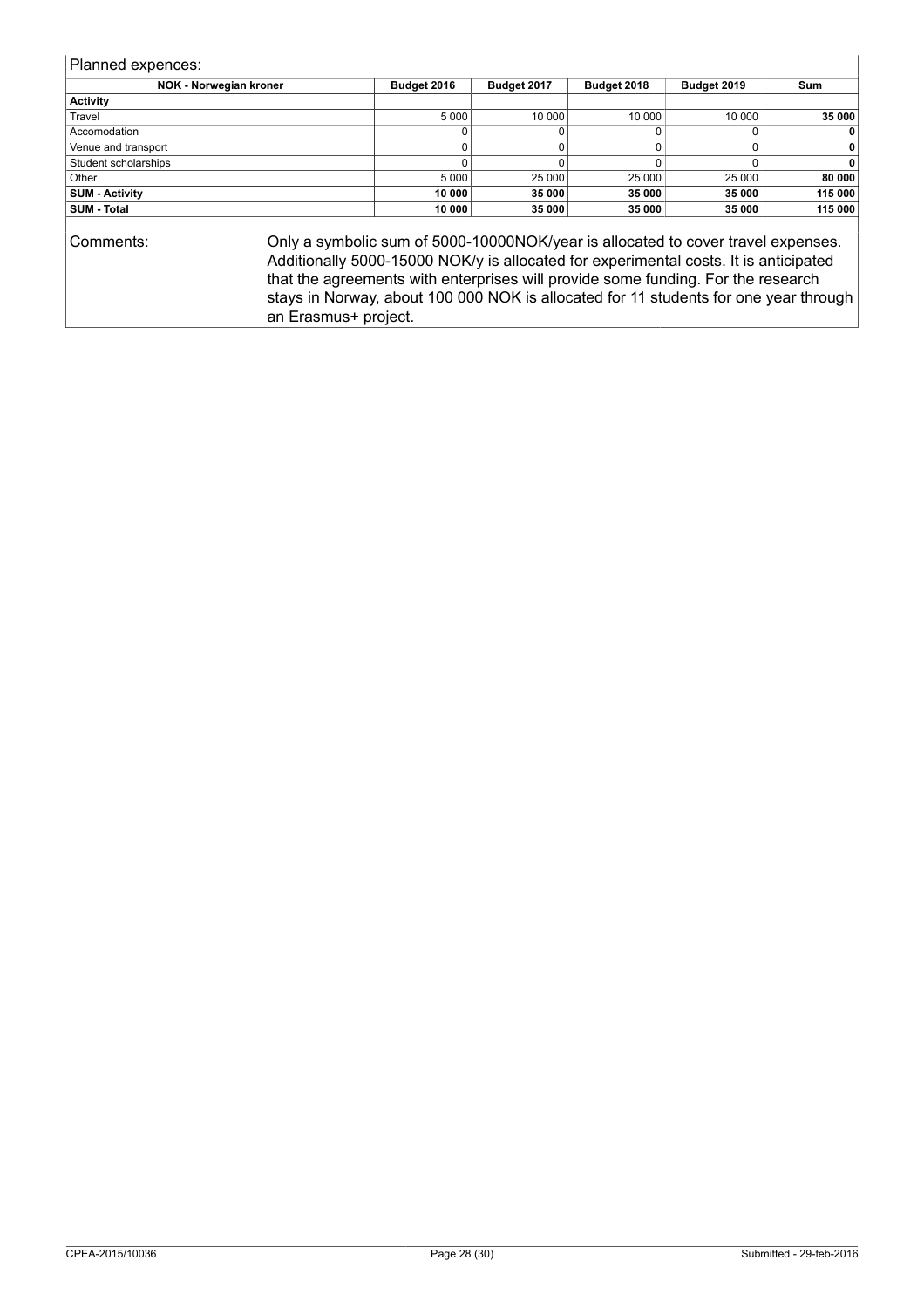Planned expences:

| NOK - Norwegian kroner | Budget 2016 | Budget 2017 | Budget 2018 | Budget 2019 | Sum     |
|------------------------|-------------|-------------|-------------|-------------|---------|
| <b>Activity</b>        |             |             |             |             |         |
| Travel                 | 5 0 0 0     | 10 000      | 10 000      | 10 000      | 35 000  |
| Accomodation           |             |             |             |             | 0       |
| Venue and transport    |             |             |             |             | 0       |
| Student scholarships   |             |             |             |             | 0       |
| Other                  | 5 0 0 0     | 25 000      | 25 000      | 25 000      | 80 000  |
| <b>SUM - Activity</b>  | 10 000      | 35 000      | 35 000      | 35000       | 115 000 |
| <b>SUM - Total</b>     | 10 000      | 35 000      | 35 000      | 35 000      | 115 000 |
|                        |             |             |             |             |         |

Comments: Only a symbolic sum of 5000-10000NOK/year is allocated to cover travel expenses. Additionally 5000-15000 NOK/y is allocated for experimental costs. It is anticipated that the agreements with enterprises will provide some funding. For the research stays in Norway, about 100 000 NOK is allocated for 11 students for one year through an Erasmus+ project.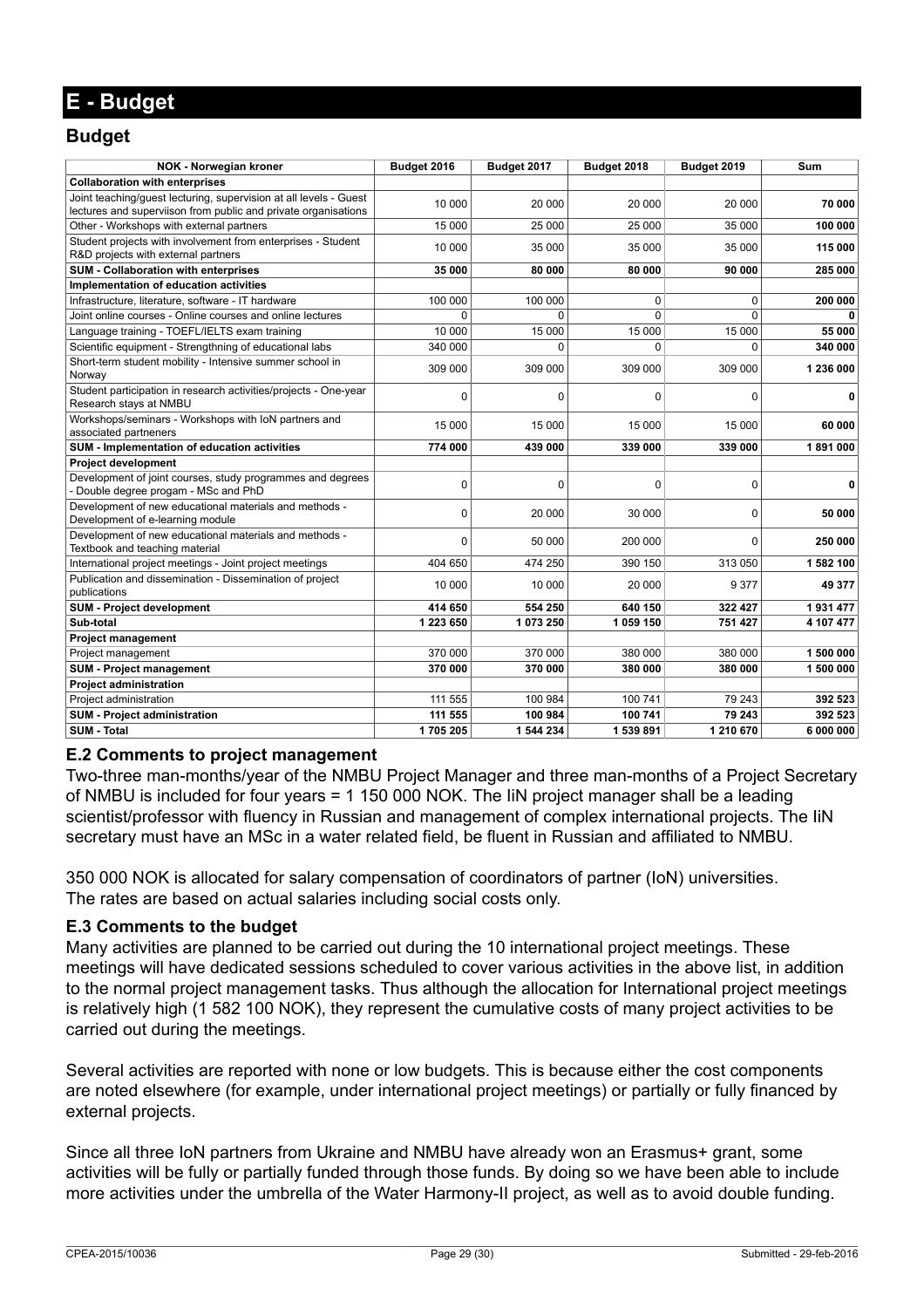### **E - Budget**

### **Budget**

| NOK - Norwegian kroner                                                                                                              | Budget 2016 | Budget 2017 | Budget 2018 | Budget 2019 | Sum          |
|-------------------------------------------------------------------------------------------------------------------------------------|-------------|-------------|-------------|-------------|--------------|
| <b>Collaboration with enterprises</b>                                                                                               |             |             |             |             |              |
| Joint teaching/quest lecturing, supervision at all levels - Guest<br>lectures and superviison from public and private organisations | 10 000      | 20 000      | 20 000      | 20 000      | 70 000       |
| Other - Workshops with external partners                                                                                            | 15 000      | 25 000      | 25 000      | 35 000      | 100 000      |
| Student projects with involvement from enterprises - Student<br>R&D projects with external partners                                 | 10 000      | 35 000      | 35 000      | 35 000      | 115 000      |
| SUM - Collaboration with enterprises                                                                                                | 35 000      | 80 000      | 80 000      | 90 000      | 285 000      |
| Implementation of education activities                                                                                              |             |             |             |             |              |
| Infrastructure, literature, software - IT hardware                                                                                  | 100 000     | 100 000     | 0           | $\mathbf 0$ | 200 000      |
| Joint online courses - Online courses and online lectures                                                                           | $\Omega$    | $\Omega$    | $\Omega$    | $\Omega$    |              |
| Language training - TOEFL/IELTS exam training                                                                                       | 10 000      | 15 000      | 15 000      | 15 000      | 55 000       |
| Scientific equipment - Strengthning of educational labs                                                                             | 340 000     | $\Omega$    | $\Omega$    | $\Omega$    | 340 000      |
| Short-term student mobility - Intensive summer school in<br>Norway                                                                  | 309 000     | 309 000     | 309 000     | 309 000     | 1 236 000    |
| Student participation in research activities/projects - One-year<br>Research stays at NMBU                                          | 0           | $\mathbf 0$ | $\mathbf 0$ | $\mathbf 0$ | $\mathbf{0}$ |
| Workshops/seminars - Workshops with IoN partners and<br>associated partneners                                                       | 15 000      | 15 000      | 15 000      | 15 000      | 60 000       |
| SUM - Implementation of education activities                                                                                        | 774 000     | 439 000     | 339 000     | 339 000     | 1891000      |
| <b>Project development</b>                                                                                                          |             |             |             |             |              |
| Development of joint courses, study programmes and degrees<br>- Double degree progam - MSc and PhD                                  | 0           | $\mathbf 0$ | 0           | $\mathbf 0$ | 0            |
| Development of new educational materials and methods -<br>Development of e-learning module                                          | 0           | 20 000      | 30 000      | $\Omega$    | 50 000       |
| Development of new educational materials and methods -<br>Textbook and teaching material                                            | 0           | 50 000      | 200 000     | $\Omega$    | 250 000      |
| International project meetings - Joint project meetings                                                                             | 404 650     | 474 250     | 390 150     | 313 050     | 1 582 100    |
| Publication and dissemination - Dissemination of project<br>publications                                                            | 10 000      | 10 000      | 20 000      | 9 3 7 7     | 49 377       |
| <b>SUM - Project development</b>                                                                                                    | 414 650     | 554 250     | 640 150     | 322 427     | 1931477      |
| Sub-total                                                                                                                           | 1 223 650   | 1 073 250   | 1 059 150   | 751 427     | 4 107 477    |
| <b>Project management</b>                                                                                                           |             |             |             |             |              |
| Project management                                                                                                                  | 370 000     | 370 000     | 380 000     | 380 000     | 1 500 000    |
| <b>SUM - Project management</b>                                                                                                     | 370 000     | 370 000     | 380 000     | 380 000     | 1 500 000    |
| <b>Project administration</b>                                                                                                       |             |             |             |             |              |
| Project administration                                                                                                              | 111 555     | 100 984     | 100 741     | 79 243      | 392 523      |
| <b>SUM - Project administration</b>                                                                                                 | 111 555     | 100 984     | 100 741     | 79 243      | 392 523      |
| <b>SUM - Total</b>                                                                                                                  | 1705205     | 1 544 234   | 1 539 891   | 1 210 670   | 6 000 000    |

#### **E.2 Comments to project management**

Two-three man-months/year of the NMBU Project Manager and three man-months of a Project Secretary of NMBU is included for four years = 1 150 000 NOK. The IiN project manager shall be a leading scientist/professor with fluency in Russian and management of complex international projects. The liN secretary must have an MSc in a water related field, be fluent in Russian and affiliated to NMBU.

350 000 NOK is allocated for salary compensation of coordinators of partner (IoN) universities. The rates are based on actual salaries including social costs only.

#### **E.3 Comments to the budget**

Many activities are planned to be carried out during the 10 international project meetings. These meetings will have dedicated sessions scheduled to cover various activities in the above list, in addition to the normal project management tasks. Thus although the allocation for International project meetings is relatively high (1 582 100 NOK), they represent the cumulative costs of many project activities to be carried out during the meetings.

Several activities are reported with none or low budgets. This is because either the cost components are noted elsewhere (for example, under international project meetings) or partially or fully financed by external projects.

Since all three IoN partners from Ukraine and NMBU have already won an Erasmus+ grant, some activities will be fully or partially funded through those funds. By doing so we have been able to include more activities under the umbrella of the Water Harmony-II project, as well as to avoid double funding.